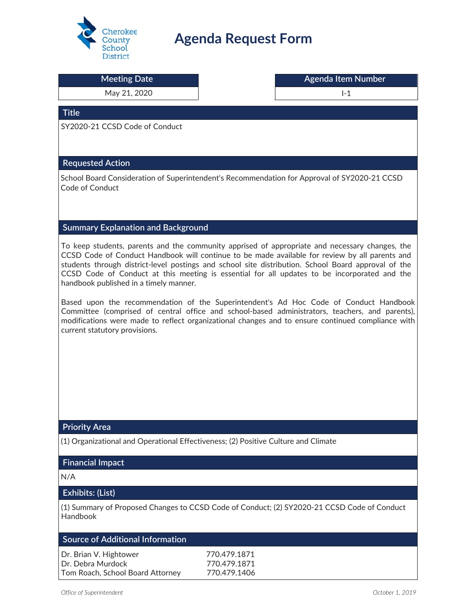

# **Agenda Request Form**

| nisaich                                               |                                                                                                                                                                                                                                                                                                                                                                                                         |  |
|-------------------------------------------------------|---------------------------------------------------------------------------------------------------------------------------------------------------------------------------------------------------------------------------------------------------------------------------------------------------------------------------------------------------------------------------------------------------------|--|
| <b>Meeting Date</b>                                   | <b>Agenda Item Number</b>                                                                                                                                                                                                                                                                                                                                                                               |  |
| May 21, 2020                                          | $I-1$                                                                                                                                                                                                                                                                                                                                                                                                   |  |
| <b>Title</b>                                          |                                                                                                                                                                                                                                                                                                                                                                                                         |  |
| SY2020-21 CCSD Code of Conduct                        |                                                                                                                                                                                                                                                                                                                                                                                                         |  |
|                                                       |                                                                                                                                                                                                                                                                                                                                                                                                         |  |
| <b>Requested Action</b>                               |                                                                                                                                                                                                                                                                                                                                                                                                         |  |
|                                                       | School Board Consideration of Superintendent's Recommendation for Approval of SY2020-21 CCSD                                                                                                                                                                                                                                                                                                            |  |
| Code of Conduct                                       |                                                                                                                                                                                                                                                                                                                                                                                                         |  |
|                                                       |                                                                                                                                                                                                                                                                                                                                                                                                         |  |
|                                                       |                                                                                                                                                                                                                                                                                                                                                                                                         |  |
| <b>Summary Explanation and Background</b>             |                                                                                                                                                                                                                                                                                                                                                                                                         |  |
| handbook published in a timely manner.                | To keep students, parents and the community apprised of appropriate and necessary changes, the<br>CCSD Code of Conduct Handbook will continue to be made available for review by all parents and<br>students through district-level postings and school site distribution. School Board approval of the<br>CCSD Code of Conduct at this meeting is essential for all updates to be incorporated and the |  |
|                                                       | Based upon the recommendation of the Superintendent's Ad Hoc Code of Conduct Handbook                                                                                                                                                                                                                                                                                                                   |  |
| current statutory provisions.                         | Committee (comprised of central office and school-based administrators, teachers, and parents),<br>modifications were made to reflect organizational changes and to ensure continued compliance with                                                                                                                                                                                                    |  |
|                                                       |                                                                                                                                                                                                                                                                                                                                                                                                         |  |
|                                                       |                                                                                                                                                                                                                                                                                                                                                                                                         |  |
|                                                       |                                                                                                                                                                                                                                                                                                                                                                                                         |  |
|                                                       |                                                                                                                                                                                                                                                                                                                                                                                                         |  |
|                                                       |                                                                                                                                                                                                                                                                                                                                                                                                         |  |
|                                                       |                                                                                                                                                                                                                                                                                                                                                                                                         |  |
| <b>Priority Area</b>                                  |                                                                                                                                                                                                                                                                                                                                                                                                         |  |
|                                                       | (1) Organizational and Operational Effectiveness; (2) Positive Culture and Climate                                                                                                                                                                                                                                                                                                                      |  |
| <b>Financial Impact</b>                               |                                                                                                                                                                                                                                                                                                                                                                                                         |  |
| N/A                                                   |                                                                                                                                                                                                                                                                                                                                                                                                         |  |
| Exhibits: (List)                                      |                                                                                                                                                                                                                                                                                                                                                                                                         |  |
| Handbook                                              | (1) Summary of Proposed Changes to CCSD Code of Conduct; (2) SY2020-21 CCSD Code of Conduct                                                                                                                                                                                                                                                                                                             |  |
| <b>Source of Additional Information</b>               |                                                                                                                                                                                                                                                                                                                                                                                                         |  |
| Dr. Brian V. Hightower                                | 770.479.1871                                                                                                                                                                                                                                                                                                                                                                                            |  |
| Dr. Debra Murdock<br>Tom Roach, School Board Attorney | 770.479.1871<br>770.479.1406                                                                                                                                                                                                                                                                                                                                                                            |  |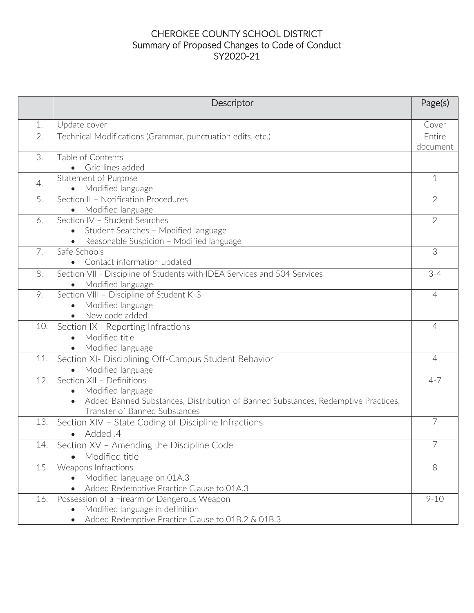# CHEROKEE COUNTY SCHOOL DISTRICT Summary of Proposed Changes to Code of Conduct SY2020-21

|     | Descriptor                                                                                                           | Page(s)        |
|-----|----------------------------------------------------------------------------------------------------------------------|----------------|
| 1.  | Update cover                                                                                                         | Cover          |
| 2.  | Technical Modifications (Grammar, punctuation edits, etc.)                                                           | Entire         |
|     |                                                                                                                      | document       |
| 3.  | Table of Contents<br>Grid lines added                                                                                |                |
|     | <b>Statement of Purpose</b>                                                                                          | $\mathbf 1$    |
| 4.  | Modified language<br>$\bullet$                                                                                       |                |
| 5.  | Section II - Notification Procedures                                                                                 | $\overline{2}$ |
|     | Modified language                                                                                                    |                |
| 6.  | Section IV - Student Searches                                                                                        | $\overline{2}$ |
|     | Student Searches - Modified language<br>$\bullet$                                                                    |                |
|     | Reasonable Suspicion - Modified language                                                                             |                |
| 7.  | Safe Schools                                                                                                         | 3              |
| 8.  | Contact information updated<br>$\bullet$<br>Section VII - Discipline of Students with IDEA Services and 504 Services | $3 - 4$        |
|     | Modified language                                                                                                    |                |
| 9.  | Section VIII - Discipline of Student K-3                                                                             | 4              |
|     | Modified language                                                                                                    |                |
|     | New code added<br>$\bullet$                                                                                          |                |
| 10. | Section IX - Reporting Infractions                                                                                   | $\overline{4}$ |
|     | Modified title<br>$\bullet$                                                                                          |                |
|     | Modified language                                                                                                    |                |
| 11. | Section XI- Disciplining Off-Campus Student Behavior                                                                 | $\overline{4}$ |
|     | Modified language                                                                                                    |                |
| 12. | Section XII - Definitions                                                                                            | $4 - 7$        |
|     | Modified language<br>Added Banned Substances, Distribution of Banned Substances, Redemptive Practices,               |                |
|     | Transfer of Banned Substances                                                                                        |                |
| 13. | Section XIV - State Coding of Discipline Infractions                                                                 | 7              |
|     | • Added .4                                                                                                           |                |
| 14. | Section XV - Amending the Discipline Code                                                                            |                |
|     | Modified title                                                                                                       |                |
| 15. | Weapons Infractions                                                                                                  | 8              |
|     | Modified language on 01A.3<br>$\bullet$                                                                              |                |
|     | Added Redemptive Practice Clause to 01A.3                                                                            |                |
| 16. | Possession of a Firearm or Dangerous Weapon                                                                          | $9 - 10$       |
|     | Modified language in definition<br>$\bullet$                                                                         |                |
|     | Added Redemptive Practice Clause to 01B.2 & 01B.3<br>$\bullet$                                                       |                |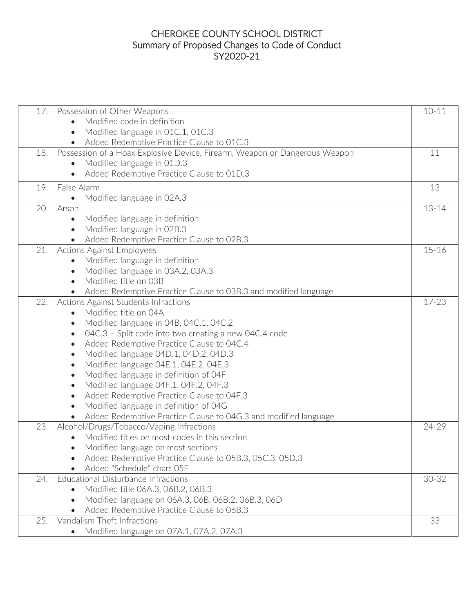# CHEROKEE COUNTY SCHOOL DISTRICT Summary of Proposed Changes to Code of Conduct SY2020-21

| 17. | Possession of Other Weapons                                                | $10 - 11$ |
|-----|----------------------------------------------------------------------------|-----------|
|     | Modified code in definition                                                |           |
|     | Modified language in 01C.1, 01C.3<br>$\bullet$                             |           |
|     | Added Redemptive Practice Clause to 01C.3<br>$\bullet$                     |           |
| 18. | Possession of a Hoax Explosive Device, Firearm, Weapon or Dangerous Weapon | 11        |
|     | Modified language in 01D.3                                                 |           |
|     | Added Redemptive Practice Clause to 01D.3<br>$\bullet$                     |           |
| 19. | False Alarm                                                                | 13        |
|     | Modified language in 02A.3<br>$\bullet$                                    |           |
| 20. | Arson                                                                      | $13 - 14$ |
|     | Modified language in definition<br>$\bullet$                               |           |
|     | Modified language in 02B.3<br>$\bullet$                                    |           |
|     | Added Redemptive Practice Clause to 02B.3<br>$\bullet$                     |           |
| 21. | <b>Actions Against Employees</b>                                           | $15 - 16$ |
|     | Modified language in definition<br>$\bullet$                               |           |
|     | Modified language in 03A.2, 03A.3<br>$\bullet$                             |           |
|     | Modified title on 03B<br>$\bullet$                                         |           |
|     | Added Redemptive Practice Clause to 03B.3 and modified language            |           |
| 22. | <b>Actions Against Students Infractions</b>                                | 17-23     |
|     | Modified title on 04A<br>$\bullet$                                         |           |
|     | Modified language in 04B, 04C.1, 04C.2<br>$\bullet$                        |           |
|     | 04C.3 - Split code into two creating a new 04C.4 code<br>$\bullet$         |           |
|     | Added Redemptive Practice Clause to 04C.4<br>$\bullet$                     |           |
|     | Modified language 04D.1, 04D.2, 04D.3<br>$\bullet$                         |           |
|     | Modified language 04E.1, 04E.2, 04E.3<br>$\bullet$                         |           |
|     | Modified language in definition of O4F<br>$\bullet$                        |           |
|     | Modified language 04F.1, 04F.2, 04F.3<br>$\bullet$                         |           |
|     | Added Redemptive Practice Clause to 04F.3<br>$\bullet$                     |           |
|     | Modified language in definition of 04G<br>$\bullet$                        |           |
|     | Added Redemptive Practice Clause to 04G.3 and modified language            |           |
| 23. | Alcohol/Drugs/Tobacco/Vaping Infractions                                   | 24-29     |
|     | Modified titles on most codes in this section                              |           |
|     | Modified language on most sections                                         |           |
|     | Added Redemptive Practice Clause to 05B.3, 05C.3, 05D.3                    |           |
|     | Added "Schedule" chart 05F                                                 |           |
| 24. | Educational Disturbance Infractions                                        | $30 - 32$ |
|     | Modified title 06A.3, 06B.2, 06B.3<br>$\bullet$                            |           |
|     | Modified language on 06A.3, 06B, 06B.2, 06B.3, 06D<br>$\bullet$            |           |
|     | Added Redemptive Practice Clause to 06B.3                                  |           |
| 25. | Vandalism Theft Infractions                                                | 33        |
|     | Modified language on 07A.1, 07A.2, 07A.3<br>$\bullet$                      |           |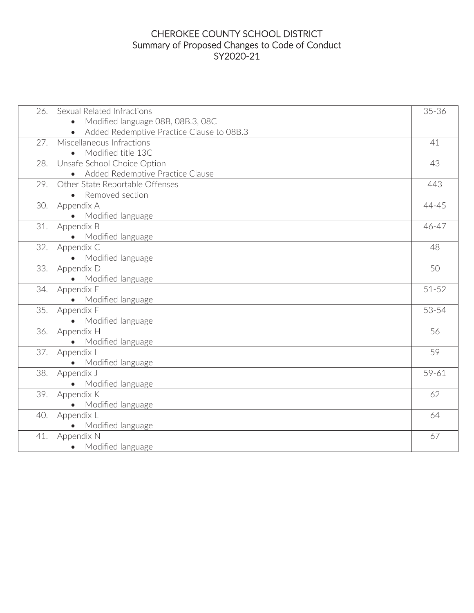# CHEROKEE COUNTY SCHOOL DISTRICT Summary of Proposed Changes to Code of Conduct SY2020-21

| 26. | Sexual Related Infractions                     | 35-36     |
|-----|------------------------------------------------|-----------|
|     | Modified language 08B, 08B.3, 08C<br>$\bullet$ |           |
|     | Added Redemptive Practice Clause to 08B.3      |           |
| 27. | Miscellaneous Infractions                      | 41        |
|     | Modified title 13C<br>$\bullet$                |           |
| 28. | Unsafe School Choice Option                    | 43        |
|     | Added Redemptive Practice Clause               |           |
| 29. | Other State Reportable Offenses                | 443       |
|     | • Removed section                              |           |
| 30. | Appendix A                                     | 44-45     |
|     | Modified language<br>$\bullet$                 |           |
| 31. | Appendix B                                     | 46-47     |
|     | Modified language                              |           |
| 32. | Appendix C                                     | 48        |
|     | Modified language<br>$\bullet$                 |           |
| 33. | Appendix D                                     | 50        |
|     | • Modified language                            |           |
| 34. | Appendix E                                     | $51 - 52$ |
|     | Modified language                              |           |
| 35. | Appendix F                                     | 53-54     |
|     | • Modified language                            |           |
| 36. | Appendix H                                     | 56        |
|     | Modified language                              |           |
| 37. | Appendix I                                     | 59        |
|     | • Modified language                            |           |
| 38. | Appendix J                                     | 59-61     |
|     | Modified language                              |           |
| 39. | Appendix K                                     | 62        |
|     | • Modified language                            |           |
| 40. | Appendix L                                     | 64        |
|     | Modified language                              |           |
| 41. | Appendix N                                     | 67        |
|     | • Modified language                            |           |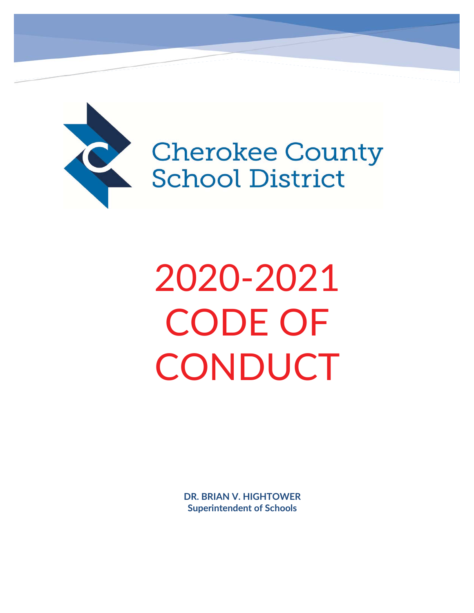

**Cherokee County School District** 

2020-2021 CODE OF **CONDUCT** 

> **DR. BRIAN V. HIGHTOWER Superintendent of Schools**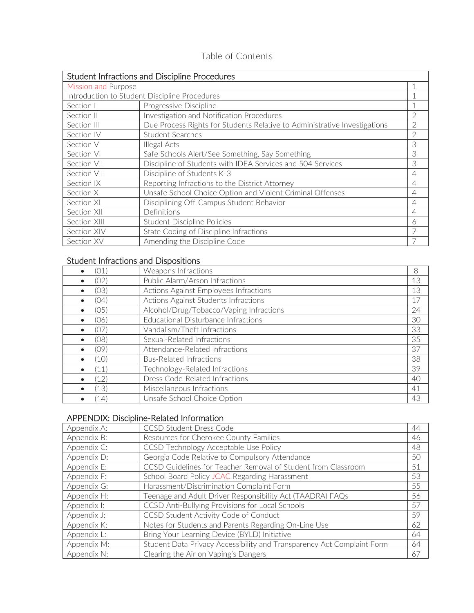# Table of Contents

| Student Infractions and Discipline Procedures |                                                                           |                |
|-----------------------------------------------|---------------------------------------------------------------------------|----------------|
| <b>Mission and Purpose</b>                    |                                                                           |                |
|                                               | Introduction to Student Discipline Procedures                             |                |
| Section I                                     | Progressive Discipline                                                    |                |
| Section II                                    | Investigation and Notification Procedures                                 | 2              |
| Section III                                   | Due Process Rights for Students Relative to Administrative Investigations | 2              |
| Section IV                                    | <b>Student Searches</b>                                                   | 2              |
| Section V                                     | Illegal Acts                                                              | 3              |
| Section VI                                    | Safe Schools Alert/See Something, Say Something                           | 3              |
| Section VII                                   | Discipline of Students with IDEA Services and 504 Services                | 3              |
| Section VIII                                  | Discipline of Students K-3                                                | $\overline{4}$ |
| Section IX                                    | Reporting Infractions to the District Attorney                            | $\overline{4}$ |
| Section X                                     | Unsafe School Choice Option and Violent Criminal Offenses                 | $\overline{4}$ |
| Section XI                                    | Disciplining Off-Campus Student Behavior                                  | 4              |
| Section XII                                   | Definitions                                                               | $\overline{4}$ |
| Section XIII                                  | Student Discipline Policies                                               | 6              |
| Section XIV                                   | State Coding of Discipline Infractions                                    |                |
| Section XV                                    | Amending the Discipline Code                                              |                |

# Student Infractions and Dispositions

| 01   | Weapons Infractions                     | 8  |
|------|-----------------------------------------|----|
| (02) | Public Alarm/Arson Infractions          | 13 |
| (03) | Actions Against Employees Infractions   | 13 |
| 04)  | Actions Against Students Infractions    | 17 |
| (05) | Alcohol/Drug/Tobacco/Vaping Infractions | 24 |
| (06) | Educational Disturbance Infractions     | 30 |
| (07) | Vandalism/Theft Infractions             | 33 |
| (08) | Sexual-Related Infractions              | 35 |
| (09) | Attendance-Related Infractions          | 37 |
| '10) | <b>Bus-Related Infractions</b>          | 38 |
| (11) | Technology-Related Infractions          | 39 |
| (12) | Dress Code-Related Infractions          | 40 |
| (13) | Miscellaneous Infractions               | 41 |
| 14)  | Unsafe School Choice Option             | 43 |

# APPENDIX: Discipline-Related Information

| Appendix A: | CCSD Student Dress Code                                                | 44 |
|-------------|------------------------------------------------------------------------|----|
| Appendix B: | Resources for Cherokee County Families                                 | 46 |
| Appendix C: | CCSD Technology Acceptable Use Policy                                  | 48 |
| Appendix D: | Georgia Code Relative to Compulsory Attendance                         | 50 |
| Appendix E: | CCSD Guidelines for Teacher Removal of Student from Classroom          | 51 |
| Appendix F: | School Board Policy JCAC Regarding Harassment                          | 53 |
| Appendix G: | Harassment/Discrimination Complaint Form                               | 55 |
| Appendix H: | Teenage and Adult Driver Responsibility Act (TAADRA) FAQs              | 56 |
| Appendix I: | CCSD Anti-Bullying Provisions for Local Schools                        | 57 |
| Appendix J: | CCSD Student Activity Code of Conduct                                  | 59 |
| Appendix K: | Notes for Students and Parents Regarding On-Line Use                   | 62 |
| Appendix L: | Bring Your Learning Device (BYLD) Initiative                           | 64 |
| Appendix M: | Student Data Privacy Accessibility and Transparency Act Complaint Form | 64 |
| Appendix N: | Clearing the Air on Vaping's Dangers                                   | 67 |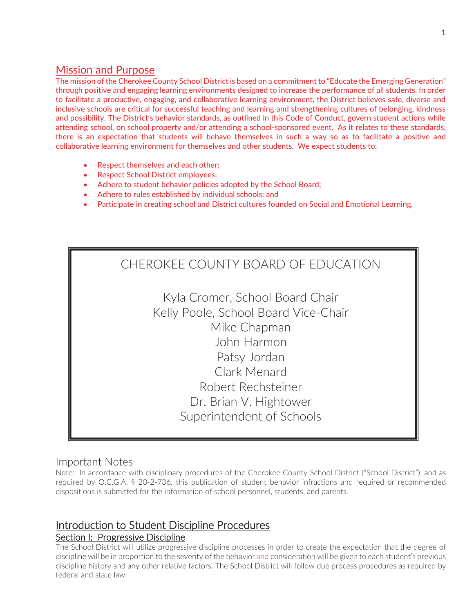# Mission and Purpose

The mission of the Cherokee County School District is based on a commitment to "Educate the Emerging Generation" through positive and engaging learning environments designed to increase the performance of all students. In order to facilitate a productive, engaging, and collaborative learning environment, the District believes safe, diverse and inclusive schools are critical for successful teaching and learning and strengthening cultures of belonging, kindness and possibility. The District's behavior standards, as outlined in this Code of Conduct, govern student actions while attending school, on school property and/or attending a school-sponsored event. As it relates to these standards, there is an expectation that students will behave themselves in such a way so as to facilitate a positive and collaborative learning environment for themselves and other students. We expect students to:

- Respect themselves and each other;
- Respect School District employees;
- Adhere to student behavior policies adopted by the School Board;
- Adhere to rules established by individual schools; and
- Participate in creating school and District cultures founded on Social and Emotional Learning.



Kyla Cromer, School Board Chair Kelly Poole, School Board Vice-Chair Mike Chapman John Harmon Patsy Jordan Clark Menard Robert Rechsteiner Dr. Brian V. Hightower Superintendent of Schools

# Important Notes

Note: In accordance with disciplinary procedures of the Cherokee County School District ("School District"), and as required by O.C.G.A. § 20-2-736, this publication of student behavior infractions and required or recommended dispositions is submitted for the information of school personnel, students, and parents.

# Introduction to Student Discipline Procedures

# Section I: Progressive Discipline

The School District will utilize progressive discipline processes in order to create the expectation that the degree of discipline will be in proportion to the severity of the behavior and consideration will be given to each student's previous discipline history and any other relative factors. The School District will follow due process procedures as required by federal and state law.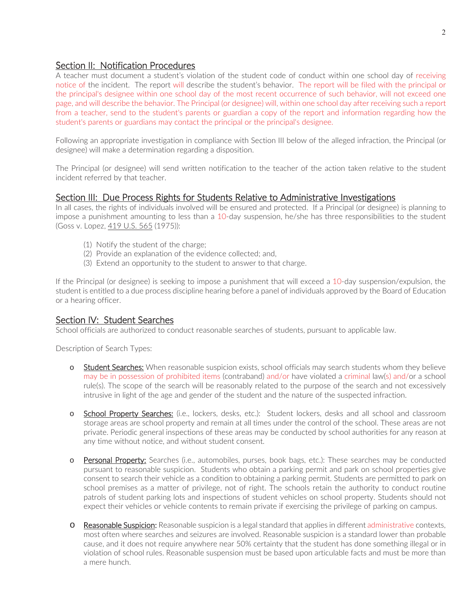### Section II: Notification Procedures

A teacher must document a student's violation of the student code of conduct within one school day of receiving notice of the incident. The report will describe the student's behavior. The report will be filed with the principal or the principal's designee within one school day of the most recent occurrence of such behavior, will not exceed one page, and will describe the behavior. The Principal (or designee) will, within one school day after receiving such a report from a teacher, send to the student's parents or guardian a copy of the report and information regarding how the student's parents or guardians may contact the principal or the principal's designee.

Following an appropriate investigation in compliance with Section III below of the alleged infraction, the Principal (or designee) will make a determination regarding a disposition.

The Principal (or designee) will send written notification to the teacher of the action taken relative to the student incident referred by that teacher.

#### Section III: Due Process Rights for Students Relative to Administrative Investigations

In all cases, the rights of individuals involved will be ensured and protected. If a Principal (or designee) is planning to impose a punishment amounting to less than a 10-day suspension, he/she has three responsibilities to the student (Goss v. Lopez, 419 U.S. 565 (1975)):

- (1) Notify the student of the charge;
- (2) Provide an explanation of the evidence collected; and,
- (3) Extend an opportunity to the student to answer to that charge.

If the Principal (or designee) is seeking to impose a punishment that will exceed a 10-day suspension/expulsion, the student is entitled to a due process discipline hearing before a panel of individuals approved by the Board of Education or a hearing officer.

#### Section IV: Student Searches

School officials are authorized to conduct reasonable searches of students, pursuant to applicable law.

Description of Search Types:

- o Student Searches: When reasonable suspicion exists, school officials may search students whom they believe may be in possession of prohibited items (contraband) and/or have violated a criminal law(s) and/or a school rule(s). The scope of the search will be reasonably related to the purpose of the search and not excessively intrusive in light of the age and gender of the student and the nature of the suspected infraction.
- o School Property Searches: (i.e., lockers, desks, etc.): Student lockers, desks and all school and classroom storage areas are school property and remain at all times under the control of the school. These areas are not private. Periodic general inspections of these areas may be conducted by school authorities for any reason at any time without notice, and without student consent.
- o Personal Property: Searches (i.e., automobiles, purses, book bags, etc.): These searches may be conducted pursuant to reasonable suspicion. Students who obtain a parking permit and park on school properties give consent to search their vehicle as a condition to obtaining a parking permit. Students are permitted to park on school premises as a matter of privilege, not of right. The schools retain the authority to conduct routine patrols of student parking lots and inspections of student vehicles on school property. Students should not expect their vehicles or vehicle contents to remain private if exercising the privilege of parking on campus.
- o Reasonable Suspicion: Reasonable suspicion is a legal standard that applies in different administrative contexts, most often where searches and seizures are involved. Reasonable suspicion is a standard lower than probable cause, and it does not require anywhere near 50% certainty that the student has done something illegal or in violation of school rules. Reasonable suspension must be based upon articulable facts and must be more than a mere hunch.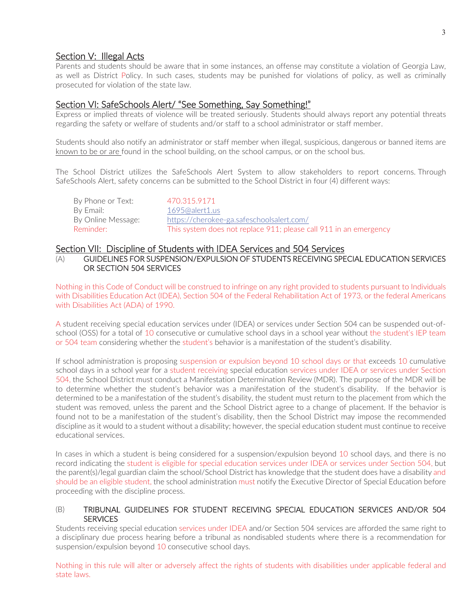# Section V: Illegal Acts

Parents and students should be aware that in some instances, an offense may constitute a violation of Georgia Law, as well as District Policy. In such cases, students may be punished for violations of policy, as well as criminally prosecuted for violation of the state law.

# Section VI: SafeSchools Alert/ "See Something, Say Something!"

Express or implied threats of violence will be treated seriously. Students should always report any potential threats regarding the safety or welfare of students and/or staff to a school administrator or staff member.

Students should also notify an administrator or staff member when illegal, suspicious, dangerous or banned items are known to be or are found in the school building, on the school campus, or on the school bus.

The School District utilizes the SafeSchools Alert System to allow stakeholders to report concerns. Through SafeSchools Alert, safety concerns can be submitted to the School District in four (4) different ways:

| By Phone or Text:  | 470.315.9171                                                      |
|--------------------|-------------------------------------------------------------------|
| By Email:          | 1695@alert1.us                                                    |
| By Online Message: | https://cherokee-ga.safeschoolsalert.com/                         |
| Reminder: I        | This system does not replace 911; please call 911 in an emergency |

#### Section VII: Discipline of Students with IDEA Services and 504 Services

(A) GUIDELINES FOR SUSPENSION/EXPULSION OF STUDENTS RECEIVING SPECIAL EDUCATION SERVICES OR SECTION 504 SERVICES

Nothing in this Code of Conduct will be construed to infringe on any right provided to students pursuant to Individuals with Disabilities Education Act (IDEA), Section 504 of the Federal Rehabilitation Act of 1973, or the federal Americans with Disabilities Act (ADA) of 1990.

A student receiving special education services under (IDEA) or services under Section 504 can be suspended out-ofschool (OSS) for a total of 10 consecutive or cumulative school days in a school year without the student's IEP team or 504 team considering whether the student's behavior is a manifestation of the student's disability.

If school administration is proposing suspension or expulsion beyond 10 school days or that exceeds 10 cumulative school days in a school year for a student receiving special education services under IDEA or services under Section 504, the School District must conduct a Manifestation Determination Review (MDR). The purpose of the MDR will be to determine whether the student's behavior was a manifestation of the student's disability. If the behavior is determined to be a manifestation of the student's disability, the student must return to the placement from which the student was removed, unless the parent and the School District agree to a change of placement. If the behavior is found not to be a manifestation of the student's disability, then the School District may impose the recommended discipline as it would to a student without a disability; however, the special education student must continue to receive educational services.

In cases in which a student is being considered for a suspension/expulsion beyond 10 school days, and there is no record indicating the student is eligible for special education services under IDEA or services under Section 504, but the parent(s)/legal guardian claim the school/School District has knowledge that the student does have a disability and should be an eligible student, the school administration must notify the Executive Director of Special Education before proceeding with the discipline process.

#### (B) TRIBUNAL GUIDELINES FOR STUDENT RECEIVING SPECIAL EDUCATION SERVICES AND/OR 504 **SERVICES**

Students receiving special education services under IDEA and/or Section 504 services are afforded the same right to a disciplinary due process hearing before a tribunal as nondisabled students where there is a recommendation for suspension/expulsion beyond 10 consecutive school days.

Nothing in this rule will alter or adversely affect the rights of students with disabilities under applicable federal and state laws.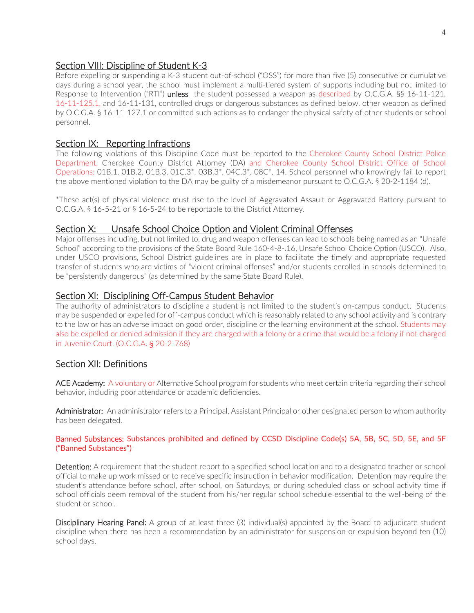# Section VIII: Discipline of Student K-3

Before expelling or suspending a K-3 student out-of-school ("OSS") for more than five (5) consecutive or cumulative days during a school year, the school must implement a multi-tiered system of supports including but not limited to Response to Intervention ("RTI") unless the student possessed a weapon as described by O.C.G.A. §§ 16-11-121, 16-11-125.1, and 16-11-131, controlled drugs or dangerous substances as defined below, other weapon as defined by O.C.G.A. § 16-11-127.1 or committed such actions as to endanger the physical safety of other students or school personnel.

# Section IX: Reporting Infractions

The following violations of this Discipline Code must be reported to the Cherokee County School District Police Department, Cherokee County District Attorney (DA) and Cherokee County School District Office of School Operations: 01B.1, 01B.2, 01B.3, 01C.3\*, 03B.3\*, 04C.3\*, 08C\*, 14. School personnel who knowingly fail to report the above mentioned violation to the DA may be guilty of a misdemeanor pursuant to O.C.G.A. § 20-2-1184 (d).

\*These act(s) of physical violence must rise to the level of Aggravated Assault or Aggravated Battery pursuant to O.C.G.A. § 16-5-21 or § 16-5-24 to be reportable to the District Attorney.

# Section X: Unsafe School Choice Option and Violent Criminal Offenses

Major offenses including, but not limited to, drug and weapon offenses can lead to schools being named as an "Unsafe School" according to the provisions of the State Board Rule 160-4-8-.16, Unsafe School Choice Option (USCO). Also, under USCO provisions, School District guidelines are in place to facilitate the timely and appropriate requested transfer of students who are victims of "violent criminal offenses" and/or students enrolled in schools determined to be "persistently dangerous" (as determined by the same State Board Rule).

# Section XI: Disciplining Off-Campus Student Behavior

The authority of administrators to discipline a student is not limited to the student's on-campus conduct. Students may be suspended or expelled for off-campus conduct which is reasonably related to any school activity and is contrary to the law or has an adverse impact on good order, discipline or the learning environment at the school. Students may also be expelled or denied admission if they are charged with a felony or a crime that would be a felony if not charged in Juvenile Court. (O.C.G.A. § 20-2-768)

# Section XII: Definitions

ACE Academy: A voluntary or Alternative School program for students who meet certain criteria regarding their school behavior, including poor attendance or academic deficiencies.

Administrator: An administrator refers to a Principal, Assistant Principal or other designated person to whom authority has been delegated.

#### Banned Substances: Substances prohibited and defined by CCSD Discipline Code(s) 5A, 5B, 5C, 5D, 5E, and 5F ("Banned Substances")

Detention: A requirement that the student report to a specified school location and to a designated teacher or school official to make up work missed or to receive specific instruction in behavior modification. Detention may require the student's attendance before school, after school, on Saturdays, or during scheduled class or school activity time if school officials deem removal of the student from his/her regular school schedule essential to the well-being of the student or school.

Disciplinary Hearing Panel: A group of at least three (3) individual(s) appointed by the Board to adjudicate student discipline when there has been a recommendation by an administrator for suspension or expulsion beyond ten (10) school days.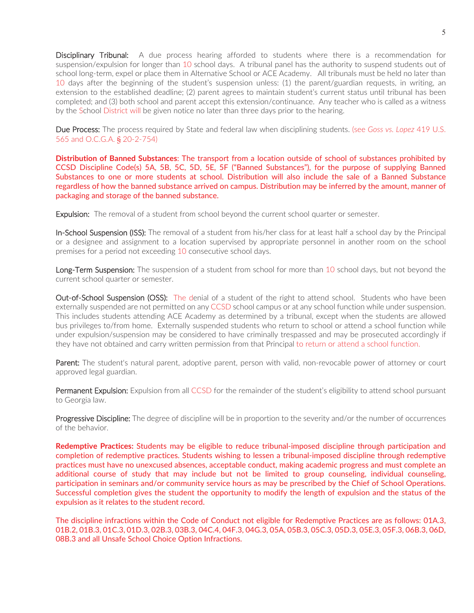Disciplinary Tribunal: A due process hearing afforded to students where there is a recommendation for suspension/expulsion for longer than 10 school days. A tribunal panel has the authority to suspend students out of school long-term, expel or place them in Alternative School or ACE Academy. All tribunals must be held no later than 10 days after the beginning of the student's suspension unless: (1) the parent/guardian requests, in writing, an extension to the established deadline; (2) parent agrees to maintain student's current status until tribunal has been completed; and (3) both school and parent accept this extension/continuance. Any teacher who is called as a witness by the School District will be given notice no later than three days prior to the hearing.

Due Process: The process required by State and federal law when disciplining students. (see *Goss vs. Lopez* 419 U.S. 565 and O.C.G.A. § 20-2-754)

**Distribution of Banned Substances**: The transport from a location outside of school of substances prohibited by CCSD Discipline Code(s) 5A, 5B, 5C, 5D, 5E, 5F ("Banned Substances"), for the purpose of supplying Banned Substances to one or more students at school. Distribution will also include the sale of a Banned Substance regardless of how the banned substance arrived on campus. Distribution may be inferred by the amount, manner of packaging and storage of the banned substance.

**Expulsion:** The removal of a student from school beyond the current school quarter or semester.

In-School Suspension (ISS): The removal of a student from his/her class for at least half a school day by the Principal or a designee and assignment to a location supervised by appropriate personnel in another room on the school premises for a period not exceeding 10 consecutive school days.

Long-Term Suspension: The suspension of a student from school for more than 10 school days, but not beyond the current school quarter or semester.

Out-of-School Suspension (OSS): The denial of a student of the right to attend school. Students who have been externally suspended are not permitted on any CCSD school campus or at any school function while under suspension. This includes students attending ACE Academy as determined by a tribunal, except when the students are allowed bus privileges to/from home. Externally suspended students who return to school or attend a school function while under expulsion/suspension may be considered to have criminally trespassed and may be prosecuted accordingly if they have not obtained and carry written permission from that Principal to return or attend a school function.

Parent: The student's natural parent, adoptive parent, person with valid, non-revocable power of attorney or court approved legal guardian.

Permanent Expulsion: Expulsion from all CCSD for the remainder of the student's eligibility to attend school pursuant to Georgia law.

**Progressive Discipline:** The degree of discipline will be in proportion to the severity and/or the number of occurrences of the behavior.

**Redemptive Practices:** Students may be eligible to reduce tribunal-imposed discipline through participation and completion of redemptive practices. Students wishing to lessen a tribunal-imposed discipline through redemptive practices must have no unexcused absences, acceptable conduct, making academic progress and must complete an additional course of study that may include but not be limited to group counseling, individual counseling, participation in seminars and/or community service hours as may be prescribed by the Chief of School Operations. Successful completion gives the student the opportunity to modify the length of expulsion and the status of the expulsion as it relates to the student record.

The discipline infractions within the Code of Conduct not eligible for Redemptive Practices are as follows: 01A.3, 01B.2, 01B.3, 01C.3, 01D.3, 02B.3, 03B.3, 04C.4, 04F.3, 04G.3, 05A, 05B.3, 05C.3, 05D.3, 05E.3, 05F.3, 06B.3, 06D, 08B.3 and all Unsafe School Choice Option Infractions.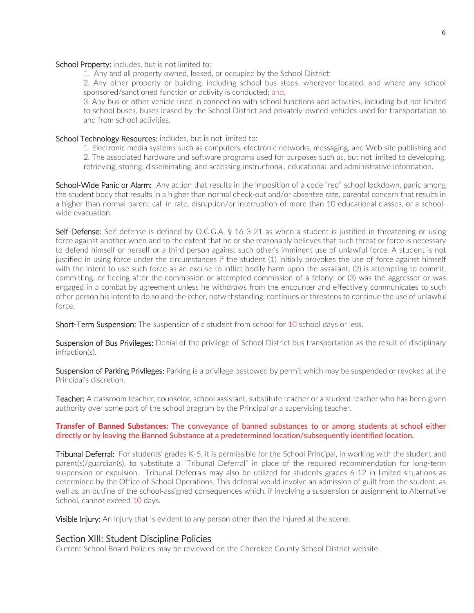#### School Property: includes, but is not limited to:

1. Any and all property owned, leased, or occupied by the School District;

2. Any other property or building, including school bus stops, wherever located, and where any school sponsored/sanctioned function or activity is conducted; and,

3. Any bus or other vehicle used in connection with school functions and activities, including but not limited to school buses, buses leased by the School District and privately-owned vehicles used for transportation to and from school activities.

#### School Technology Resources: includes, but is not limited to:

1. Electronic media systems such as computers, electronic networks, messaging, and Web site publishing and 2. The associated hardware and software programs used for purposes such as, but not limited to developing, retrieving, storing, disseminating, and accessing instructional, educational, and administrative information.

School-Wide Panic or Alarm: Any action that results in the imposition of a code "red" school lockdown, panic among the student body that results in a higher than normal check-out and/or absentee rate, parental concern that results in a higher than normal parent call-in rate, disruption/or interruption of more than 10 educational classes, or a schoolwide evacuation.

Self-Defense: Self-defense is defined by O.C.G.A. § 16-3-21 as when a student is justified in threatening or using force against another when and to the extent that he or she reasonably believes that such threat or force is necessary to defend himself or herself or a third person against such other's imminent use of unlawful force. A student is not justified in using force under the circumstances if the student (1) initially provokes the use of force against himself with the intent to use such force as an excuse to inflict bodily harm upon the assailant; (2) is attempting to commit, committing, or fleeing after the commission or attempted commission of a felony; or (3) was the aggressor or was engaged in a combat by agreement unless he withdraws from the encounter and effectively communicates to such other person his intent to do so and the other, notwithstanding, continues or threatens to continue the use of unlawful force.

Short-Term Suspension: The suspension of a student from school for 10 school days or less.

Suspension of Bus Privileges: Denial of the privilege of School District bus transportation as the result of disciplinary infraction(s).

Suspension of Parking Privileges: Parking is a privilege bestowed by permit which may be suspended or revoked at the Principal's discretion.

Teacher: A classroom teacher, counselor, school assistant, substitute teacher or a student teacher who has been given authority over some part of the school program by the Principal or a supervising teacher.

#### **Transfer of Banned Substances:** The conveyance of banned substances to or among students at school either directly or by leaving the Banned Substance at a predetermined location/subsequently identified location.

**Tribunal Deferral:** For students' grades K-5, it is permissible for the School Principal, in working with the student and parent(s)/guardian(s), to substitute a "Tribunal Deferral" in place of the required recommendation for long-term suspension or expulsion. Tribunal Deferrals may also be utilized for students grades 6-12 in limited situations as determined by the Office of School Operations. This deferral would involve an admission of guilt from the student, as well as, an outline of the school-assigned consequences which, if involving a suspension or assignment to Alternative School, cannot exceed 10 days.

Visible Injury: An injury that is evident to any person other than the injured at the scene.

#### Section XIII: Student Discipline Policies

Current School Board Policies may be reviewed on the Cherokee County School District website.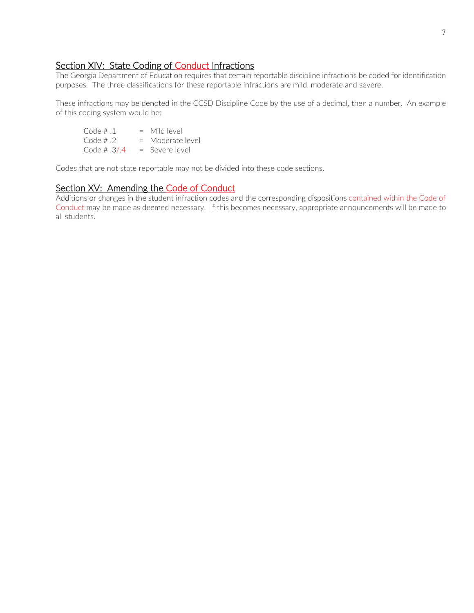# Section XIV: State Coding of Conduct Infractions

The Georgia Department of Education requires that certain reportable discipline infractions be coded for identification purposes. The three classifications for these reportable infractions are mild, moderate and severe.

These infractions may be denoted in the CCSD Discipline Code by the use of a decimal, then a number. An example of this coding system would be:

Code  $\# .1$  = Mild level Code  $\# .2$  = Moderate level Code  $\# .3/.4 =$  Severe level

Codes that are not state reportable may not be divided into these code sections.

# Section XV: Amending the Code of Conduct

Additions or changes in the student infraction codes and the corresponding dispositions contained within the Code of Conduct may be made as deemed necessary. If this becomes necessary, appropriate announcements will be made to all students.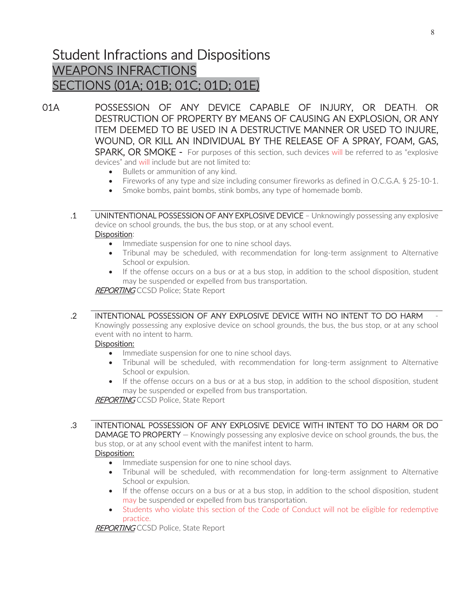# Student Infractions and Dispositions WEAPONS INFRACTIONS SECTIONS (01A; 01B; 01C; 01D; 01E)

01A POSSESSION OF ANY DEVICE CAPABLE OF INJURY, OR DEATH, OR DESTRUCTION OF PROPERTY BY MEANS OF CAUSING AN EXPLOSION, OR ANY ITEM DEEMED TO BE USED IN A DESTRUCTIVE MANNER OR USED TO INJURE, WOUND, OR KILL AN INDIVIDUAL BY THE RELEASE OF A SPRAY, FOAM, GAS, SPARK, OR SMOKE - For purposes of this section, such devices will be referred to as "explosive devices" and will include but are not limited to:

- Bullets or ammunition of any kind.
- Fireworks of any type and size including consumer fireworks as defined in O.C.G.A.  $\S 25$ -10-1.
- Smoke bombs, paint bombs, stink bombs, any type of homemade bomb.

 .1 UNINTENTIONAL POSSESSION OF ANY EXPLOSIVE DEVICE – Unknowingly possessing any explosive device on school grounds, the bus, the bus stop, or at any school event. Disposition:

- Immediate suspension for one to nine school days.
- Tribunal may be scheduled, with recommendation for long-term assignment to Alternative School or expulsion.
- If the offense occurs on a bus or at a bus stop, in addition to the school disposition, student may be suspended or expelled from bus transportation.

**REPORTING CCSD Police; State Report** 

# .2 INTENTIONAL POSSESSION OF ANY EXPLOSIVE DEVICE WITH NO INTENT TO DO HARM -

Knowingly possessing any explosive device on school grounds, the bus, the bus stop, or at any school event with no intent to harm.

#### Disposition:

- Immediate suspension for one to nine school days.
- Tribunal will be scheduled, with recommendation for long-term assignment to Alternative School or expulsion.
- If the offense occurs on a bus or at a bus stop, in addition to the school disposition, student may be suspended or expelled from bus transportation.

**REPORTING CCSD Police, State Report** 

 .3 INTENTIONAL POSSESSION OF ANY EXPLOSIVE DEVICE WITH INTENT TO DO HARM OR DO DAMAGE TO PROPERTY - Knowingly possessing any explosive device on school grounds, the bus, the

bus stop, or at any school event with the manifest intent to harm. Disposition:

- Immediate suspension for one to nine school days.
- Tribunal will be scheduled, with recommendation for long-term assignment to Alternative School or expulsion.
- If the offense occurs on a bus or at a bus stop, in addition to the school disposition, student may be suspended or expelled from bus transportation.
- Students who violate this section of the Code of Conduct will not be eligible for redemptive practice.

REPORTING CCSD Police, State Report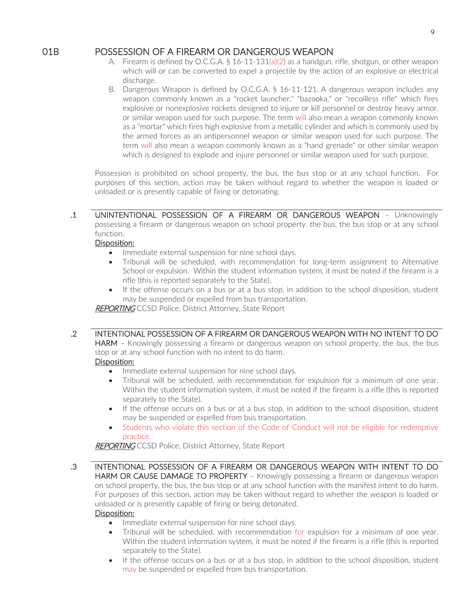# 01B POSSESSION OF A FIREARM OR DANGEROUS WEAPON

- A. Firearm is defined by O.C.G.A. § 16-11-131(a)(2) as a handgun, rifle, shotgun, or other weapon which will or can be converted to expel a projectile by the action of an explosive or electrical discharge.
- B. Dangerous Weapon is defined by O.C.G.A. § 16-11-121. A dangerous weapon includes any weapon commonly known as a "rocket launcher," "bazooka," or "recoilless rifle" which fires explosive or nonexplosive rockets designed to injure or kill personnel or destroy heavy armor, or similar weapon used for such purpose. The term will also mean a weapon commonly known as a "mortar" which fires high explosive from a metallic cylinder and which is commonly used by the armed forces as an antipersonnel weapon or similar weapon used for such purpose. The term will also mean a weapon commonly known as a "hand grenade" or other similar weapon which is designed to explode and injure personnel or similar weapon used for such purpose.

Possession is prohibited on school property, the bus, the bus stop or at any school function. For purposes of this section, action may be taken without regard to whether the weapon is loaded or unloaded or is presently capable of firing or detonating.

 .1 UNINTENTIONAL POSSESSION OF A FIREARM OR DANGEROUS WEAPON – Unknowingly possessing a firearm or dangerous weapon on school property, the bus, the bus stop or at any school function.

#### Disposition:

- Immediate external suspension for nine school days.
- Tribunal will be scheduled, with recommendation for long-term assignment to Alternative School or expulsion. Within the student information system, it must be noted if the firearm is a rifle (this is reported separately to the State).
- If the offense occurs on a bus or at a bus stop, in addition to the school disposition, student may be suspended or expelled from bus transportation.

**REPORTING** CCSD Police, District Attorney, State Report

# .2 INTENTIONAL POSSESSION OF A FIREARM OR DANGEROUS WEAPON WITH NO INTENT TO DO

**HARM** – Knowingly possessing a firearm or dangerous weapon on school property, the bus, the bus stop or at any school function with no intent to do harm.

#### Disposition:

- Immediate external suspension for nine school days.
- Tribunal will be scheduled, with recommendation for expulsion for a minimum of one year. Within the student information system, it must be noted if the firearm is a rifle (this is reported separately to the State).
- If the offense occurs on a bus or at a bus stop, in addition to the school disposition, student may be suspended or expelled from bus transportation.
- Students who violate this section of the Code of Conduct will not be eligible for redemptive practice.

**REPORTING** CCSD Police, District Attorney, State Report

 .3 INTENTIONAL POSSESSION OF A FIREARM OR DANGEROUS WEAPON WITH INTENT TO DO HARM OR CAUSE DAMAGE TO PROPERTY - Knowingly possessing a firearm or dangerous weapon on school property, the bus, the bus stop or at any school function with the manifest intent to do harm. For purposes of this section, action may be taken without regard to whether the weapon is loaded or unloaded or is presently capable of firing or being detonated.

#### Disposition:

- Immediate external suspension for nine school days.
- Tribunal will be scheduled, with recommendation for expulsion for a minimum of one year. Within the student information system, it must be noted if the firearm is a rifle (this is reported separately to the State).
- If the offense occurs on a bus or at a bus stop, in addition to the school disposition, student may be suspended or expelled from bus transportation.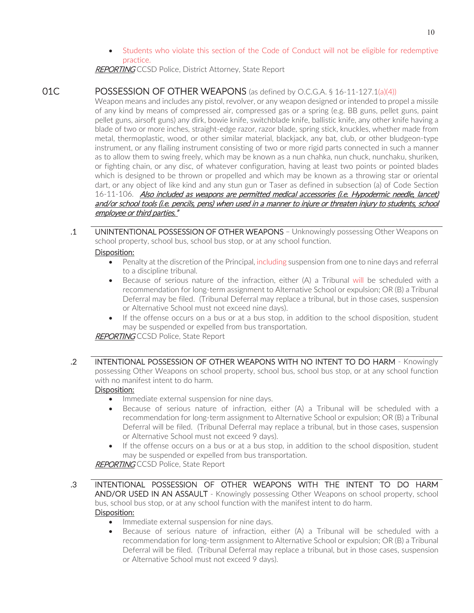Students who violate this section of the Code of Conduct will not be eligible for redemptive practice.

**REPORTING** CCSD Police, District Attorney, State Report

# 01C POSSESSION OF OTHER WEAPONS (as defined by O.C.G.A. § 16-11-127.1(a)(4))

Weapon means and includes any pistol, revolver, or any weapon designed or intended to propel a missile of any kind by means of compressed air, compressed gas or a spring (e.g. BB guns, pellet guns, paint pellet guns, airsoft guns) any dirk, bowie knife, switchblade knife, ballistic knife, any other knife having a blade of two or more inches, straight-edge razor, razor blade, spring stick, knuckles, whether made from metal, thermoplastic, wood, or other similar material, blackjack, any bat, club, or other bludgeon-type instrument, or any flailing instrument consisting of two or more rigid parts connected in such a manner as to allow them to swing freely, which may be known as a nun chahka, nun chuck, nunchaku, shuriken, or fighting chain, or any disc, of whatever configuration, having at least two points or pointed blades which is designed to be thrown or propelled and which may be known as a throwing star or oriental dart, or any object of like kind and any stun gun or Taser as defined in subsection (a) of Code Section 16-11-106. Also included as weapons are permitted medical accessories (i.e. Hypodermic needle, lancet) and/or school tools (i.e. pencils, pens) when used in a manner to injure or threaten injury to students, school employee or third parties."

 .1 UNINTENTIONAL POSSESSION OF OTHER WEAPONS – Unknowingly possessing Other Weapons on school property, school bus, school bus stop, or at any school function.

### Disposition:

- Penalty at the discretion of the Principal, including suspension from one to nine days and referral to a discipline tribunal.
- Because of serious nature of the infraction, either (A) a Tribunal will be scheduled with a recommendation for long-term assignment to Alternative School or expulsion; OR (B) a Tribunal Deferral may be filed. (Tribunal Deferral may replace a tribunal, but in those cases, suspension or Alternative School must not exceed nine days).
- If the offense occurs on a bus or at a bus stop, in addition to the school disposition, student may be suspended or expelled from bus transportation.

REPORTING CCSD Police, State Report

 .2 INTENTIONAL POSSESSION OF OTHER WEAPONS WITH NO INTENT TO DO HARM - Knowingly possessing Other Weapons on school property, school bus, school bus stop, or at any school function with no manifest intent to do harm.

# Disposition:

- Immediate external suspension for nine days.
- $\bullet$  Because of serious nature of infraction, either (A) a Tribunal will be scheduled with a recommendation for long-term assignment to Alternative School or expulsion; OR (B) a Tribunal Deferral will be filed. (Tribunal Deferral may replace a tribunal, but in those cases, suspension or Alternative School must not exceed 9 days).
- If the offense occurs on a bus or at a bus stop, in addition to the school disposition, student may be suspended or expelled from bus transportation.

**REPORTING CCSD Police, State Report** 

- .3 INTENTIONAL POSSESSION OF OTHER WEAPONS WITH THE INTENT TO DO HARM AND/OR USED IN AN ASSAULT - Knowingly possessing Other Weapons on school property, school bus, school bus stop, or at any school function with the manifest intent to do harm. Disposition:
	- Immediate external suspension for nine days.
	- Because of serious nature of infraction, either (A) a Tribunal will be scheduled with a recommendation for long-term assignment to Alternative School or expulsion; OR (B) a Tribunal Deferral will be filed. (Tribunal Deferral may replace a tribunal, but in those cases, suspension or Alternative School must not exceed 9 days).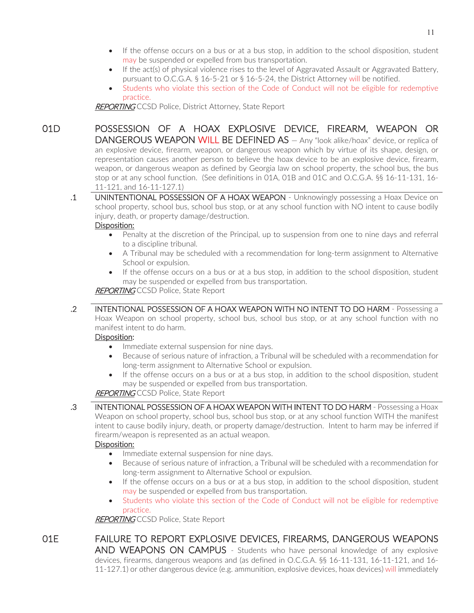- If the offense occurs on a bus or at a bus stop, in addition to the school disposition, student may be suspended or expelled from bus transportation.
- If the act(s) of physical violence rises to the level of Aggravated Assault or Aggravated Battery, pursuant to O.C.G.A. § 16-5-21 or § 16-5-24, the District Attorney will be notified.
- Students who violate this section of the Code of Conduct will not be eligible for redemptive practice.

REPORTING CCSD Police, District Attorney, State Report

01D POSSESSION OF A HOAX EXPLOSIVE DEVICE, FIREARM, WEAPON OR DANGEROUS WEAPON WILL BE DEFINED AS - Any "look alike/hoax" device, or replica of an explosive device, firearm, weapon, or dangerous weapon which by virtue of its shape, design, or representation causes another person to believe the hoax device to be an explosive device, firearm, weapon, or dangerous weapon as defined by Georgia law on school property, the school bus, the bus stop or at any school function. (See definitions in 01A, 01B and 01C and O.C.G.A. §§ 16-11-131, 16- 11-121, and 16-11-127.1)

 .1 UNINTENTIONAL POSSESSION OF A HOAX WEAPON - Unknowingly possessing a Hoax Device on school property, school bus, school bus stop, or at any school function with NO intent to cause bodily injury, death, or property damage/destruction.

#### Disposition:

- Penalty at the discretion of the Principal, up to suspension from one to nine days and referral to a discipline tribunal.
- A Tribunal may be scheduled with a recommendation for long-term assignment to Alternative School or expulsion.
- If the offense occurs on a bus or at a bus stop, in addition to the school disposition, student may be suspended or expelled from bus transportation.

**REPORTING** CCSD Police, State Report

 .2 INTENTIONAL POSSESSION OF A HOAX WEAPON WITH NO INTENT TO DO HARM - Possessing a Hoax Weapon on school property, school bus, school bus stop, or at any school function with no manifest intent to do harm.

# Disposition:

- Immediate external suspension for nine days.
- Because of serious nature of infraction, a Tribunal will be scheduled with a recommendation for long-term assignment to Alternative School or expulsion.
- If the offense occurs on a bus or at a bus stop, in addition to the school disposition, student may be suspended or expelled from bus transportation.

# **REPORTING CCSD Police, State Report**

 .3 INTENTIONAL POSSESSION OF A HOAX WEAPON WITH INTENT TO DO HARM - Possessing a Hoax Weapon on school property, school bus, school bus stop, or at any school function WITH the manifest intent to cause bodily injury, death, or property damage/destruction. Intent to harm may be inferred if firearm/weapon is represented as an actual weapon.

# Disposition:

- Immediate external suspension for nine days.
- Because of serious nature of infraction, a Tribunal will be scheduled with a recommendation for long-term assignment to Alternative School or expulsion.
- If the offense occurs on a bus or at a bus stop, in addition to the school disposition, student may be suspended or expelled from bus transportation.
- x Students who violate this section of the Code of Conduct will not be eligible for redemptive practice.

REPORTING CCSD Police, State Report

# 01E FAILURE TO REPORT EXPLOSIVE DEVICES, FIREARMS, DANGEROUS WEAPONS AND WEAPONS ON CAMPUS - Students who have personal knowledge of any explosive

devices, firearms, dangerous weapons and (as defined in O.C.G.A. §§ 16-11-131, 16-11-121, and 16- 11-127.1) or other dangerous device (e.g. ammunition, explosive devices, hoax devices) will immediately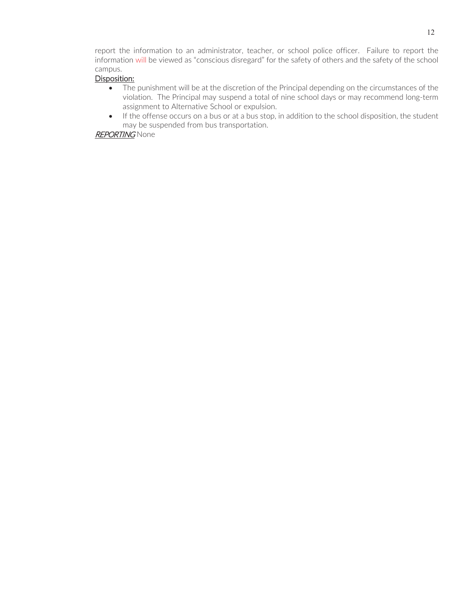report the information to an administrator, teacher, or school police officer. Failure to report the information will be viewed as "conscious disregard" for the safety of others and the safety of the school campus.

### Disposition:

- The punishment will be at the discretion of the Principal depending on the circumstances of the violation. The Principal may suspend a total of nine school days or may recommend long-term assignment to Alternative School or expulsion.
- If the offense occurs on a bus or at a bus stop, in addition to the school disposition, the student may be suspended from bus transportation.

### **REPORTING** None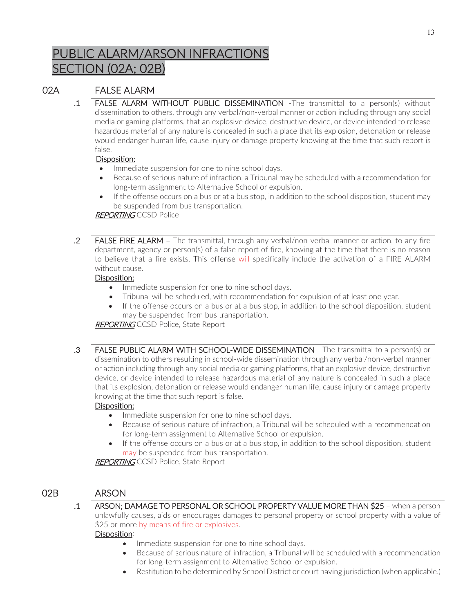# PUBLIC ALARM/ARSON INFRACTIONS SECTION (02A; 02B)

# 02A FALSE ALARM

.1 FALSE ALARM WITHOUT PUBLIC DISSEMINATION -The transmittal to a person(s) without dissemination to others, through any verbal/non-verbal manner or action including through any social media or gaming platforms, that an explosive device, destructive device, or device intended to release hazardous material of any nature is concealed in such a place that its explosion, detonation or release would endanger human life, cause injury or damage property knowing at the time that such report is false.

# Disposition:

- Immediate suspension for one to nine school days.
- Because of serious nature of infraction, a Tribunal may be scheduled with a recommendation for long-term assignment to Alternative School or expulsion.
- If the offense occurs on a bus or at a bus stop, in addition to the school disposition, student may be suspended from bus transportation.

# **REPORTING CCSD Police**

.2 FALSE FIRE ALARM – The transmittal, through any verbal/non-verbal manner or action, to any fire department, agency or person(s) of a false report of fire, knowing at the time that there is no reason to believe that a fire exists. This offense will specifically include the activation of a FIRE ALARM without cause.

# Disposition:

- Immediate suspension for one to nine school days.
- Tribunal will be scheduled, with recommendation for expulsion of at least one year.
- If the offense occurs on a bus or at a bus stop, in addition to the school disposition, student may be suspended from bus transportation.

**REPORTING CCSD Police, State Report** 

.3 FALSE PUBLIC ALARM WITH SCHOOL-WIDE DISSEMINATION - The transmittal to a person(s) or dissemination to others resulting in school-wide dissemination through any verbal/non-verbal manner or action including through any social media or gaming platforms, that an explosive device, destructive device, or device intended to release hazardous material of any nature is concealed in such a place that its explosion, detonation or release would endanger human life, cause injury or damage property knowing at the time that such report is false.

# Disposition:

- Immediate suspension for one to nine school days.
- Because of serious nature of infraction, a Tribunal will be scheduled with a recommendation for long-term assignment to Alternative School or expulsion.
- If the offense occurs on a bus or at a bus stop, in addition to the school disposition, student may be suspended from bus transportation.

**REPORTING** CCSD Police, State Report

# 02B ARSON

.1 ARSON; DAMAGE TO PERSONAL OR SCHOOL PROPERTY VALUE MORE THAN \$25 – when a person unlawfully causes, aids or encourages damages to personal property or school property with a value of \$25 or more by means of fire or explosives.

# Disposition:

- Immediate suspension for one to nine school days.
- Because of serious nature of infraction, a Tribunal will be scheduled with a recommendation for long-term assignment to Alternative School or expulsion.
- Restitution to be determined by School District or court having jurisdiction (when applicable.)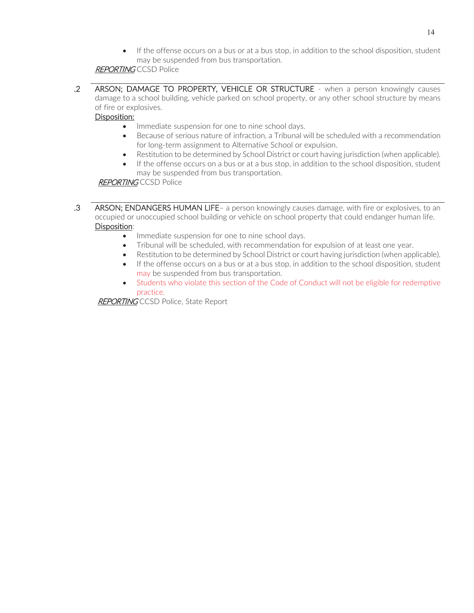If the offense occurs on a bus or at a bus stop, in addition to the school disposition, student may be suspended from bus transportation.

# **REPORTING CCSD Police**

.2 ARSON; DAMAGE TO PROPERTY, VEHICLE OR STRUCTURE - when a person knowingly causes damage to a school building, vehicle parked on school property, or any other school structure by means of fire or explosives.

### Disposition:

- Immediate suspension for one to nine school days.
- Because of serious nature of infraction, a Tribunal will be scheduled with a recommendation for long-term assignment to Alternative School or expulsion.
- $\bullet$  Restitution to be determined by School District or court having jurisdiction (when applicable).
- If the offense occurs on a bus or at a bus stop, in addition to the school disposition, student may be suspended from bus transportation.

#### REPORTING CCSD Police

- .3 ARSON; ENDANGERS HUMAN LIFE- a person knowingly causes damage, with fire or explosives, to an occupied or unoccupied school building or vehicle on school property that could endanger human life. Disposition:
	- Immediate suspension for one to nine school days.
	- Tribunal will be scheduled, with recommendation for expulsion of at least one year.
	- Restitution to be determined by School District or court having jurisdiction (when applicable).
	- If the offense occurs on a bus or at a bus stop, in addition to the school disposition, student may be suspended from bus transportation.
	- Students who violate this section of the Code of Conduct will not be eligible for redemptive practice.

REPORTING CCSD Police, State Report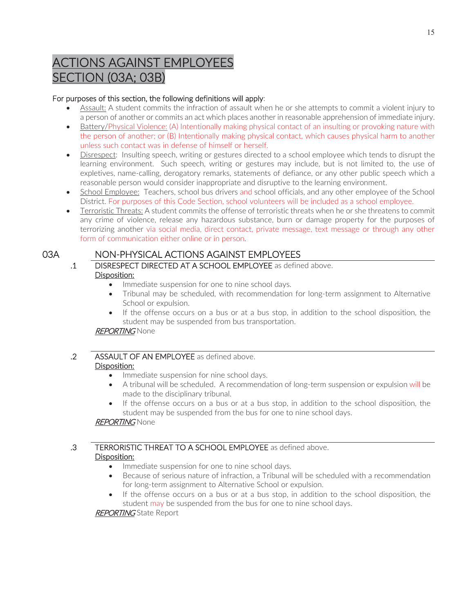# ACTIONS AGAINST EMPLOYEES SECTION (03A; 03B)

# For purposes of this section, the following definitions will apply:

- x Assault: A student commits the infraction of assault when he or she attempts to commit a violent injury to a person of another or commits an act which places another in reasonable apprehension of immediate injury.
- Battery/Physical Violence: (A) Intentionally making physical contact of an insulting or provoking nature with the person of another; or (B) Intentionally making physical contact, which causes physical harm to another unless such contact was in defense of himself or herself.
- Disrespect: Insulting speech, writing or gestures directed to a school employee which tends to disrupt the learning environment. Such speech, writing or gestures may include, but is not limited to, the use of expletives, name-calling, derogatory remarks, statements of defiance, or any other public speech which a reasonable person would consider inappropriate and disruptive to the learning environment.
- School Employee: Teachers, school bus drivers and school officials, and any other employee of the School District. For purposes of this Code Section, school volunteers will be included as a school employee.
- Terroristic Threats: A student commits the offense of terroristic threats when he or she threatens to commit any crime of violence, release any hazardous substance, burn or damage property for the purposes of terrorizing another via social media, direct contact, private message, text message or through any other form of communication either online or in person.

# 03A NON-PHYSICAL ACTIONS AGAINST EMPLOYEES

- .1 DISRESPECT DIRECTED AT A SCHOOL EMPLOYEE as defined above. Disposition:
	- Immediate suspension for one to nine school days.
	- Tribunal may be scheduled, with recommendation for long-term assignment to Alternative School or expulsion.
	- If the offense occurs on a bus or at a bus stop, in addition to the school disposition, the student may be suspended from bus transportation.

# **REPORTING None**

# .2 ASSAULT OF AN EMPLOYEE as defined above. Disposition:

- Immediate suspension for nine school days.
- A tribunal will be scheduled. A recommendation of long-term suspension or expulsion will be made to the disciplinary tribunal.
- If the offense occurs on a bus or at a bus stop, in addition to the school disposition, the student may be suspended from the bus for one to nine school days.

# **REPORTING** None

#### .3 TERRORISTIC THREAT TO A SCHOOL EMPLOYEE as defined above. Disposition:

- Immediate suspension for one to nine school days.
- Because of serious nature of infraction, a Tribunal will be scheduled with a recommendation for long-term assignment to Alternative School or expulsion.
- If the offense occurs on a bus or at a bus stop, in addition to the school disposition, the student may be suspended from the bus for one to nine school days.

**REPORTING** State Report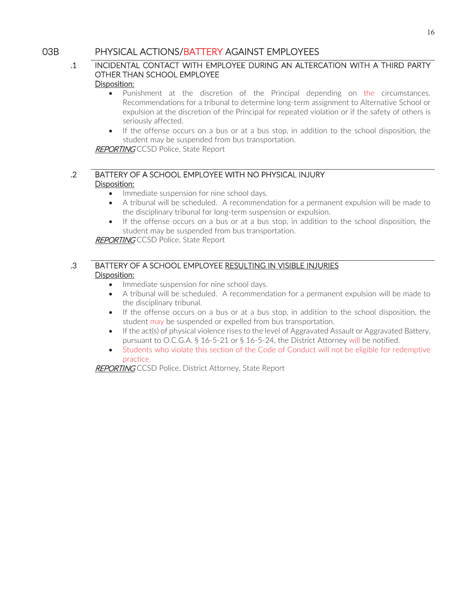# 03B PHYSICAL ACTIONS/BATTERY AGAINST EMPLOYEES

# .1 INCIDENTAL CONTACT WITH EMPLOYEE DURING AN ALTERCATION WITH A THIRD PARTY OTHER THAN SCHOOL EMPLOYEE

#### Disposition:

- Punishment at the discretion of the Principal depending on the circumstances. Recommendations for a tribunal to determine long-term assignment to Alternative School or expulsion at the discretion of the Principal for repeated violation or if the safety of others is seriously affected.
- If the offense occurs on a bus or at a bus stop, in addition to the school disposition, the student may be suspended from bus transportation.

REPORTING CCSD Police, State Report

# .2 BATTERY OF A SCHOOL EMPLOYEE WITH NO PHYSICAL INJURY Disposition:

- Immediate suspension for nine school days.
- x A tribunal will be scheduled. A recommendation for a permanent expulsion will be made to the disciplinary tribunal for long-term suspension or expulsion.
- If the offense occurs on a bus or at a bus stop, in addition to the school disposition, the student may be suspended from bus transportation.

**REPORTING CCSD Police, State Report** 

# .3 BATTERY OF A SCHOOL EMPLOYEE RESULTING IN VISIBLE INJURIES Disposition:

- Immediate suspension for nine school days.
- A tribunal will be scheduled. A recommendation for a permanent expulsion will be made to the disciplinary tribunal.
- If the offense occurs on a bus or at a bus stop, in addition to the school disposition, the student may be suspended or expelled from bus transportation.
- If the act(s) of physical violence rises to the level of Aggravated Assault or Aggravated Battery, pursuant to O.C.G.A. § 16-5-21 or § 16-5-24, the District Attorney will be notified.
- Students who violate this section of the Code of Conduct will not be eligible for redemptive practice.

**REPORTING** CCSD Police, District Attorney, State Report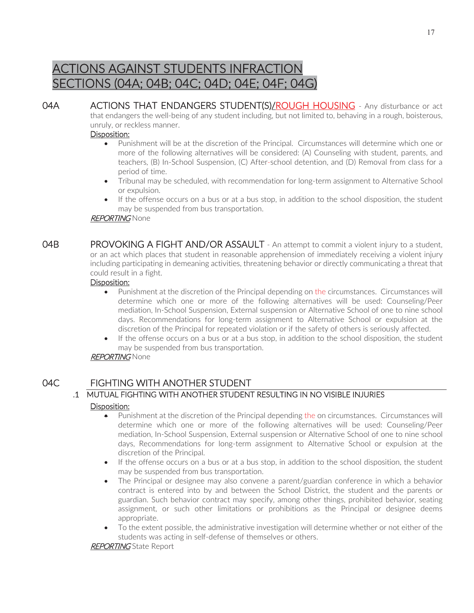# ACTIONS AGAINST STUDENTS INFRACTION SECTIONS (04A; 04B; 04C; 04D; 04E; 04F; 04G)

04A ACTIONS THAT ENDANGERS STUDENT(S)/ROUGH HOUSING - Any disturbance or act that endangers the well-being of any student including, but not limited to, behaving in a rough, boisterous, unruly, or reckless manner.

#### Disposition:

- Punishment will be at the discretion of the Principal. Circumstances will determine which one or more of the following alternatives will be considered: (A) Counseling with student, parents, and teachers, (B) In-School Suspension, (C) After-school detention, and (D) Removal from class for a period of time.
- Tribunal may be scheduled, with recommendation for long-term assignment to Alternative School or expulsion.
- If the offense occurs on a bus or at a bus stop, in addition to the school disposition, the student may be suspended from bus transportation.

#### **REPORTING None**

04B PROVOKING A FIGHT AND/OR ASSAULT - An attempt to commit a violent injury to a student, or an act which places that student in reasonable apprehension of immediately receiving a violent injury including participating in demeaning activities, threatening behavior or directly communicating a threat that could result in a fight.

#### Disposition:

- Punishment at the discretion of the Principal depending on the circumstances. Circumstances will determine which one or more of the following alternatives will be used: Counseling/Peer mediation, In-School Suspension, External suspension or Alternative School of one to nine school days. Recommendations for long-term assignment to Alternative School or expulsion at the discretion of the Principal for repeated violation or if the safety of others is seriously affected.
- If the offense occurs on a bus or at a bus stop, in addition to the school disposition, the student may be suspended from bus transportation.

#### **REPORTING** None

# 04C FIGHTING WITH ANOTHER STUDENT

# .1 MUTUAL FIGHTING WITH ANOTHER STUDENT RESULTING IN NO VISIBLE INJURIES

#### Disposition:

- Punishment at the discretion of the Principal depending the on circumstances. Circumstances will determine which one or more of the following alternatives will be used: Counseling/Peer mediation, In-School Suspension, External suspension or Alternative School of one to nine school days, Recommendations for long-term assignment to Alternative School or expulsion at the discretion of the Principal.
- If the offense occurs on a bus or at a bus stop, in addition to the school disposition, the student may be suspended from bus transportation.
- The Principal or designee may also convene a parent/guardian conference in which a behavior contract is entered into by and between the School District, the student and the parents or guardian. Such behavior contract may specify, among other things, prohibited behavior, seating assignment, or such other limitations or prohibitions as the Principal or designee deems appropriate.
- To the extent possible, the administrative investigation will determine whether or not either of the students was acting in self-defense of themselves or others.

#### **REPORTING** State Report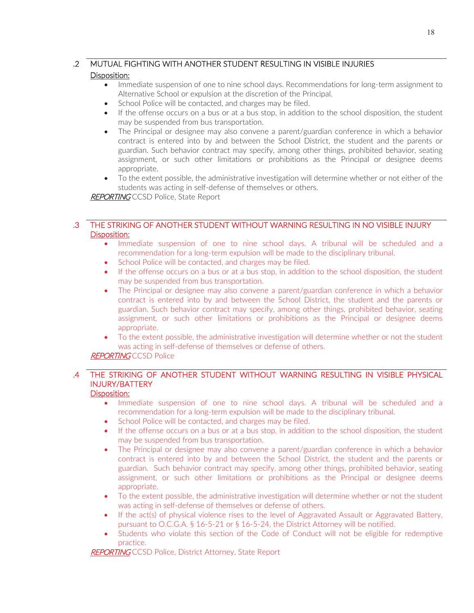# .2 MUTUAL FIGHTING WITH ANOTHER STUDENT RESULTING IN VISIBLE INJURIES

#### Disposition:

- Immediate suspension of one to nine school days. Recommendations for long-term assignment to Alternative School or expulsion at the discretion of the Principal.
- School Police will be contacted, and charges may be filed.
- If the offense occurs on a bus or at a bus stop, in addition to the school disposition, the student may be suspended from bus transportation.
- The Principal or designee may also convene a parent/guardian conference in which a behavior contract is entered into by and between the School District, the student and the parents or guardian. Such behavior contract may specify, among other things, prohibited behavior, seating assignment, or such other limitations or prohibitions as the Principal or designee deems appropriate.
- To the extent possible, the administrative investigation will determine whether or not either of the students was acting in self-defense of themselves or others.

**REPORTING CCSD Police, State Report** 

#### .3 THE STRIKING OF ANOTHER STUDENT WITHOUT WARNING RESULTING IN NO VISIBLE INJURY Disposition:

- Immediate suspension of one to nine school days. A tribunal will be scheduled and a recommendation for a long-term expulsion will be made to the disciplinary tribunal.
- School Police will be contacted, and charges may be filed.
- If the offense occurs on a bus or at a bus stop, in addition to the school disposition, the student may be suspended from bus transportation.
- The Principal or designee may also convene a parent/guardian conference in which a behavior contract is entered into by and between the School District, the student and the parents or guardian. Such behavior contract may specify, among other things, prohibited behavior, seating assignment, or such other limitations or prohibitions as the Principal or designee deems appropriate.
- To the extent possible, the administrative investigation will determine whether or not the student was acting in self-defense of themselves or defense of others.

# **REPORTING** CCSD Police

# .4 THE STRIKING OF ANOTHER STUDENT WITHOUT WARNING RESULTING IN VISIBLE PHYSICAL INJURY/BATTERY

### Disposition:

- Immediate suspension of one to nine school days. A tribunal will be scheduled and a recommendation for a long-term expulsion will be made to the disciplinary tribunal.
- School Police will be contacted, and charges may be filed.
- If the offense occurs on a bus or at a bus stop, in addition to the school disposition, the student may be suspended from bus transportation.
- The Principal or designee may also convene a parent/guardian conference in which a behavior contract is entered into by and between the School District, the student and the parents or guardian. Such behavior contract may specify, among other things, prohibited behavior, seating assignment, or such other limitations or prohibitions as the Principal or designee deems appropriate.
- To the extent possible, the administrative investigation will determine whether or not the student was acting in self-defense of themselves or defense of others.
- If the act(s) of physical violence rises to the level of Aggravated Assault or Aggravated Battery, pursuant to O.C.G.A. § 16-5-21 or § 16-5-24, the District Attorney will be notified.
- Students who violate this section of the Code of Conduct will not be eligible for redemptive practice.

REPORTING CCSD Police, District Attorney, State Report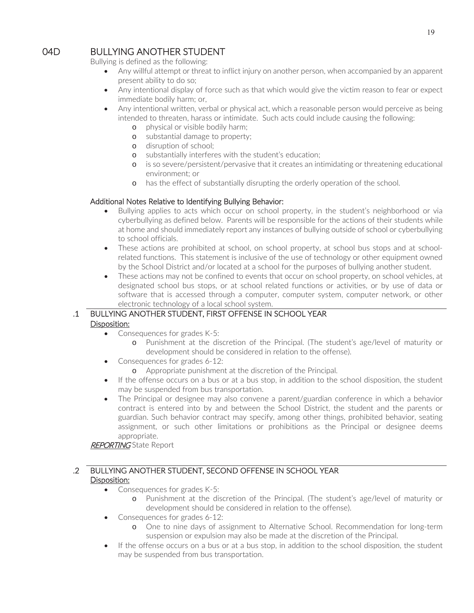# 04D BULLYING ANOTHER STUDENT

Bullying is defined as the following:

- Any willful attempt or threat to inflict injury on another person, when accompanied by an apparent present ability to do so;
- Any intentional display of force such as that which would give the victim reason to fear or expect immediate bodily harm; or,
- Any intentional written, verbal or physical act, which a reasonable person would perceive as being intended to threaten, harass or intimidate. Such acts could include causing the following:
	- o physical or visible bodily harm;
	- o substantial damage to property;
	- o disruption of school;
	- o substantially interferes with the student's education;
	- o is so severe/persistent/pervasive that it creates an intimidating or threatening educational environment; or
	- o has the effect of substantially disrupting the orderly operation of the school.

#### Additional Notes Relative to Identifying Bullying Behavior:

- Bullying applies to acts which occur on school property, in the student's neighborhood or via cyberbullying as defined below. Parents will be responsible for the actions of their students while at home and should immediately report any instances of bullying outside of school or cyberbullying to school officials.
- These actions are prohibited at school, on school property, at school bus stops and at schoolrelated functions. This statement is inclusive of the use of technology or other equipment owned by the School District and/or located at a school for the purposes of bullying another student.
- These actions may not be confined to events that occur on school property, on school vehicles, at designated school bus stops, or at school related functions or activities, or by use of data or software that is accessed through a computer, computer system, computer network, or other electronic technology of a local school system.

# .1 BULLYING ANOTHER STUDENT, FIRST OFFENSE IN SCHOOL YEAR Disposition:

- Consequences for grades K-5:
	- o Punishment at the discretion of the Principal. (The student's age/level of maturity or development should be considered in relation to the offense).
- Consequences for grades 6-12:
	- o Appropriate punishment at the discretion of the Principal.
- If the offense occurs on a bus or at a bus stop, in addition to the school disposition, the student may be suspended from bus transportation.
- The Principal or designee may also convene a parent/guardian conference in which a behavior contract is entered into by and between the School District, the student and the parents or guardian. Such behavior contract may specify, among other things, prohibited behavior, seating assignment, or such other limitations or prohibitions as the Principal or designee deems appropriate.

# **REPORTING** State Report

# .2 BULLYING ANOTHER STUDENT, SECOND OFFENSE IN SCHOOL YEAR Disposition:

- Consequences for grades K-5:
	- o Punishment at the discretion of the Principal. (The student's age/level of maturity or development should be considered in relation to the offense).
- Consequences for grades 6-12:
	- o One to nine days of assignment to Alternative School. Recommendation for long-term suspension or expulsion may also be made at the discretion of the Principal.
- If the offense occurs on a bus or at a bus stop, in addition to the school disposition, the student may be suspended from bus transportation.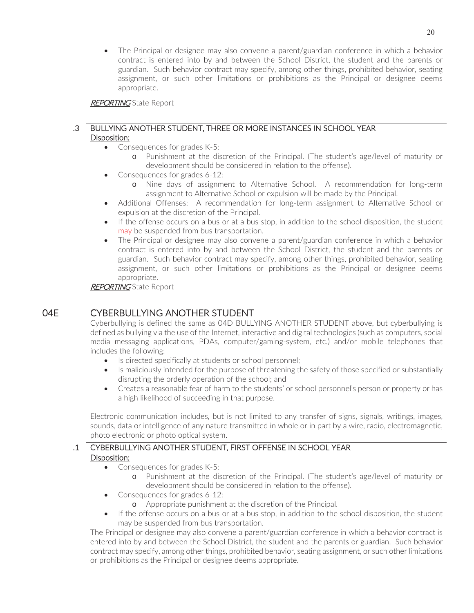The Principal or designee may also convene a parent/guardian conference in which a behavior contract is entered into by and between the School District, the student and the parents or guardian. Such behavior contract may specify, among other things, prohibited behavior, seating assignment, or such other limitations or prohibitions as the Principal or designee deems appropriate.

REPORTING State Report

#### .3 BULLYING ANOTHER STUDENT, THREE OR MORE INSTANCES IN SCHOOL YEAR Disposition:

- Consequences for grades  $K-5$ :
	- o Punishment at the discretion of the Principal. (The student's age/level of maturity or development should be considered in relation to the offense).
- Consequences for grades  $6-12$ :
	- o Nine days of assignment to Alternative School. A recommendation for long-term assignment to Alternative School or expulsion will be made by the Principal.
- Additional Offenses: A recommendation for long-term assignment to Alternative School or expulsion at the discretion of the Principal.
- If the offense occurs on a bus or at a bus stop, in addition to the school disposition, the student may be suspended from bus transportation.
- The Principal or designee may also convene a parent/guardian conference in which a behavior contract is entered into by and between the School District, the student and the parents or guardian. Such behavior contract may specify, among other things, prohibited behavior, seating assignment, or such other limitations or prohibitions as the Principal or designee deems appropriate.

**REPORTING** State Report

# 04E CYBERBULLYING ANOTHER STUDENT

Cyberbullying is defined the same as 04D BULLYING ANOTHER STUDENT above, but cyberbullying is defined as bullying via the use of the Internet, interactive and digital technologies (such as computers, social media messaging applications, PDAs, computer/gaming-system, etc.) and/or mobile telephones that includes the following:

- Is directed specifically at students or school personnel;
- Is maliciously intended for the purpose of threatening the safety of those specified or substantially disrupting the orderly operation of the school; and
- Creates a reasonable fear of harm to the students' or school personnel's person or property or has a high likelihood of succeeding in that purpose.

Electronic communication includes, but is not limited to any transfer of signs, signals, writings, images, sounds, data or intelligence of any nature transmitted in whole or in part by a wire, radio, electromagnetic, photo electronic or photo optical system.

# .1 CYBERBULLYING ANOTHER STUDENT, FIRST OFFENSE IN SCHOOL YEAR Disposition:

- Consequences for grades  $K-5$ :
	- o Punishment at the discretion of the Principal. (The student's age/level of maturity or development should be considered in relation to the offense).
- Consequences for grades 6-12:
	- o Appropriate punishment at the discretion of the Principal.
- If the offense occurs on a bus or at a bus stop, in addition to the school disposition, the student may be suspended from bus transportation.

The Principal or designee may also convene a parent/guardian conference in which a behavior contract is entered into by and between the School District, the student and the parents or guardian. Such behavior contract may specify, among other things, prohibited behavior, seating assignment, or such other limitations or prohibitions as the Principal or designee deems appropriate.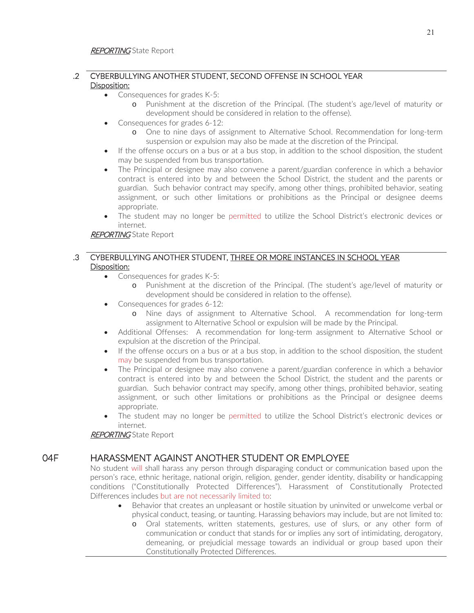# .2 CYBERBULLYING ANOTHER STUDENT, SECOND OFFENSE IN SCHOOL YEAR Disposition:

- Consequences for grades  $K-5$ :
	- o Punishment at the discretion of the Principal. (The student's age/level of maturity or development should be considered in relation to the offense).
- Consequences for grades 6-12:
	- o One to nine days of assignment to Alternative School. Recommendation for long-term suspension or expulsion may also be made at the discretion of the Principal.
- If the offense occurs on a bus or at a bus stop, in addition to the school disposition, the student may be suspended from bus transportation.
- The Principal or designee may also convene a parent/guardian conference in which a behavior contract is entered into by and between the School District, the student and the parents or guardian. Such behavior contract may specify, among other things, prohibited behavior, seating assignment, or such other limitations or prohibitions as the Principal or designee deems appropriate.
- The student may no longer be permitted to utilize the School District's electronic devices or internet.

**REPORTING** State Report

### .3 CYBERBULLYING ANOTHER STUDENT, THREE OR MORE INSTANCES IN SCHOOL YEAR Disposition:

- Consequences for grades  $K-5$ :
	- o Punishment at the discretion of the Principal. (The student's age/level of maturity or development should be considered in relation to the offense).
- Consequences for grades 6-12:
	- o Nine days of assignment to Alternative School. A recommendation for long-term assignment to Alternative School or expulsion will be made by the Principal.
- Additional Offenses: A recommendation for long-term assignment to Alternative School or expulsion at the discretion of the Principal.
- If the offense occurs on a bus or at a bus stop, in addition to the school disposition, the student may be suspended from bus transportation.
- The Principal or designee may also convene a parent/guardian conference in which a behavior contract is entered into by and between the School District, the student and the parents or guardian. Such behavior contract may specify, among other things, prohibited behavior, seating assignment, or such other limitations or prohibitions as the Principal or designee deems appropriate.
- The student may no longer be permitted to utilize the School District's electronic devices or internet.

**REPORTING** State Report

# 04F HARASSMENT AGAINST ANOTHER STUDENT OR EMPLOYEE

No student will shall harass any person through disparaging conduct or communication based upon the person's race, ethnic heritage, national origin, religion, gender, gender identity, disability or handicapping conditions ("Constitutionally Protected Differences"). Harassment of Constitutionally Protected Differences includes but are not necessarily limited to:

- Behavior that creates an unpleasant or hostile situation by uninvited or unwelcome verbal or physical conduct, teasing, or taunting. Harassing behaviors may include, but are not limited to:
	- o Oral statements, written statements, gestures, use of slurs, or any other form of communication or conduct that stands for or implies any sort of intimidating, derogatory, demeaning, or prejudicial message towards an individual or group based upon their Constitutionally Protected Differences.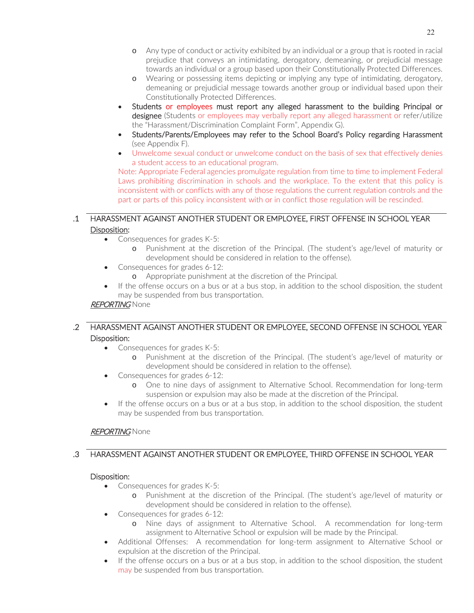- o Any type of conduct or activity exhibited by an individual or a group that is rooted in racial prejudice that conveys an intimidating, derogatory, demeaning, or prejudicial message towards an individual or a group based upon their Constitutionally Protected Differences.
- o Wearing or possessing items depicting or implying any type of intimidating, derogatory, demeaning or prejudicial message towards another group or individual based upon their Constitutionally Protected Differences.
- Students or employees must report any alleged harassment to the building Principal or designee (Students or employees may verbally report any alleged harassment or refer/utilize the "Harassment/Discrimination Complaint Form", Appendix G).
- Students/Parents/Employees may refer to the School Board's Policy regarding Harassment (see Appendix F).
- Unwelcome sexual conduct or unwelcome conduct on the basis of sex that effectively denies a student access to an educational program.

Note: Appropriate Federal agencies promulgate regulation from time to time to implement Federal Laws prohibiting discrimination in schools and the workplace. To the extent that this policy is inconsistent with or conflicts with any of those regulations the current regulation controls and the part or parts of this policy inconsistent with or in conflict those regulation will be rescinded.

### .1 HARASSMENT AGAINST ANOTHER STUDENT OR EMPLOYEE, FIRST OFFENSE IN SCHOOL YEAR Disposition:

- Consequences for grades  $K-5$ :
	- o Punishment at the discretion of the Principal. (The student's age/level of maturity or development should be considered in relation to the offense).
- Consequences for grades 6-12:
	- o Appropriate punishment at the discretion of the Principal.
- If the offense occurs on a bus or at a bus stop, in addition to the school disposition, the student may be suspended from bus transportation.

# **REPORTING None**

# .2 HARASSMENT AGAINST ANOTHER STUDENT OR EMPLOYEE, SECOND OFFENSE IN SCHOOL YEAR Disposition:

- Consequences for grades  $K-5$ :
	- o Punishment at the discretion of the Principal. (The student's age/level of maturity or development should be considered in relation to the offense).
- Consequences for grades 6-12:
	- o One to nine days of assignment to Alternative School. Recommendation for long-term suspension or expulsion may also be made at the discretion of the Principal.
- If the offense occurs on a bus or at a bus stop, in addition to the school disposition, the student may be suspended from bus transportation.

# **REPORTING None**

# .3 HARASSMENT AGAINST ANOTHER STUDENT OR EMPLOYEE, THIRD OFFENSE IN SCHOOL YEAR

#### Disposition:

- Consequences for grades  $K-5$ :
	- o Punishment at the discretion of the Principal. (The student's age/level of maturity or development should be considered in relation to the offense).
- Consequences for grades 6-12:
	- o Nine days of assignment to Alternative School. A recommendation for long-term assignment to Alternative School or expulsion will be made by the Principal.
- Additional Offenses: A recommendation for long-term assignment to Alternative School or expulsion at the discretion of the Principal.
- If the offense occurs on a bus or at a bus stop, in addition to the school disposition, the student may be suspended from bus transportation.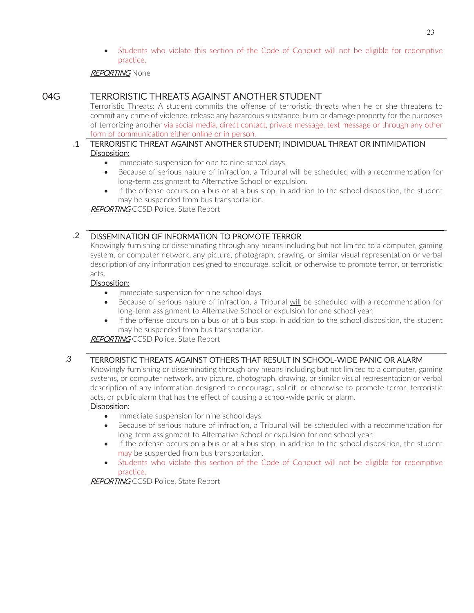Students who violate this section of the Code of Conduct will not be eligible for redemptive practice.

### **REPORTING** None

# 04G TERRORISTIC THREATS AGAINST ANOTHER STUDENT

Terroristic Threats: A student commits the offense of terroristic threats when he or she threatens to commit any crime of violence, release any hazardous substance, burn or damage property for the purposes of terrorizing another via social media, direct contact, private message, text message or through any other form of communication either online or in person.

#### .1 TERRORISTIC THREAT AGAINST ANOTHER STUDENT; INDIVIDUAL THREAT OR INTIMIDATION Disposition:

- Immediate suspension for one to nine school days.
- x Because of serious nature of infraction, a Tribunal will be scheduled with a recommendation for long-term assignment to Alternative School or expulsion.
- If the offense occurs on a bus or at a bus stop, in addition to the school disposition, the student may be suspended from bus transportation.

**REPORTING CCSD Police, State Report** 

# .2 DISSEMINATION OF INFORMATION TO PROMOTE TERROR

Knowingly furnishing or disseminating through any means including but not limited to a computer, gaming system, or computer network, any picture, photograph, drawing, or similar visual representation or verbal description of any information designed to encourage, solicit, or otherwise to promote terror, or terroristic acts.

#### Disposition:

- Immediate suspension for nine school days.
- Because of serious nature of infraction, a Tribunal will be scheduled with a recommendation for long-term assignment to Alternative School or expulsion for one school year;
- If the offense occurs on a bus or at a bus stop, in addition to the school disposition, the student may be suspended from bus transportation.

**REPORTING** CCSD Police, State Report

# .3 TERRORISTIC THREATS AGAINST OTHERS THAT RESULT IN SCHOOL-WIDE PANIC OR ALARM

Knowingly furnishing or disseminating through any means including but not limited to a computer, gaming systems, or computer network, any picture, photograph, drawing, or similar visual representation or verbal description of any information designed to encourage, solicit, or otherwise to promote terror, terroristic acts, or public alarm that has the effect of causing a school-wide panic or alarm.

#### Disposition:

- Immediate suspension for nine school days.
- Because of serious nature of infraction, a Tribunal will be scheduled with a recommendation for long-term assignment to Alternative School or expulsion for one school year;
- If the offense occurs on a bus or at a bus stop, in addition to the school disposition, the student may be suspended from bus transportation.
- Students who violate this section of the Code of Conduct will not be eligible for redemptive practice.

REPORTING CCSD Police, State Report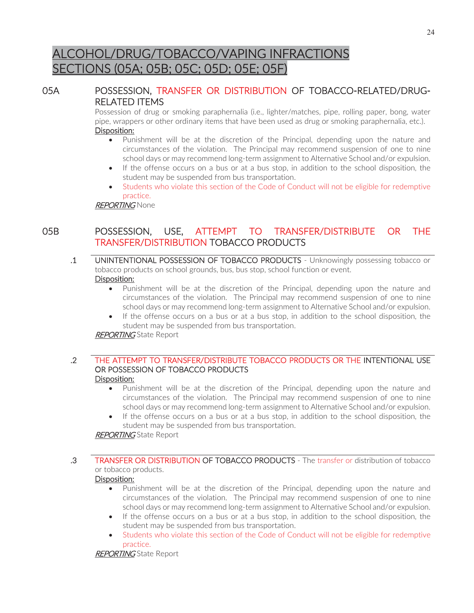# ALCOHOL/DRUG/TOBACCO/VAPING INFRACTIONS SECTIONS (05A; 05B; 05C; 05D; 05E; 05F)

# 05A POSSESSION, TRANSFER OR DISTRIBUTION OF TOBACCO-RELATED/DRUG-RELATED ITEMS

Possession of drug or smoking paraphernalia (i.e., lighter/matches, pipe, rolling paper, bong, water pipe, wrappers or other ordinary items that have been used as drug or smoking paraphernalia, etc.). Disposition:

- Punishment will be at the discretion of the Principal, depending upon the nature and circumstances of the violation. The Principal may recommend suspension of one to nine school days or may recommend long-term assignment to Alternative School and/or expulsion.
- If the offense occurs on a bus or at a bus stop, in addition to the school disposition, the student may be suspended from bus transportation.
- Students who violate this section of the Code of Conduct will not be eligible for redemptive practice.

**REPORTING None** 

# 05B POSSESSION, USE, ATTEMPT TO TRANSFER/DISTRIBUTE OR THE TRANSFER/DISTRIBUTION TOBACCO PRODUCTS

- .1 UNINTENTIONAL POSSESSION OF TOBACCO PRODUCTS Unknowingly possessing tobacco or tobacco products on school grounds, bus, bus stop, school function or event. Disposition:
	- Punishment will be at the discretion of the Principal, depending upon the nature and circumstances of the violation. The Principal may recommend suspension of one to nine school days or may recommend long-term assignment to Alternative School and/or expulsion.
	- If the offense occurs on a bus or at a bus stop, in addition to the school disposition, the student may be suspended from bus transportation.

REPORTING State Report

# .2 THE ATTEMPT TO TRANSFER/DISTRIBUTE TOBACCO PRODUCTS OR THE INTENTIONAL USE OR POSSESSION OF TOBACCO PRODUCTS

#### Disposition:

- Punishment will be at the discretion of the Principal, depending upon the nature and circumstances of the violation. The Principal may recommend suspension of one to nine school days or may recommend long-term assignment to Alternative School and/or expulsion.
- If the offense occurs on a bus or at a bus stop, in addition to the school disposition, the student may be suspended from bus transportation.

**REPORTING** State Report

# .3 TRANSFER OR DISTRIBUTION OF TOBACCO PRODUCTS - The transfer or distribution of tobacco or tobacco products.

# Disposition:

- Punishment will be at the discretion of the Principal, depending upon the nature and circumstances of the violation. The Principal may recommend suspension of one to nine school days or may recommend long-term assignment to Alternative School and/or expulsion.
- If the offense occurs on a bus or at a bus stop, in addition to the school disposition, the student may be suspended from bus transportation.
- Students who violate this section of the Code of Conduct will not be eligible for redemptive practice.

**REPORTING** State Report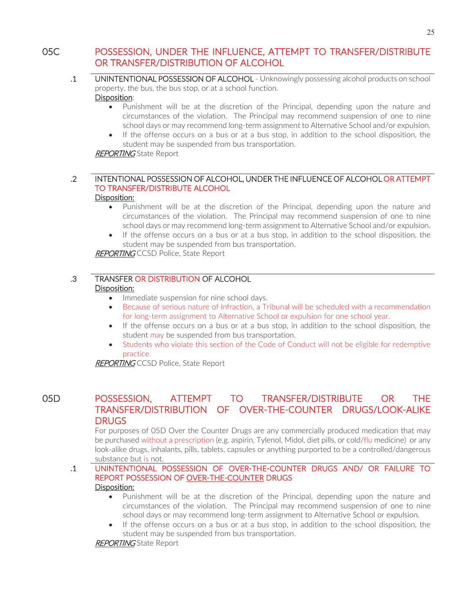# 05C POSSESSION, UNDER THE INFLUENCE, ATTEMPT TO TRANSFER/DISTRIBUTE OR TRANSFER/DISTRIBUTION OF ALCOHOL

- .1 UNINTENTIONAL POSSESSION OF ALCOHOL Unknowingly possessing alcohol products on school property, the bus, the bus stop, or at a school function. Disposition:
	- Punishment will be at the discretion of the Principal, depending upon the nature and circumstances of the violation. The Principal may recommend suspension of one to nine school days or may recommend long-term assignment to Alternative School and/or expulsion.
	- If the offense occurs on a bus or at a bus stop, in addition to the school disposition, the student may be suspended from bus transportation.

**REPORTING** State Report

#### .2 INTENTIONAL POSSESSION OF ALCOHOL, UNDER THE INFLUENCE OF ALCOHOL OR ATTEMPT TO TRANSFER/DISTRIBUTE ALCOHOL Disposition:

- Punishment will be at the discretion of the Principal, depending upon the nature and circumstances of the violation. The Principal may recommend suspension of one to nine school days or may recommend long-term assignment to Alternative School and/or expulsion.
- If the offense occurs on a bus or at a bus stop, in addition to the school disposition, the student may be suspended from bus transportation.

**REPORTING** CCSD Police, State Report

#### .3 TRANSFER OR DISTRIBUTION OF ALCOHOL Disposition:

- Immediate suspension for nine school days.
- Because of serious nature of infraction, a Tribunal will be scheduled with a recommendation for long-term assignment to Alternative School or expulsion for one school year.
- If the offense occurs on a bus or at a bus stop, in addition to the school disposition, the student may be suspended from bus transportation.
- Students who violate this section of the Code of Conduct will not be eligible for redemptive practice.

**REPORTING CCSD Police, State Report** 

# 05D POSSESSION, ATTEMPT TO TRANSFER/DISTRIBUTE OR THE TRANSFER/DISTRIBUTION OF OVER-THE-COUNTER DRUGS/LOOK-ALIKE **DRUGS**

For purposes of 05D Over the Counter Drugs are any commercially produced medication that may be purchased without a prescription (e.g. aspirin, Tylenol, Midol, diet pills, or cold/flu medicine) or any look-alike drugs, inhalants, pills, tablets, capsules or anything purported to be a controlled/dangerous substance but is not.

#### .1 UNINTENTIONAL POSSESSION OF OVER-THE-COUNTER DRUGS AND/ OR FAILURE TO REPORT POSSESSION OF OVER-THE-COUNTER DRUGS Disposition:

- Punishment will be at the discretion of the Principal, depending upon the nature and circumstances of the violation. The Principal may recommend suspension of one to nine school days or may recommend long-term assignment to Alternative School or expulsion.
- If the offense occurs on a bus or at a bus stop, in addition to the school disposition, the student may be suspended from bus transportation.

**REPORTING** State Report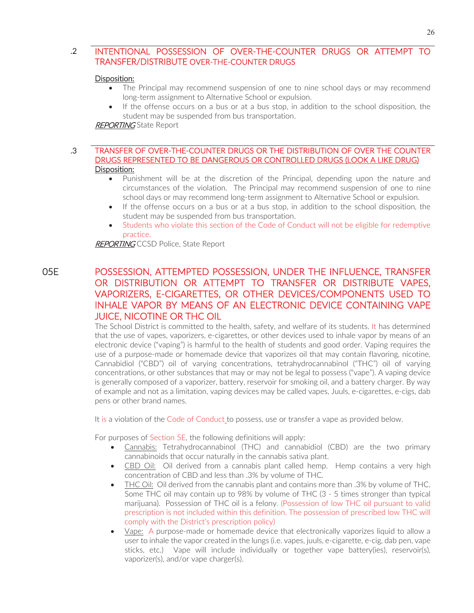# .2 INTENTIONAL POSSESSION OF OVER-THE-COUNTER DRUGS OR ATTEMPT TO TRANSFER/DISTRIBUTE OVER-THE-COUNTER DRUGS

#### Disposition:

- The Principal may recommend suspension of one to nine school days or may recommend long-term assignment to Alternative School or expulsion.
- If the offense occurs on a bus or at a bus stop, in addition to the school disposition, the student may be suspended from bus transportation.

#### **REPORTING** State Report

#### .3 TRANSFER OF OVER-THE-COUNTER DRUGS OR THE DISTRIBUTION OF OVER THE COUNTER DRUGS REPRESENTED TO BE DANGEROUS OR CONTROLLED DRUGS (LOOK A LIKE DRUG) Disposition:

- Punishment will be at the discretion of the Principal, depending upon the nature and circumstances of the violation. The Principal may recommend suspension of one to nine school days or may recommend long-term assignment to Alternative School or expulsion.
- If the offense occurs on a bus or at a bus stop, in addition to the school disposition, the student may be suspended from bus transportation.
- Students who violate this section of the Code of Conduct will not be eligible for redemptive practice.

**REPORTING CCSD Police, State Report** 

# 05E POSSESSION, ATTEMPTED POSSESSION, UNDER THE INFLUENCE, TRANSFER OR DISTRIBUTION OR ATTEMPT TO TRANSFER OR DISTRIBUTE VAPES, VAPORIZERS, E-CIGARETTES, OR OTHER DEVICES/COMPONENTS USED TO INHALE VAPOR BY MEANS OF AN ELECTRONIC DEVICE CONTAINING VAPE JUICE, NICOTINE OR THC OIL

The School District is committed to the health, safety, and welfare of its students. It has determined that the use of vapes, vaporizers, e-cigarettes, or other devices used to inhale vapor by means of an electronic device ("vaping") is harmful to the health of students and good order. Vaping requires the use of a purpose-made or homemade device that vaporizes oil that may contain flavoring, nicotine, Cannabidiol ("CBD") oil of varying concentrations, tetrahydrocannabinol ("THC") oil of varying concentrations, or other substances that may or may not be legal to possess ("vape"). A vaping device is generally composed of a vaporizer, battery, reservoir for smoking oil, and a battery charger. By way of example and not as a limitation, vaping devices may be called vapes, Juuls, e-cigarettes, e-cigs, dab pens or other brand names.

It is a violation of the Code of Conduct to possess, use or transfer a vape as provided below.

For purposes of Section 5E, the following definitions will apply:

- x Cannabis: Tetrahydrocannabinol (THC) and cannabidiol (CBD) are the two primary cannabinoids that occur naturally in the cannabis sativa plant.
- CBD Oil: Oil derived from a cannabis plant called hemp. Hemp contains a very high concentration of CBD and less than .3% by volume of THC.
- THC Oil: Oil derived from the cannabis plant and contains more than .3% by volume of THC. Some THC oil may contain up to 98% by volume of THC (3 - 5 times stronger than typical marijuana). Possession of THC oil is a felony. (Possession of low THC oil pursuant to valid prescription is not included within this definition. The possession of prescribed low THC will comply with the District's prescription policy)
- Vape: A purpose-made or homemade device that electronically vaporizes liquid to allow a user to inhale the vapor created in the lungs (i.e. vapes, juuls, e-cigarette, e-cig, dab pen, vape sticks, etc.) Vape will include individually or together vape battery(ies), reservoir(s), vaporizer(s), and/or vape charger(s).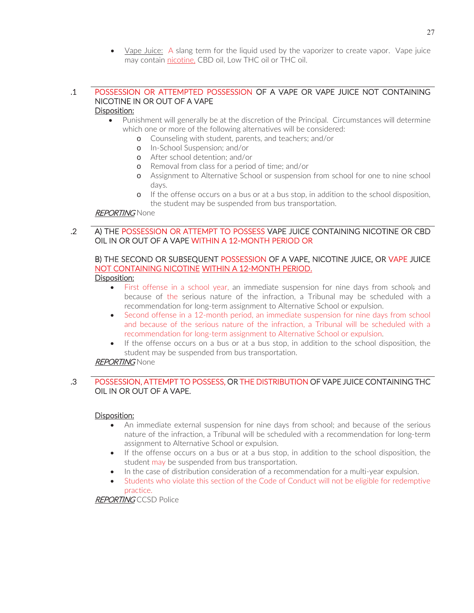• Vape Juice: A slang term for the liquid used by the vaporizer to create vapor. Vape juice may contain nicotine, CBD oil, Low THC oil or THC oil.

#### .1 POSSESSION OR ATTEMPTED POSSESSION OF A VAPE OR VAPE JUICE NOT CONTAINING NICOTINE IN OR OUT OF A VAPE Disposition:

#### • Punishment will generally be at the discretion of the Principal. Circumstances will determine which one or more of the following alternatives will be considered:

- o Counseling with student, parents, and teachers; and/or
- o In-School Suspension; and/or
- o After school detention; and/or
- o Removal from class for a period of time; and/or
- o Assignment to Alternative School or suspension from school for one to nine school days.
- o If the offense occurs on a bus or at a bus stop, in addition to the school disposition, the student may be suspended from bus transportation.

#### **REPORTING** None

#### .2 A) THE POSSESSION OR ATTEMPT TO POSSESS VAPE JUICE CONTAINING NICOTINE OR CBD OIL IN OR OUT OF A VAPE WITHIN A 12-MONTH PERIOD OR

# B) THE SECOND OR SUBSEQUENT POSSESSION OF A VAPE, NICOTINE JUICE, OR VAPE JUICE NOT CONTAINING NICOTINE WITHIN A 12-MONTH PERIOD.

#### Disposition:

- First offense in a school year, an immediate suspension for nine days from school; and because of the serious nature of the infraction, a Tribunal may be scheduled with a recommendation for long-term assignment to Alternative School or expulsion.
- Second offense in a 12-month period, an immediate suspension for nine days from school and because of the serious nature of the infraction, a Tribunal will be scheduled with a recommendation for long-term assignment to Alternative School or expulsion.
- If the offense occurs on a bus or at a bus stop, in addition to the school disposition, the student may be suspended from bus transportation.

### **REPORTING None**

# .3 POSSESSION, ATTEMPT TO POSSESS, OR THE DISTRIBUTION OF VAPE JUICE CONTAINING THC OIL IN OR OUT OF A VAPE.

#### Disposition:

- An immediate external suspension for nine days from school; and because of the serious nature of the infraction, a Tribunal will be scheduled with a recommendation for long-term assignment to Alternative School or expulsion.
- If the offense occurs on a bus or at a bus stop, in addition to the school disposition, the student may be suspended from bus transportation.
- In the case of distribution consideration of a recommendation for a multi-year expulsion.
- Students who violate this section of the Code of Conduct will not be eligible for redemptive practice.

**REPORTING CCSD Police**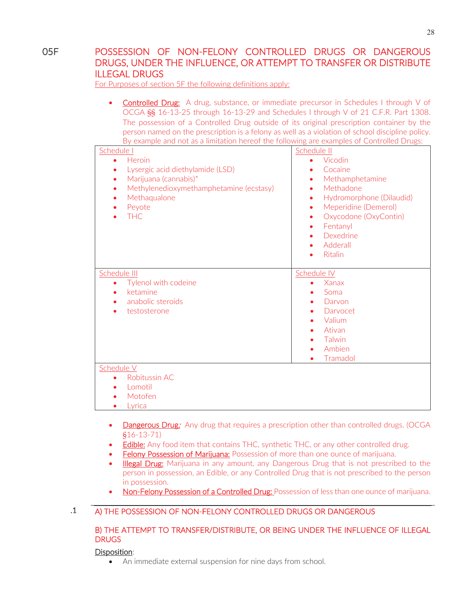#### 05F POSSESSION OF NON-FELONY CONTROLLED DRUGS OR DANGEROUS DRUGS, UNDER THE INFLUENCE, OR ATTEMPT TO TRANSFER OR DISTRIBUTE ILLEGAL DRUGS

For Purposes of section 5F the following definitions apply:

• Controlled Drug: A drug, substance, or immediate precursor in Schedules I through V of OCGA §§ 16-13-25 through 16-13-29 and Schedules I through V of 21 C.F.R. Part 1308. The possession of a Controlled Drug outside of its original prescription container by the person named on the prescription is a felony as well as a violation of school discipline policy. By example and not as a limitation hereof the following are examples of Controlled Drugs:

| p) champic and not as a immation mercor are rollowing are examples or contributed brags.<br>Schedule I | Schedule II                |
|--------------------------------------------------------------------------------------------------------|----------------------------|
| Heroin<br>$\bullet$                                                                                    | Vicodin                    |
| Lysergic acid diethylamide (LSD)<br>$\bullet$                                                          | Cocaine<br>۰               |
| Marijuana (cannabis)*<br>$\bullet$                                                                     | Methamphetamine<br>٠       |
| Methylenedioxymethamphetamine (ecstasy)                                                                | Methadone                  |
| Methaqualone                                                                                           | Hydromorphone (Dilaudid)   |
| Peyote                                                                                                 | Meperidine (Demerol)<br>۰  |
| <b>THC</b>                                                                                             | Oxycodone (OxyContin)<br>۰ |
|                                                                                                        | Fentanyl<br>٠              |
|                                                                                                        | Dexedrine                  |
|                                                                                                        | Adderall<br>٠              |
|                                                                                                        | <b>Ritalin</b>             |
|                                                                                                        |                            |
| Schedule III                                                                                           | Schedule IV                |
| Tylenol with codeine<br>$\bullet$                                                                      | Xanax                      |
| ketamine<br>$\bullet$                                                                                  | Soma                       |
| anabolic steroids                                                                                      | Darvon                     |
| testosterone                                                                                           | Darvocet                   |
|                                                                                                        | Valium                     |
|                                                                                                        | Ativan                     |
|                                                                                                        | Talwin                     |
|                                                                                                        | Ambien                     |
|                                                                                                        | Tramadol<br>٠              |
| Schedule V                                                                                             |                            |
| Robitussin AC<br>$\bullet$                                                                             |                            |
| Lomotil                                                                                                |                            |
| Motofen                                                                                                |                            |
| Lyrica                                                                                                 |                            |

- Dangerous Drug: Any drug that requires a prescription other than controlled drugs. (OCGA §16-13-71)
- Edible: Any food item that contains THC, synthetic THC, or any other controlled drug.
- **Eelony Possession of Marijuana:** Possession of more than one ounce of marijuana.
- Illegal Drug: Marijuana in any amount, any Dangerous Drug that is not prescribed to the person in possession, an Edible, or any Controlled Drug that is not prescribed to the person in possession.
- Non-Felony Possession of a Controlled Drug: Possession of less than one ounce of marijuana.

# .1 A) THE POSSESSION OF NON-FELONY CONTROLLED DRUGS OR DANGEROUS

#### B) THE ATTEMPT TO TRANSFER/DISTRIBUTE, OR BEING UNDER THE INFLUENCE OF ILLEGAL **DRUGS**

#### Disposition:

• An immediate external suspension for nine days from school.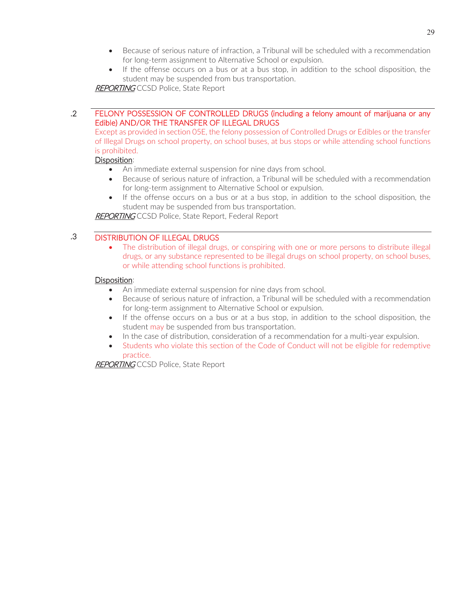- Because of serious nature of infraction, a Tribunal will be scheduled with a recommendation for long-term assignment to Alternative School or expulsion.
- If the offense occurs on a bus or at a bus stop, in addition to the school disposition, the student may be suspended from bus transportation.

**REPORTING** CCSD Police, State Report

#### .2 FELONY POSSESSION OF CONTROLLED DRUGS (including a felony amount of marijuana or any Edible) AND/OR THE TRANSFER OF ILLEGAL DRUGS

Except as provided in section 05E, the felony possession of Controlled Drugs or Edibles or the transfer of Illegal Drugs on school property, on school buses, at bus stops or while attending school functions is prohibited.

#### Disposition:

- An immediate external suspension for nine days from school.
- Because of serious nature of infraction, a Tribunal will be scheduled with a recommendation for long-term assignment to Alternative School or expulsion.
- If the offense occurs on a bus or at a bus stop, in addition to the school disposition, the student may be suspended from bus transportation.

REPORTING CCSD Police, State Report, Federal Report

# .3 DISTRIBUTION OF ILLEGAL DRUGS

• The distribution of illegal drugs, or conspiring with one or more persons to distribute illegal drugs, or any substance represented to be illegal drugs on school property, on school buses, or while attending school functions is prohibited.

#### Disposition:

- An immediate external suspension for nine days from school.
- Because of serious nature of infraction, a Tribunal will be scheduled with a recommendation for long-term assignment to Alternative School or expulsion.
- If the offense occurs on a bus or at a bus stop, in addition to the school disposition, the student may be suspended from bus transportation.
- In the case of distribution, consideration of a recommendation for a multi-year expulsion.
- Students who violate this section of the Code of Conduct will not be eligible for redemptive practice.

REPORTING CCSD Police, State Report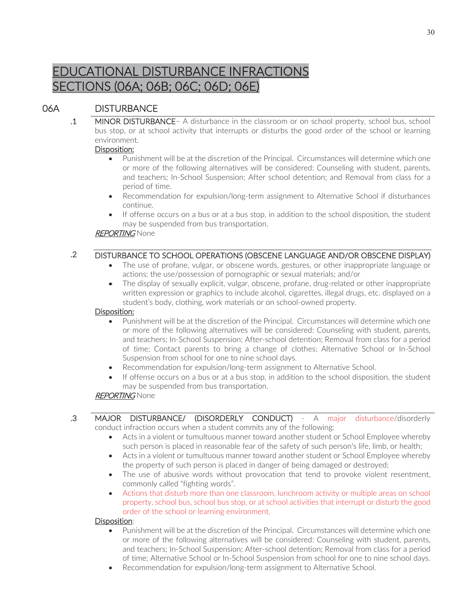# EDUCATIONAL DISTURBANCE INFRACTIONS SECTIONS (06A; 06B; 06C; 06D; 06E)

# 06A DISTURBANCE

 .1 MINOR DISTURBANCE– A disturbance in the classroom or on school property, school bus, school bus stop, or at school activity that interrupts or disturbs the good order of the school or learning environment.

# Disposition:

- Punishment will be at the discretion of the Principal. Circumstances will determine which one or more of the following alternatives will be considered: Counseling with student, parents, and teachers; In-School Suspension; After school detention; and Removal from class for a period of time.
- x Recommendation for expulsion/long-term assignment to Alternative School if disturbances continue.
- If offense occurs on a bus or at a bus stop, in addition to the school disposition, the student may be suspended from bus transportation.

# **REPORTING None**

# .2 DISTURBANCE TO SCHOOL OPERATIONS (OBSCENE LANGUAGE AND/OR OBSCENE DISPLAY)

- The use of profane, vulgar, or obscene words, gestures, or other inappropriate language or actions; the use/possession of pornographic or sexual materials; and/or
- $\bullet$  The display of sexually explicit, vulgar, obscene, profane, drug-related or other inappropriate written expression or graphics to include alcohol, cigarettes, illegal drugs, etc. displayed on a student's body, clothing, work materials or on school-owned property.

# Disposition:

- Punishment will be at the discretion of the Principal. Circumstances will determine which one or more of the following alternatives will be considered: Counseling with student, parents, and teachers; In-School Suspension; After-school detention; Removal from class for a period of time; Contact parents to bring a change of clothes; Alternative School or In-School Suspension from school for one to nine school days.
- Recommendation for expulsion/long-term assignment to Alternative School.
- If offense occurs on a bus or at a bus stop, in addition to the school disposition, the student may be suspended from bus transportation.

# **REPORTING** None

- .3 MAJOR DISTURBANCE/ (DISORDERLY CONDUCT) A major disturbance/disorderly conduct infraction occurs when a student commits any of the following:
	- Acts in a violent or tumultuous manner toward another student or School Employee whereby such person is placed in reasonable fear of the safety of such person's life, limb, or health;
	- Acts in a violent or tumultuous manner toward another student or School Employee whereby the property of such person is placed in danger of being damaged or destroyed;
	- The use of abusive words without provocation that tend to provoke violent resentment, commonly called "fighting words".
	- Actions that disturb more than one classroom, lunchroom activity or multiple areas on school property, school bus, school bus stop, or at school activities that interrupt or disturb the good order of the school or learning environment.

# Disposition:

- Punishment will be at the discretion of the Principal. Circumstances will determine which one or more of the following alternatives will be considered: Counseling with student, parents, and teachers; In-School Suspension; After-school detention; Removal from class for a period of time; Alternative School or In-School Suspension from school for one to nine school days.
- Recommendation for expulsion/long-term assignment to Alternative School.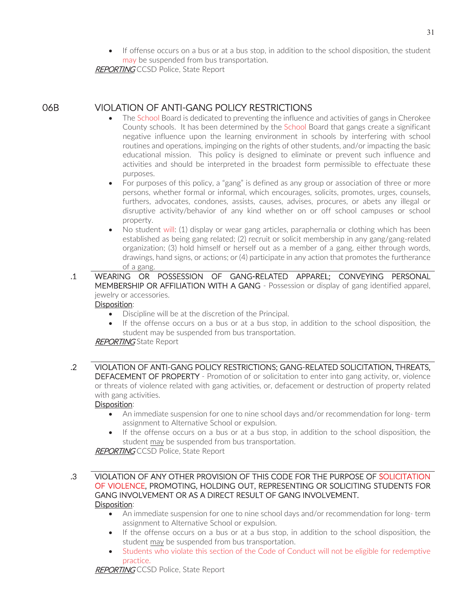**REPORTING CCSD Police, State Report** 

06B VIOLATION OF ANTI-GANG POLICY RESTRICTIONS

- The School Board is dedicated to preventing the influence and activities of gangs in Cherokee County schools. It has been determined by the School Board that gangs create a significant negative influence upon the learning environment in schools by interfering with school routines and operations, impinging on the rights of other students, and/or impacting the basic educational mission. This policy is designed to eliminate or prevent such influence and activities and should be interpreted in the broadest form permissible to effectuate these purposes.
- For purposes of this policy, a "gang" is defined as any group or association of three or more persons, whether formal or informal, which encourages, solicits, promotes, urges, counsels, furthers, advocates, condones, assists, causes, advises, procures, or abets any illegal or disruptive activity/behavior of any kind whether on or off school campuses or school property.
- No student will: (1) display or wear gang articles, paraphernalia or clothing which has been established as being gang related; (2) recruit or solicit membership in any gang/gang-related organization; (3) hold himself or herself out as a member of a gang, either through words, drawings, hand signs, or actions; or (4) participate in any action that promotes the furtherance of a gang.
- .1 WEARING OR POSSESSION OF GANG-RELATED APPAREL; CONVEYING PERSONAL MEMBERSHIP OR AFFILIATION WITH A GANG - Possession or display of gang identified apparel, jewelry or accessories.

## Disposition:

- Discipline will be at the discretion of the Principal.
- If the offense occurs on a bus or at a bus stop, in addition to the school disposition, the student may be suspended from bus transportation.

## REPORTING State Report

 .2 VIOLATION OF ANTI-GANG POLICY RESTRICTIONS; GANG-RELATED SOLICITATION, THREATS, DEFACEMENT OF PROPERTY - Promotion of or solicitation to enter into gang activity, or, violence or threats of violence related with gang activities, or, defacement or destruction of property related with gang activities.

## Disposition:

- An immediate suspension for one to nine school days and/or recommendation for long- term assignment to Alternative School or expulsion.
- If the offense occurs on a bus or at a bus stop, in addition to the school disposition, the student may be suspended from bus transportation.

**REPORTING CCSD Police, State Report** 

- .3 VIOLATION OF ANY OTHER PROVISION OF THIS CODE FOR THE PURPOSE OF SOLICITATION OF VIOLENCE, PROMOTING, HOLDING OUT, REPRESENTING OR SOLICITING STUDENTS FOR GANG INVOLVEMENT OR AS A DIRECT RESULT OF GANG INVOLVEMENT. Disposition:
	- An immediate suspension for one to nine school days and/or recommendation for long- term assignment to Alternative School or expulsion.
	- If the offense occurs on a bus or at a bus stop, in addition to the school disposition, the student may be suspended from bus transportation.
	- Students who violate this section of the Code of Conduct will not be eligible for redemptive practice.

REPORTING CCSD Police, State Report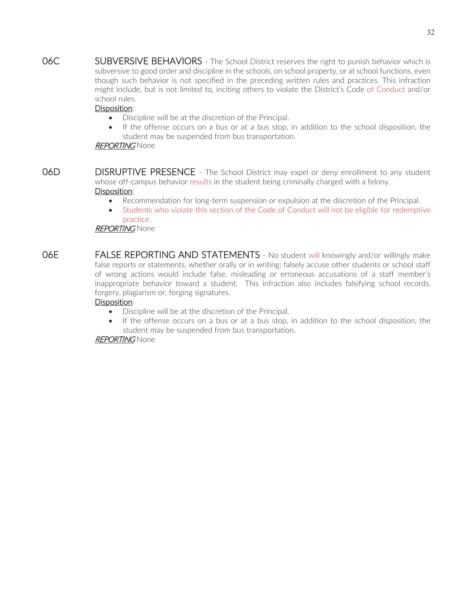06C SUBVERSIVE BEHAVIORS - The School District reserves the right to punish behavior which is subversive to good order and discipline in the schools, on school property, or at school functions, even though such behavior is not specified in the preceding written rules and practices. This infraction might include, but is not limited to, inciting others to violate the District's Code of Conduct and/or school rules.

## Disposition:

- Discipline will be at the discretion of the Principal.
- If the offense occurs on a bus or at a bus stop, in addition to the school disposition, the student may be suspended from bus transportation.

## REPORTING None

- **06D** DISRUPTIVE PRESENCE The School District may expel or deny enrollment to any student whose off-campus behavior results in the student being criminally charged with a felony. Disposition:
	- Recommendation for long-term suspension or expulsion at the discretion of the Principal.
	- Students who violate this section of the Code of Conduct will not be eligible for redemptive practice.

## REPORTING None

**O6E FALSE REPORTING AND STATEMENTS** - No student will knowingly and/or willingly make false reports or statements, whether orally or in writing; falsely accuse other students or school staff of wrong actions would include false, misleading or erroneous accusations of a staff member's inappropriate behavior toward a student. This infraction also includes falsifying school records, forgery, plagiarism or, forging signatures.

## Disposition:

- Discipline will be at the discretion of the Principal.
- If the offense occurs on a bus or at a bus stop, in addition to the school disposition, the student may be suspended from bus transportation.

## REPORTING None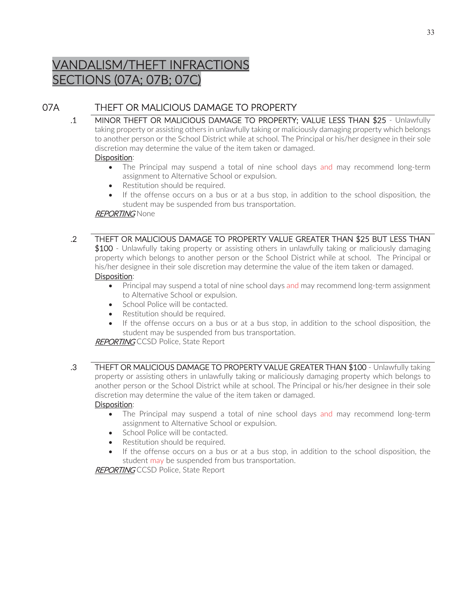# VANDALISM/THEFT INFRACTIONS SECTIONS (07A; 07B; 07C)

## 07A THEFT OR MALICIOUS DAMAGE TO PROPERTY

 .1 MINOR THEFT OR MALICIOUS DAMAGE TO PROPERTY; VALUE LESS THAN \$25 - Unlawfully taking property or assisting others in unlawfully taking or maliciously damaging property which belongs to another person or the School District while at school. The Principal or his/her designee in their sole discretion may determine the value of the item taken or damaged.

## Disposition:

- The Principal may suspend a total of nine school days and may recommend long-term assignment to Alternative School or expulsion.
- Restitution should be required.
- If the offense occurs on a bus or at a bus stop, in addition to the school disposition, the student may be suspended from bus transportation.

## REPORTING None

 .2 THEFT OR MALICIOUS DAMAGE TO PROPERTY VALUE GREATER THAN \$25 BUT LESS THAN \$100 - Unlawfully taking property or assisting others in unlawfully taking or maliciously damaging property which belongs to another person or the School District while at school. The Principal or his/her designee in their sole discretion may determine the value of the item taken or damaged.

## Disposition:

- Principal may suspend a total of nine school days and may recommend long-term assignment to Alternative School or expulsion.
- School Police will be contacted.
- Restitution should be required.
- $\bullet$  If the offense occurs on a bus or at a bus stop, in addition to the school disposition, the student may be suspended from bus transportation.

## **REPORTING CCSD Police, State Report**

 .3 THEFT OR MALICIOUS DAMAGE TO PROPERTY VALUE GREATER THAN \$100 - Unlawfully taking property or assisting others in unlawfully taking or maliciously damaging property which belongs to another person or the School District while at school. The Principal or his/her designee in their sole discretion may determine the value of the item taken or damaged.

## Disposition:

- The Principal may suspend a total of nine school days and may recommend long-term assignment to Alternative School or expulsion.
- School Police will be contacted.
- Restitution should be required.
- If the offense occurs on a bus or at a bus stop, in addition to the school disposition, the student may be suspended from bus transportation.

**REPORTING CCSD Police, State Report**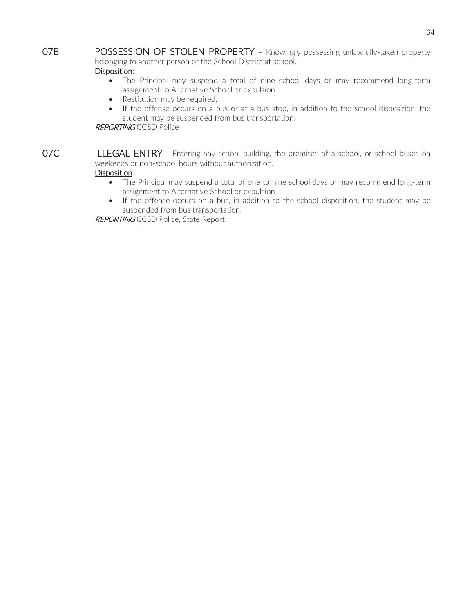**07B** POSSESSION OF STOLEN PROPERTY - Knowingly possessing unlawfully-taken property belonging to another person or the School District at school.

## Disposition:

- The Principal may suspend a total of nine school days or may recommend long-term assignment to Alternative School or expulsion.
- Restitution may be required.
- If the offense occurs on a bus or at a bus stop, in addition to the school disposition, the student may be suspended from bus transportation.

#### **REPORTING** CCSD Police

07C ILLEGAL ENTRY - Entering any school building, the premises of a school, or school buses on weekends or non-school hours without authorization. Disposition:

- The Principal may suspend a total of one to nine school days or may recommend long-term assignment to Alternative School or expulsion.
- If the offense occurs on a bus, in addition to the school disposition, the student may be suspended from bus transportation.

REPORTING CCSD Police, State Report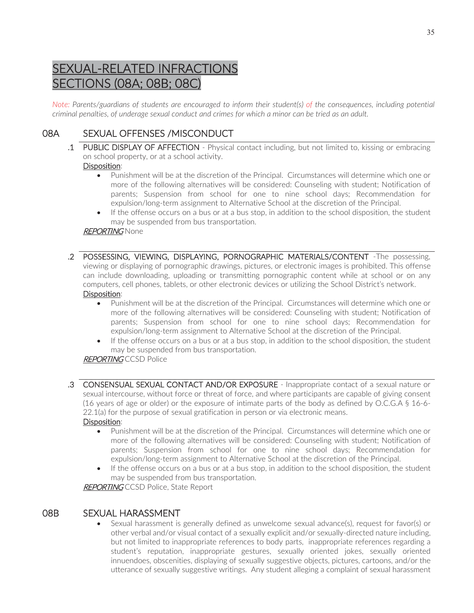# SEXUAL-RELATED INFRACTIONS SECTIONS (08A; 08B; 08C)

*Note: Parents/guardians of students are encouraged to inform their student(s) of the consequences, including potential criminal penalties, of underage sexual conduct and crimes for which a minor can be tried as an adult.* 

## 08A SEXUAL OFFENSES /MISCONDUCT

 .1 PUBLIC DISPLAY OF AFFECTION - Physical contact including, but not limited to, kissing or embracing on school property, or at a school activity.

## Disposition:

- Punishment will be at the discretion of the Principal. Circumstances will determine which one or more of the following alternatives will be considered: Counseling with student; Notification of parents; Suspension from school for one to nine school days; Recommendation for expulsion/long-term assignment to Alternative School at the discretion of the Principal.
- If the offense occurs on a bus or at a bus stop, in addition to the school disposition, the student may be suspended from bus transportation.

## REPORTING None

- .2 POSSESSING, VIEWING, DISPLAYING, PORNOGRAPHIC MATERIALS/CONTENT -The possessing, viewing or displaying of pornographic drawings, pictures, or electronic images is prohibited. This offense can include downloading, uploading or transmitting pornographic content while at school or on any computers, cell phones, tablets, or other electronic devices or utilizing the School District's network. Disposition:
	- Punishment will be at the discretion of the Principal. Circumstances will determine which one or more of the following alternatives will be considered: Counseling with student; Notification of parents; Suspension from school for one to nine school days; Recommendation for expulsion/long-term assignment to Alternative School at the discretion of the Principal.
	- If the offense occurs on a bus or at a bus stop, in addition to the school disposition, the student may be suspended from bus transportation.

## **REPORTING CCSD Police**

 .3 CONSENSUAL SEXUAL CONTACT AND/OR EXPOSURE - Inappropriate contact of a sexual nature or sexual intercourse, without force or threat of force, and where participants are capable of giving consent (16 years of age or older) or the exposure of intimate parts of the body as defined by O.C.G.A § 16-6- 22.1(a) for the purpose of sexual gratification in person or via electronic means.

## Disposition:

- Punishment will be at the discretion of the Principal. Circumstances will determine which one or more of the following alternatives will be considered: Counseling with student; Notification of parents; Suspension from school for one to nine school days; Recommendation for expulsion/long-term assignment to Alternative School at the discretion of the Principal.
- If the offense occurs on a bus or at a bus stop, in addition to the school disposition, the student may be suspended from bus transportation.

**REPORTING CCSD Police, State Report** 

## 08B SEXUAL HARASSMENT

• Sexual harassment is generally defined as unwelcome sexual advance(s), request for favor(s) or other verbal and/or visual contact of a sexually explicit and/or sexually-directed nature including, but not limited to inappropriate references to body parts, inappropriate references regarding a student's reputation, inappropriate gestures, sexually oriented jokes, sexually oriented innuendoes, obscenities, displaying of sexually suggestive objects, pictures, cartoons, and/or the utterance of sexually suggestive writings. Any student alleging a complaint of sexual harassment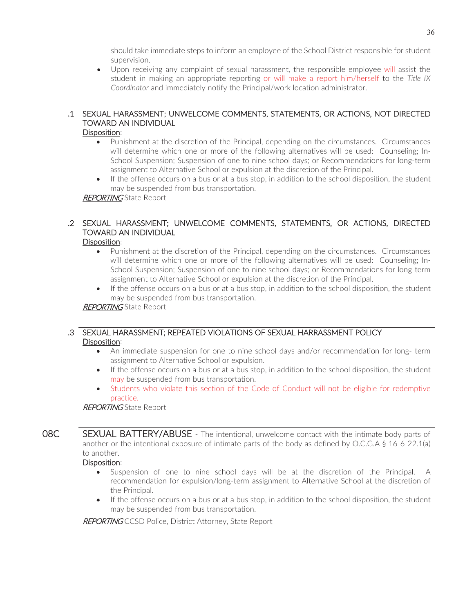should take immediate steps to inform an employee of the School District responsible for student supervision.

• Upon receiving any complaint of sexual harassment, the responsible employee will assist the student in making an appropriate reporting or will make a report him/herself to the *Title IX Coordinator* and immediately notify the Principal/work location administrator.

## .1 SEXUAL HARASSMENT; UNWELCOME COMMENTS, STATEMENTS, OR ACTIONS, NOT DIRECTED TOWARD AN INDIVIDUAL

## Disposition:

- Punishment at the discretion of the Principal, depending on the circumstances. Circumstances will determine which one or more of the following alternatives will be used: Counseling; In-School Suspension; Suspension of one to nine school days; or Recommendations for long-term assignment to Alternative School or expulsion at the discretion of the Principal.
- If the offense occurs on a bus or at a bus stop, in addition to the school disposition, the student may be suspended from bus transportation.

## **REPORTING** State Report

## .2 SEXUAL HARASSMENT; UNWELCOME COMMENTS, STATEMENTS, OR ACTIONS, DIRECTED TOWARD AN INDIVIDUAL

#### Disposition:

- Punishment at the discretion of the Principal, depending on the circumstances. Circumstances will determine which one or more of the following alternatives will be used: Counseling; In-School Suspension; Suspension of one to nine school days; or Recommendations for long-term assignment to Alternative School or expulsion at the discretion of the Principal.
- If the offense occurs on a bus or at a bus stop, in addition to the school disposition, the student may be suspended from bus transportation.

## **REPORTING** State Report

## .3 SEXUAL HARASSMENT; REPEATED VIOLATIONS OF SEXUAL HARRASSMENT POLICY Disposition:

- An immediate suspension for one to nine school days and/or recommendation for long- term assignment to Alternative School or expulsion.
- If the offense occurs on a bus or at a bus stop, in addition to the school disposition, the student may be suspended from bus transportation.
- Students who violate this section of the Code of Conduct will not be eligible for redemptive practice.

#### **REPORTING** State Report

**O8C** SEXUAL BATTERY/ABUSE - The intentional, unwelcome contact with the intimate body parts of another or the intentional exposure of intimate parts of the body as defined by O.C.G.A § 16-6-22.1(a) to another.

## Disposition:

- Suspension of one to nine school days will be at the discretion of the Principal. A recommendation for expulsion/long-term assignment to Alternative School at the discretion of the Principal.
- $\bullet$  If the offense occurs on a bus or at a bus stop, in addition to the school disposition, the student may be suspended from bus transportation.

**REPORTING** CCSD Police, District Attorney, State Report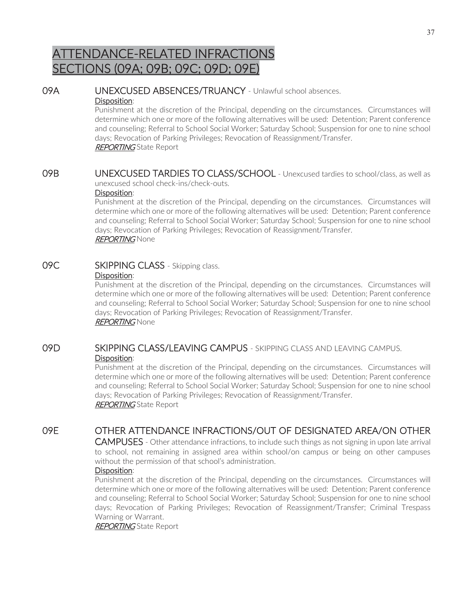# ATTENDANCE-RELATED INFRACTIONS SECTIONS (09A; 09B; 09C; 09D; 09E)

## 09A UNEXCUSED ABSENCES/TRUANCY - Unlawful school absences.

## Disposition:

Punishment at the discretion of the Principal, depending on the circumstances. Circumstances will determine which one or more of the following alternatives will be used: Detention; Parent conference and counseling; Referral to School Social Worker; Saturday School; Suspension for one to nine school days; Revocation of Parking Privileges; Revocation of Reassignment/Transfer. **REPORTING** State Report

09B UNEXCUSED TARDIES TO CLASS/SCHOOL - Unexcused tardies to school/class, as well as unexcused school check-ins/check-outs.

#### Disposition:

Punishment at the discretion of the Principal, depending on the circumstances. Circumstances will determine which one or more of the following alternatives will be used: Detention; Parent conference and counseling; Referral to School Social Worker; Saturday School; Suspension for one to nine school days; Revocation of Parking Privileges; Revocation of Reassignment/Transfer. **REPORTING** None

#### 09C SKIPPING CLASS - Skipping class. Disposition:

Punishment at the discretion of the Principal, depending on the circumstances. Circumstances will determine which one or more of the following alternatives will be used: Detention; Parent conference and counseling; Referral to School Social Worker; Saturday School; Suspension for one to nine school days; Revocation of Parking Privileges; Revocation of Reassignment/Transfer. **REPORTING None** 

## 09D SKIPPING CLASS/LEAVING CAMPUS - SKIPPING CLASS AND LEAVING CAMPUS. Disposition:

Punishment at the discretion of the Principal, depending on the circumstances. Circumstances will determine which one or more of the following alternatives will be used: Detention; Parent conference and counseling; Referral to School Social Worker; Saturday School; Suspension for one to nine school days; Revocation of Parking Privileges; Revocation of Reassignment/Transfer. **REPORTING** State Report

## 09E OTHER ATTENDANCE INFRACTIONS/OUT OF DESIGNATED AREA/ON OTHER

CAMPUSES - Other attendance infractions, to include such things as not signing in upon late arrival to school, not remaining in assigned area within school/on campus or being on other campuses without the permission of that school's administration.

## Disposition:

Punishment at the discretion of the Principal, depending on the circumstances. Circumstances will determine which one or more of the following alternatives will be used: Detention; Parent conference and counseling; Referral to School Social Worker; Saturday School; Suspension for one to nine school days; Revocation of Parking Privileges; Revocation of Reassignment/Transfer; Criminal Trespass Warning or Warrant.

**REPORTING** State Report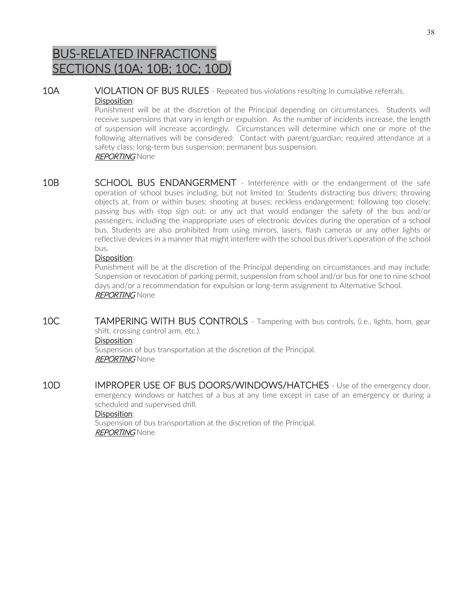# BUS-RELATED INFRACTIONS SECTIONS (10A; 10B; 10C; 10D)

10A VIOLATION OF BUS RULES - Repeated bus violations resulting in cumulative referrals. Disposition:

Punishment will be at the discretion of the Principal depending on circumstances. Students will receive suspensions that vary in length or expulsion. As the number of incidents increase, the length of suspension will increase accordingly. Circumstances will determine which one or more of the following alternatives will be considered: Contact with parent/guardian; required attendance at a safety class; long-term bus suspension; permanent bus suspension. REPORTING None

10B SCHOOL BUS ENDANGERMENT - Interference with or the endangerment of the safe operation of school buses including, but not limited to: Students distracting bus drivers; throwing objects at, from or within buses; shooting at buses; reckless endangerment; following too closely; passing bus with stop sign out; or any act that would endanger the safety of the bus and/or passengers, including the inappropriate uses of electronic devices during the operation of a school bus. Students are also prohibited from using mirrors, lasers, flash cameras or any other lights or reflective devices in a manner that might interfere with the school bus driver's operation of the school bus.

## Disposition:

Punishment will be at the discretion of the Principal depending on circumstances and may include: Suspension or revocation of parking permit, suspension from school and/or bus for one to nine school days and/or a recommendation for expulsion or long-term assignment to Alternative School. REPORTING None

10C TAMPERING WITH BUS CONTROLS - Tampering with bus controls, (i.e., lights, horn, gear shift, crossing control arm, etc.).

## Disposition:

Suspension of bus transportation at the discretion of the Principal. REPORTING None

10D IMPROPER USE OF BUS DOORS/WINDOWS/HATCHES - Use of the emergency door, emergency windows or hatches of a bus at any time except in case of an emergency or during a scheduled and supervised drill.

## Disposition:

Suspension of bus transportation at the discretion of the Principal. REPORTING None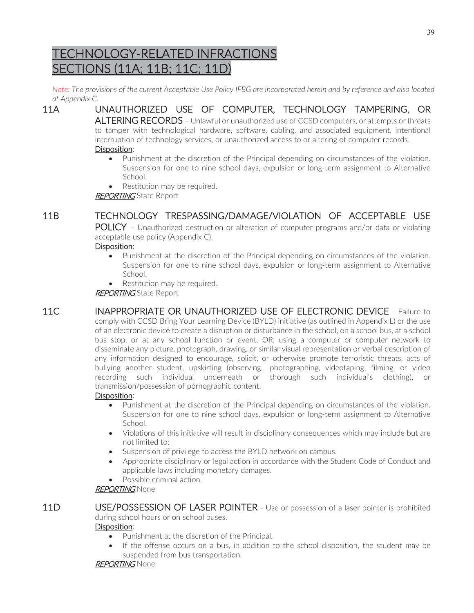# TECHNOLOGY-RELATED INFRACTIONS SECTIONS (11A; 11B; 11C; 11D)

*Note: The provisions of the current Acceptable Use Policy IFBG are incorporated herein and by reference and also located at Appendix C.* 

11A UNAUTHORIZED USE OF COMPUTER, TECHNOLOGY TAMPERING, OR ALTERING RECORDS - Unlawful or unauthorized use of CCSD computers, or attempts or threats

to tamper with technological hardware, software, cabling, and associated equipment, intentional interruption of technology services, or unauthorized access to or altering of computer records.

- Disposition:
	- Punishment at the discretion of the Principal depending on circumstances of the violation. Suspension for one to nine school days, expulsion or long-term assignment to Alternative School.
	- Restitution may be required.

REPORTING State Report

## 11B TECHNOLOGY TRESPASSING/DAMAGE/VIOLATION OF ACCEPTABLE USE

POLICY – Unauthorized destruction or alteration of computer programs and/or data or violating acceptable use policy (Appendix C).

## Disposition:

- Punishment at the discretion of the Principal depending on circumstances of the violation. Suspension for one to nine school days, expulsion or long-term assignment to Alternative School.
- Restitution may be required.

**REPORTING** State Report

11C INAPPROPRIATE OR UNAUTHORIZED USE OF ELECTRONIC DEVICE - Failure to comply with CCSD Bring Your Learning Device (BYLD) initiative (as outlined in Appendix L) or the use of an electronic device to create a disruption or disturbance in the school, on a school bus, at a school bus stop, or at any school function or event, OR, using a computer or computer network to disseminate any picture, photograph, drawing, or similar visual representation or verbal description of any information designed to encourage, solicit, or otherwise promote terroristic threats, acts of bullying another student, upskirting (observing, photographing, videotaping, filming, or video recording such individual underneath or thorough such individual's clothing), or transmission/possession of pornographic content.

## Disposition:

- Punishment at the discretion of the Principal depending on circumstances of the violation. Suspension for one to nine school days, expulsion or long-term assignment to Alternative School.
- Violations of this initiative will result in disciplinary consequences which may include but are not limited to:
- Suspension of privilege to access the BYLD network on campus.
- Appropriate disciplinary or legal action in accordance with the Student Code of Conduct and applicable laws including monetary damages.
- Possible criminal action.

## **REPORTING** None

## 11D USE/POSSESSION OF LASER POINTER - Use or possession of a laser pointer is prohibited during school hours or on school buses.

## Disposition:

- Punishment at the discretion of the Principal.
- If the offense occurs on a bus, in addition to the school disposition, the student may be suspended from bus transportation.

## **REPORTING None**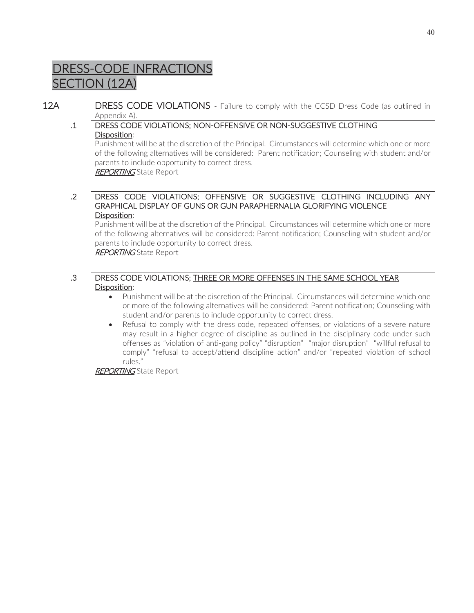# DRESS-CODE INFRACTIONS SECTION (12A)

12A DRESS CODE VIOLATIONS - Failure to comply with the CCSD Dress Code (as outlined in Appendix A).

## .1 DRESS CODE VIOLATIONS; NON-OFFENSIVE OR NON-SUGGESTIVE CLOTHING Disposition:

Punishment will be at the discretion of the Principal. Circumstances will determine which one or more of the following alternatives will be considered: Parent notification; Counseling with student and/or parents to include opportunity to correct dress. **REPORTING** State Report

 .2 DRESS CODE VIOLATIONS; OFFENSIVE OR SUGGESTIVE CLOTHING INCLUDING ANY GRAPHICAL DISPLAY OF GUNS OR GUN PARAPHERNALIA GLORIFYING VIOLENCE Disposition:

Punishment will be at the discretion of the Principal. Circumstances will determine which one or more of the following alternatives will be considered: Parent notification; Counseling with student and/or parents to include opportunity to correct dress.

REPORTING State Report

## .3 DRESS CODE VIOLATIONS; THREE OR MORE OFFENSES IN THE SAME SCHOOL YEAR Disposition:

- Punishment will be at the discretion of the Principal. Circumstances will determine which one or more of the following alternatives will be considered: Parent notification; Counseling with student and/or parents to include opportunity to correct dress.
- Refusal to comply with the dress code, repeated offenses, or violations of a severe nature may result in a higher degree of discipline as outlined in the disciplinary code under such offenses as "violation of anti-gang policy" "disruption" "major disruption" "willful refusal to comply" "refusal to accept/attend discipline action" and/or "repeated violation of school rules."

REPORTING State Report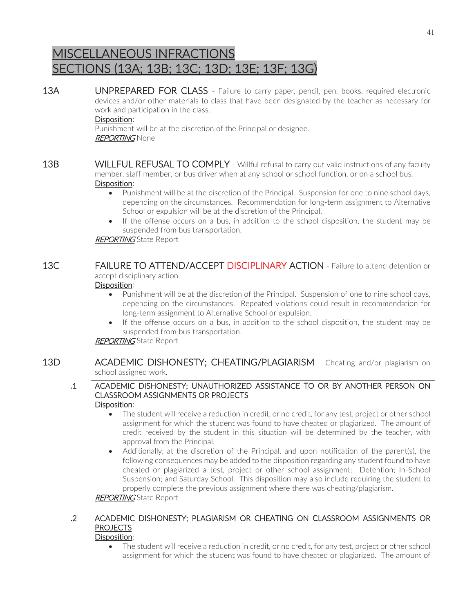# MISCELLANEOUS INFRACTIONS SECTIONS (13A; 13B; 13C; 13D; 13E; 13F; 13G)

13A UNPREPARED FOR CLASS - Failure to carry paper, pencil, pen, books, required electronic devices and/or other materials to class that have been designated by the teacher as necessary for work and participation in the class.

## Disposition:

Punishment will be at the discretion of the Principal or designee. REPORTING None

- **13B WILLFUL REFUSAL TO COMPLY** Willful refusal to carry out valid instructions of any faculty member, staff member, or bus driver when at any school or school function, or on a school bus. Disposition:
	- Punishment will be at the discretion of the Principal. Suspension for one to nine school days, depending on the circumstances. Recommendation for long-term assignment to Alternative School or expulsion will be at the discretion of the Principal.
	- If the offense occurs on a bus, in addition to the school disposition, the student may be suspended from bus transportation.

## **REPORTING** State Report

## 13C **FAILURE TO ATTEND/ACCEPT DISCIPLINARY ACTION** - Failure to attend detention or accept disciplinary action.

## Disposition:

- Punishment will be at the discretion of the Principal. Suspension of one to nine school days, depending on the circumstances. Repeated violations could result in recommendation for long-term assignment to Alternative School or expulsion.
- If the offense occurs on a bus, in addition to the school disposition, the student may be suspended from bus transportation.

## **REPORTING** State Report

13D **ACADEMIC DISHONESTY; CHEATING/PLAGIARISM** - Cheating and/or plagiarism on school assigned work.

#### .1 ACADEMIC DISHONESTY; UNAUTHORIZED ASSISTANCE TO OR BY ANOTHER PERSON ON CLASSROOM ASSIGNMENTS OR PROJECTS Disposition:

- The student will receive a reduction in credit, or no credit, for any test, project or other school assignment for which the student was found to have cheated or plagiarized. The amount of credit received by the student in this situation will be determined by the teacher, with approval from the Principal.
- Additionally, at the discretion of the Principal, and upon notification of the parent(s), the following consequences may be added to the disposition regarding any student found to have cheated or plagiarized a test, project or other school assignment: Detention; In-School Suspension; and Saturday School. This disposition may also include requiring the student to properly complete the previous assignment where there was cheating/plagiarism.

## **REPORTING** State Report

## .2 ACADEMIC DISHONESTY; PLAGIARISM OR CHEATING ON CLASSROOM ASSIGNMENTS OR **PROJECTS**

- Disposition:
	- The student will receive a reduction in credit, or no credit, for any test, project or other school assignment for which the student was found to have cheated or plagiarized. The amount of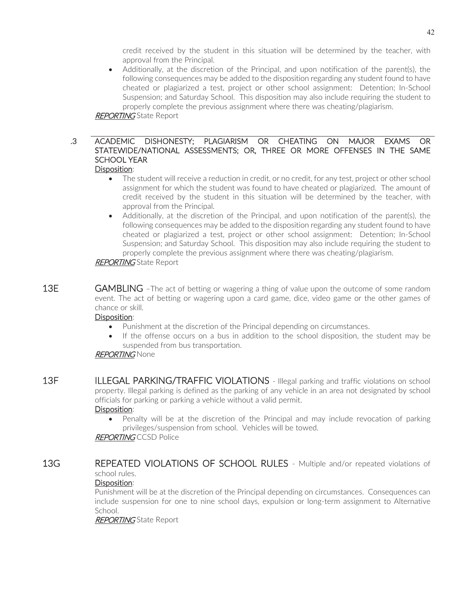credit received by the student in this situation will be determined by the teacher, with approval from the Principal.

• Additionally, at the discretion of the Principal, and upon notification of the parent(s), the following consequences may be added to the disposition regarding any student found to have cheated or plagiarized a test, project or other school assignment: Detention; In-School Suspension; and Saturday School. This disposition may also include requiring the student to properly complete the previous assignment where there was cheating/plagiarism.

**REPORTING** State Report

#### .3 ACADEMIC DISHONESTY; PLAGIARISM OR CHEATING ON MAJOR EXAMS OR STATEWIDE/NATIONAL ASSESSMENTS; OR, THREE OR MORE OFFENSES IN THE SAME SCHOOL YEAR Disposition:

- The student will receive a reduction in credit, or no credit, for any test, project or other school assignment for which the student was found to have cheated or plagiarized. The amount of credit received by the student in this situation will be determined by the teacher, with approval from the Principal.
- Additionally, at the discretion of the Principal, and upon notification of the parent(s), the following consequences may be added to the disposition regarding any student found to have cheated or plagiarized a test, project or other school assignment: Detention; In-School Suspension; and Saturday School. This disposition may also include requiring the student to properly complete the previous assignment where there was cheating/plagiarism.

## **REPORTING** State Report

13E **GAMBLING** - The act of betting or wagering a thing of value upon the outcome of some random event. The act of betting or wagering upon a card game, dice, video game or the other games of chance or skill.

## Disposition:

- Punishment at the discretion of the Principal depending on circumstances.
- If the offense occurs on a bus in addition to the school disposition, the student may be suspended from bus transportation.

## REPORTING None

13F ILLEGAL PARKING/TRAFFIC VIOLATIONS - Illegal parking and traffic violations on school property. Illegal parking is defined as the parking of any vehicle in an area not designated by school officials for parking or parking a vehicle without a valid permit. Disposition:

• Penalty will be at the discretion of the Principal and may include revocation of parking privileges/suspension from school. Vehicles will be towed.

**REPORTING CCSD Police** 

13G REPEATED VIOLATIONS OF SCHOOL RULES - Multiple and/or repeated violations of school rules.

## Disposition:

Punishment will be at the discretion of the Principal depending on circumstances. Consequences can include suspension for one to nine school days, expulsion or long-term assignment to Alternative School.

**REPORTING** State Report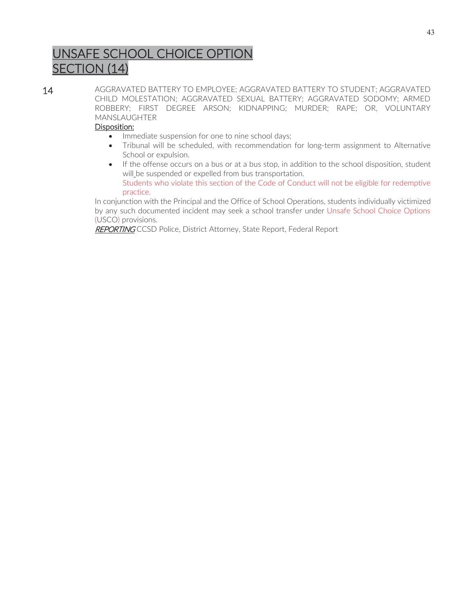# UNSAFE SCHOOL CHOICE OPTION SECTION (14)

14 AGGRAVATED BATTERY TO EMPLOYEE; AGGRAVATED BATTERY TO STUDENT; AGGRAVATED CHILD MOLESTATION; AGGRAVATED SEXUAL BATTERY; AGGRAVATED SODOMY; ARMED ROBBERY; FIRST DEGREE ARSON; KIDNAPPING; MURDER; RAPE; OR, VOLUNTARY MANSLAUGHTER

## Disposition:

- Immediate suspension for one to nine school days;
- Tribunal will be scheduled, with recommendation for long-term assignment to Alternative School or expulsion.
- If the offense occurs on a bus or at a bus stop, in addition to the school disposition, student will be suspended or expelled from bus transportation. Students who violate this section of the Code of Conduct will not be eligible for redemptive practice.

In conjunction with the Principal and the Office of School Operations, students individually victimized by any such documented incident may seek a school transfer under Unsafe School Choice Options (USCO) provisions.

REPORTING CCSD Police, District Attorney, State Report, Federal Report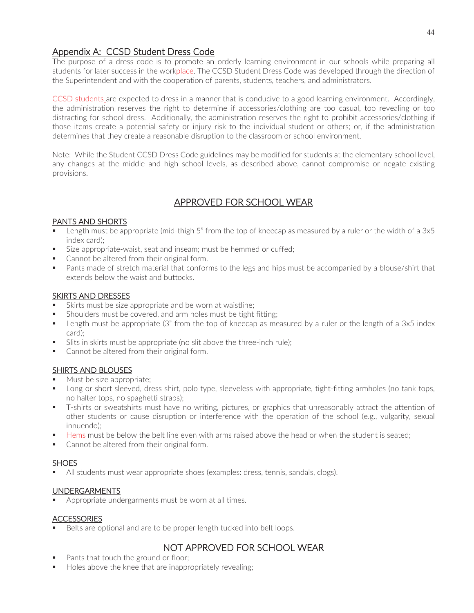## Appendix A: CCSD Student Dress Code

The purpose of a dress code is to promote an orderly learning environment in our schools while preparing all students for later success in the workplace. The CCSD Student Dress Code was developed through the direction of the Superintendent and with the cooperation of parents, students, teachers, and administrators.

CCSD students are expected to dress in a manner that is conducive to a good learning environment. Accordingly, the administration reserves the right to determine if accessories/clothing are too casual, too revealing or too distracting for school dress. Additionally, the administration reserves the right to prohibit accessories/clothing if those items create a potential safety or injury risk to the individual student or others; or, if the administration determines that they create a reasonable disruption to the classroom or school environment.

Note: While the Student CCSD Dress Code guidelines may be modified for students at the elementary school level, any changes at the middle and high school levels, as described above, cannot compromise or negate existing provisions.

## APPROVED FOR SCHOOL WEAR

## PANTS AND SHORTS

- Length must be appropriate (mid-thigh 5" from the top of kneecap as measured by a ruler or the width of a 3x5 index card);
- Size appropriate-waist, seat and inseam; must be hemmed or cuffed;
- Cannot be altered from their original form.
- **Pants made of stretch material that conforms to the legs and hips must be accompanied by a blouse/shirt that** extends below the waist and buttocks.

## SKIRTS AND DRESSES

- Skirts must be size appropriate and be worn at waistline;
- Shoulders must be covered, and arm holes must be tight fitting;
- **E** Length must be appropriate (3" from the top of kneecap as measured by a ruler or the length of a 3x5 index card);
- Slits in skirts must be appropriate (no slit above the three-inch rule);
- Cannot be altered from their original form.

## SHIRTS AND BLOUSES

- Must be size appropriate;
- **Long or short sleeved, dress shirt, polo type, sleeveless with appropriate, tight-fitting armholes (no tank tops,** no halter tops, no spaghetti straps);
- T-shirts or sweatshirts must have no writing, pictures, or graphics that unreasonably attract the attention of other students or cause disruption or interference with the operation of the school (e.g., vulgarity, sexual innuendo);
- Hems must be below the belt line even with arms raised above the head or when the student is seated;
- Cannot be altered from their original form.

## **SHOES**

All students must wear appropriate shoes (examples: dress, tennis, sandals, clogs).

## UNDERGARMENTS

Appropriate undergarments must be worn at all times.

## **ACCESSORIES**

Belts are optional and are to be proper length tucked into belt loops.

## NOT APPROVED FOR SCHOOL WEAR

- Pants that touch the ground or floor;
- Holes above the knee that are inappropriately revealing;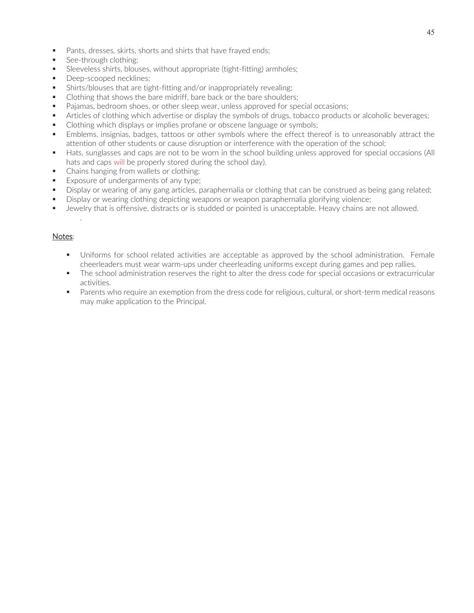- **Pants, dresses, skirts, shorts and shirts that have frayed ends;**
- See-through clothing;
- Sleeveless shirts, blouses, without appropriate (tight-fitting) armholes;
- Deep-scooped necklines;
- Shirts/blouses that are tight-fitting and/or inappropriately revealing;
- Clothing that shows the bare midriff, bare back or the bare shoulders;
- Pajamas, bedroom shoes, or other sleep wear, unless approved for special occasions;
- Articles of clothing which advertise or display the symbols of drugs, tobacco products or alcoholic beverages;
- Clothing which displays or implies profane or obscene language or symbols;
- Emblems, insignias, badges, tattoos or other symbols where the effect thereof is to unreasonably attract the attention of other students or cause disruption or interference with the operation of the school;
- Hats, sunglasses and caps are not to be worn in the school building unless approved for special occasions (All hats and caps will be properly stored during the school day).
- Chains hanging from wallets or clothing:
- Exposure of undergarments of any type;
- Display or wearing of any gang articles, paraphernalia or clothing that can be construed as being gang related;
- **Display or wearing clothing depicting weapons or weapon paraphernalia glorifying violence;**
- Jewelry that is offensive, distracts or is studded or pointed is unacceptable. Heavy chains are not allowed.

## Notes:

.

- Uniforms for school related activities are acceptable as approved by the school administration. Female cheerleaders must wear warm-ups under cheerleading uniforms except during games and pep rallies.
- The school administration reserves the right to alter the dress code for special occasions or extracurricular activities.
- **Parents who require an exemption from the dress code for religious, cultural, or short-term medical reasons** may make application to the Principal.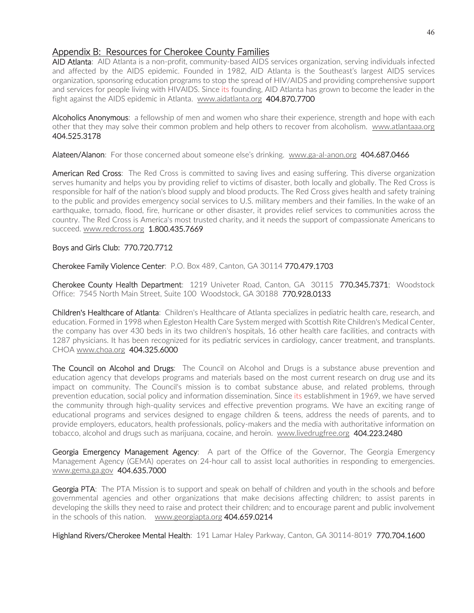## Appendix B: Resources for Cherokee County Families

AID Atlanta: AID Atlanta is a non-profit, community-based AIDS services organization, serving individuals infected and affected by the AIDS epidemic. Founded in 1982, AID Atlanta is the Southeast's largest AIDS services organization, sponsoring education programs to stop the spread of HIV/AIDS and providing comprehensive support and services for people living with HIVAIDS. Since its founding, AID Atlanta has grown to become the leader in the fight against the AIDS epidemic in Atlanta. www.aidatlanta.org 404.870.7700

Alcoholics Anonymous: a fellowship of men and women who share their experience, strength and hope with each other that they may solve their common problem and help others to recover from alcoholism. www.atlantaaa.org 404.525.3178

Alateen/Alanon: For those concerned about someone else's drinking. www.ga-al-anon.org 404.687.0466

American Red Cross: The Red Cross is committed to saving lives and easing suffering. This diverse organization serves humanity and helps you by providing relief to victims of disaster, both locally and globally. The Red Cross is responsible for half of the nation's blood supply and blood products. The Red Cross gives health and safety training to the public and provides emergency social services to U.S. military members and their families. In the wake of an earthquake, tornado, flood, fire, hurricane or other disaster, it provides relief services to communities across the country. The Red Cross is America's most trusted charity, and it needs the support of compassionate Americans to succeed. www.redcross.org 1.800.435.7669

## Boys and Girls Club: 770.720.7712

Cherokee Family Violence Center: P.O. Box 489, Canton, GA 30114 770.479.1703

Cherokee County Health Department: 1219 Univeter Road, Canton, GA 30115 770.345.7371; Woodstock Office: 7545 North Main Street, Suite 100 Woodstock, GA 30188 770.928.0133

Children's Healthcare of Atlanta: Children's Healthcare of Atlanta specializes in pediatric health care, research, and education. Formed in 1998 when Egleston Health Care System merged with Scottish Rite Children's Medical Center, the company has over 430 beds in its two children's hospitals, 16 other health care facilities, and contracts with 1287 physicians. It has been recognized for its pediatric services in cardiology, cancer treatment, and transplants. CHOA www.choa.org 404.325.6000

The Council on Alcohol and Drugs: The Council on Alcohol and Drugs is a substance abuse prevention and education agency that develops programs and materials based on the most current research on drug use and its impact on community. The Council's mission is to combat substance abuse, and related problems, through prevention education, social policy and information dissemination. Since its establishment in 1969, we have served the community through high-quality services and effective prevention programs. We have an exciting range of educational programs and services designed to engage children & teens, address the needs of parents, and to provide employers, educators, health professionals, policy-makers and the media with authoritative information on tobacco, alcohol and drugs such as marijuana, cocaine, and heroin. www.livedrugfree.org 404.223.2480

Georgia Emergency Management Agency: A part of the Office of the Governor, The Georgia Emergency Management Agency (GEMA) operates on 24-hour call to assist local authorities in responding to emergencies. www.gema.ga.gov 404.635.7000

Georgia PTA: The PTA Mission is to support and speak on behalf of children and youth in the schools and before governmental agencies and other organizations that make decisions affecting children; to assist parents in developing the skills they need to raise and protect their children; and to encourage parent and public involvement in the schools of this nation. www.georgiapta.org 404.659.0214

Highland Rivers/Cherokee Mental Health: 191 Lamar Haley Parkway, Canton, GA 30114-8019 770.704.1600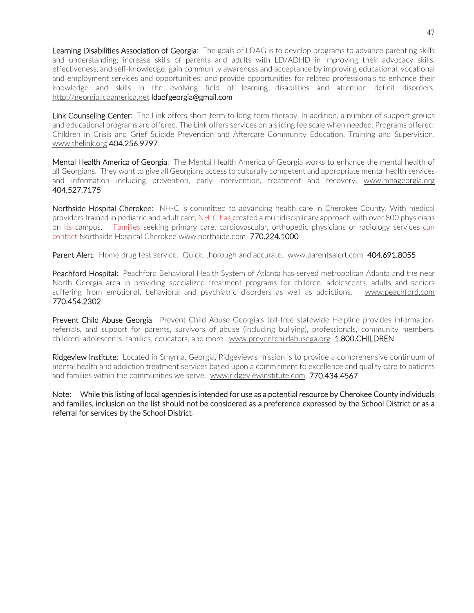Learning Disabilities Association of Georgia: The goals of LDAG is to develop programs to advance parenting skills and understanding; increase skills of parents and adults with LD/ADHD in improving their advocacy skills, effectiveness, and self-knowledge; gain community awareness and acceptance by improving educational, vocational and employment services and opportunities; and provide opportunities for related professionals to enhance their knowledge and skills in the evolving field of learning disabilities and attention deficit disorders. http://georgia.ldaamerica.net ldaofgeorgia@gmail.com

Link Counseling Center: The Link offers short-term to long-term therapy. In addition, a number of support groups and educational programs are offered. The Link offers services on a sliding fee scale when needed. Programs offered: Children in Crisis and Grief Suicide Prevention and Aftercare Community Education, Training and Supervision. www.thelink.org 404.256.9797

Mental Health America of Georgia: The Mental Health America of Georgia works to enhance the mental health of all Georgians. They want to give all Georgians access to culturally competent and appropriate mental health services and information including prevention, early intervention, treatment and recovery. www.mhageorgia.org 404.527.7175

Northside Hospital Cherokee: NH-C is committed to advancing health care in Cherokee County. With medical providers trained in pediatric and adult care, NH-C has created a multidisciplinary approach with over 800 physicians on its campus. Families seeking primary care, cardiovascular, orthopedic physicians or radiology services can contact Northside Hospital Cherokee www.northside.com 770.224.1000

Parent Alert: Home drug test service. Quick, thorough and accurate. www.parentsalert.com 404.691.8055

Peachford Hospital: Peachford Behavioral Health System of Atlanta has served metropolitan Atlanta and the near North Georgia area in providing specialized treatment programs for children, adolescents, adults and seniors suffering from emotional, behavioral and psychiatric disorders as well as addictions. www.peachford.com 770.454.2302

Prevent Child Abuse Georgia: Prevent Child Abuse Georgia's toll-free statewide Helpline provides information, referrals, and support for parents, survivors of abuse (including bullying), professionals, community members, children, adolescents, families, educators, and more. www.preventchildabusega.org 1.800.CHILDREN

Ridgeview Institute: Located in Smyrna, Georgia, Ridgeview's mission is to provide a comprehensive continuum of mental health and addiction treatment services based upon a commitment to excellence and quality care to patients and families within the communities we serve. www.ridgeviewinstitute.com 770.434.4567

Note: While this listing of local agencies is intended for use as a potential resource by Cherokee County individuals and families, inclusion on the list should not be considered as a preference expressed by the School District or as a referral for services by the School District.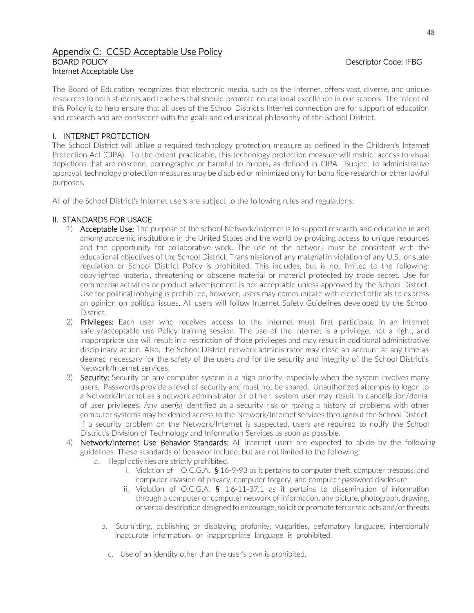## Appendix C: CCSD Acceptable Use Policy BOARD POLICY Descriptor Code: IFBG Internet Acceptable Use

The Board of Education recognizes that electronic media, such as the Internet, offers vast, diverse, and unique resources to both students and teachers that should promote educational excellence in our schools. The intent of this Policy is to help ensure that all uses of the School District's Internet connection are for support of education and research and are consistent with the goals and educational philosophy of the School District.

## I. INTERNET PROTECTION

The School District will utilize a required technology protection measure as defined in the Children's Internet Protection Act (CIPA). To the extent practicable, this technology protection measure will restrict access to visual depictions that are obscene, pornographic or harmful to minors, as defined in CIPA. Subject to administrative approval, technology protection measures may be disabled or minimized only for bona fide research or other lawful purposes.

All of the School District's Internet users are subject to the following rules and regulations:

## II. STANDARDS FOR USAGE

- 1) Acceptable Use: The purpose of the school Network/Internet is to support research and education in and among academic institutions in the United States and the world by providing access to unique resources and the opportunity for collaborative work. The use of the network must be consistent with the educational objectives of the School District. Transmission of any material in violation of any U.S., or state regulation or School District Policy is prohibited. This includes, but is not limited to the following: copyrighted material, threatening or obscene material or material protected by trade secret. Use for commercial activities or product advertisement is not acceptable unless approved by the School District. Use for political lobbying is prohibited, however, users may communicate with elected officials to express an opinion on political issues. All users will follow Internet Safety Guidelines developed by the School District.
- 2) Privileges: Each user who receives access to the Internet must first participate in an Internet safety/acceptable use Policy training session. The use of the Internet is a privilege, not a right, and inappropriate use will result in a restriction of those privileges and may result in additional administrative disciplinary action. Also, the School District network administrator may close an account at any time as deemed necessary for the safety of the users and for the security and integrity of the School District's Network/Internet services.
- 3) **Security:** Security on any computer system is a high priority, especially when the system involves many users. Passwords provide a level of security and must not be shared. Unauthorized attempts to logon to a Network/Internet as a network administrator or other system user may result in cancellation/denial of user privileges. Any user(s) identified as a security risk or having a history of problems with other computer systems may be denied access to the Network/Internet services throughout the School District. If a security problem on the Network/Internet is suspected, users are required to notify the School District's Division of Technology and Information Services as soon as possible.
- 4) Network/Internet Use Behavior Standards: All internet users are expected to abide by the following guidelines. These standards of behavior include, but are not limited to the following:
	- a. Illegal activities are strictly prohibited.
		- i. Violation of  $O.C.G.A.$  § 16-9-93 as it pertains to computer theft, computer trespass, and computer invasion of privacy, computer forgery, and computer password disclosure
		- ii. Violation of O.C.G.A. § 1 6-11-37.1 as it pertains to dissemination of information through a computer or computer network of information, any picture, photograph, drawing, or verbal description designed to encourage, solicit or promote terroristic acts and/or threats
		- b. Submitting, publishing or displaying profanity, vulgarities, defamatory language, intentionally inaccurate information, or inappropriate language is prohibited.
			- c. Use of an identity other than the user's own is prohibited.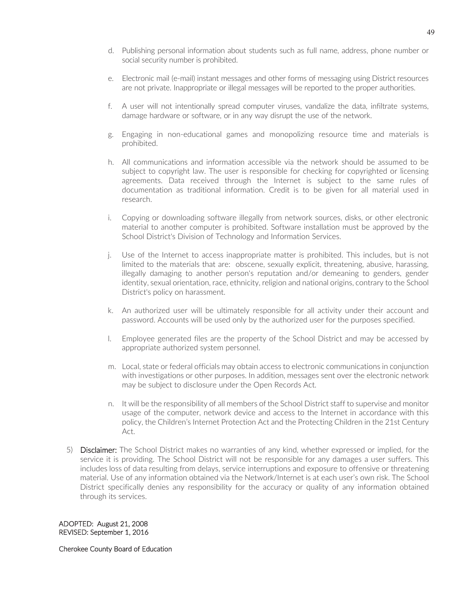- d. Publishing personal information about students such as full name, address, phone number or social security number is prohibited.
- e. Electronic mail (e-mail) instant messages and other forms of messaging using District resources are not private. Inappropriate or illegal messages will be reported to the proper authorities.
- f. A user will not intentionally spread computer viruses, vandalize the data, infiltrate systems, damage hardware or software, or in any way disrupt the use of the network.
- g. Engaging in non-educational games and monopolizing resource time and materials is prohibited.
- h. All communications and information accessible via the network should be assumed to be subject to copyright law. The user is responsible for checking for copyrighted or licensing agreements. Data received through the Internet is subject to the same rules of documentation as traditional information. Credit is to be given for all material used in research.
- i. Copying or downloading software illegally from network sources, disks, or other electronic material to another computer is prohibited. Software installation must be approved by the School District's Division of Technology and Information Services.
- j. Use of the Internet to access inappropriate matter is prohibited. This includes, but is not limited to the materials that are: obscene, sexually explicit, threatening, abusive, harassing, illegally damaging to another person's reputation and/or demeaning to genders, gender identity, sexual orientation, race, ethnicity, religion and national origins, contrary to the School District's policy on harassment.
- k. An authorized user will be ultimately responsible for all activity under their account and password. Accounts will be used only by the authorized user for the purposes specified.
- l. Employee generated files are the property of the School District and may be accessed by appropriate authorized system personnel.
- m. Local, state or federal officials may obtain access to electronic communications in conjunction with investigations or other purposes. In addition, messages sent over the electronic network may be subject to disclosure under the Open Records Act.
- n. It will be the responsibility of all members of the School District staff to supervise and monitor usage of the computer, network device and access to the Internet in accordance with this policy, the Children's Internet Protection Act and the Protecting Children in the 21st Century Act.
- 5) Disclaimer: The School District makes no warranties of any kind, whether expressed or implied, for the service it is providing. The School District will not be responsible for any damages a user suffers. This includes loss of data resulting from delays, service interruptions and exposure to offensive or threatening material. Use of any information obtained via the Network/Internet is at each user's own risk. The School District specifically denies any responsibility for the accuracy or quality of any information obtained through its services.

ADOPTED: August 21, 2008 REVISED: September 1, 2016

Cherokee County Board of Education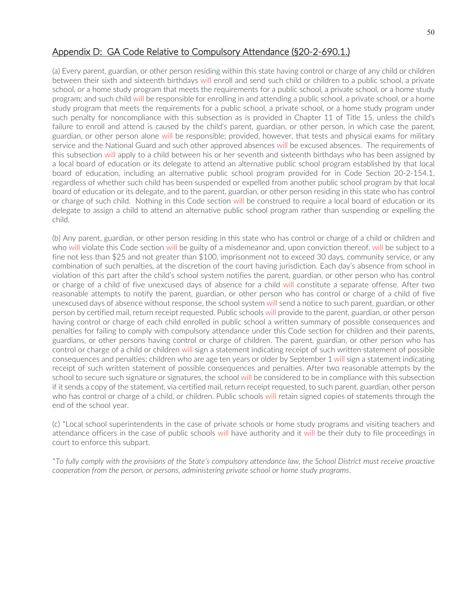## Appendix D: GA Code Relative to Compulsory Attendance (§20-2-690.1.)

(a) Every parent, guardian, or other person residing within this state having control or charge of any child or children between their sixth and sixteenth birthdays will enroll and send such child or children to a public school, a private school, or a home study program that meets the requirements for a public school, a private school, or a home study program; and such child will be responsible for enrolling in and attending a public school, a private school, or a home study program that meets the requirements for a public school, a private school, or a home study program under such penalty for noncompliance with this subsection as is provided in Chapter 11 of Title 15, unless the child's failure to enroll and attend is caused by the child's parent, guardian, or other person, in which case the parent, guardian, or other person alone will be responsible; provided, however, that tests and physical exams for military service and the National Guard and such other approved absences will be excused absences. The requirements of this subsection will apply to a child between his or her seventh and sixteenth birthdays who has been assigned by a local board of education or its delegate to attend an alternative public school program established by that local board of education, including an alternative public school program provided for in Code Section 20-2-154.1, regardless of whether such child has been suspended or expelled from another public school program by that local board of education or its delegate, and to the parent, guardian, or other person residing in this state who has control or charge of such child. Nothing in this Code section will be construed to require a local board of education or its delegate to assign a child to attend an alternative public school program rather than suspending or expelling the child.

(b) Any parent, guardian, or other person residing in this state who has control or charge of a child or children and who will violate this Code section will be guilty of a misdemeanor and, upon conviction thereof, will be subject to a fine not less than \$25 and not greater than \$100, imprisonment not to exceed 30 days, community service, or any combination of such penalties, at the discretion of the court having jurisdiction. Each day's absence from school in violation of this part after the child's school system notifies the parent, guardian, or other person who has control or charge of a child of five unexcused days of absence for a child will constitute a separate offense. After two reasonable attempts to notify the parent, guardian, or other person who has control or charge of a child of five unexcused days of absence without response, the school system will send a notice to such parent, guardian, or other person by certified mail, return receipt requested. Public schools will provide to the parent, guardian, or other person having control or charge of each child enrolled in public school a written summary of possible consequences and penalties for failing to comply with compulsory attendance under this Code section for children and their parents, guardians, or other persons having control or charge of children. The parent, guardian, or other person who has control or charge of a child or children will sign a statement indicating receipt of such written statement of possible consequences and penalties; children who are age ten years or older by September 1 will sign a statement indicating receipt of such written statement of possible consequences and penalties. After two reasonable attempts by the school to secure such signature or signatures, the school will be considered to be in compliance with this subsection if it sends a copy of the statement, via certified mail, return receipt requested, to such parent, guardian, other person who has control or charge of a child, or children. Public schools will retain signed copies of statements through the end of the school year.

(c) \*Local school superintendents in the case of private schools or home study programs and visiting teachers and attendance officers in the case of public schools will have authority and it will be their duty to file proceedings in court to enforce this subpart.

\**To fully comply with the provisions of the State's compulsory attendance law, the School District must receive proactive cooperation from the person, or persons, administering private school or home study programs*.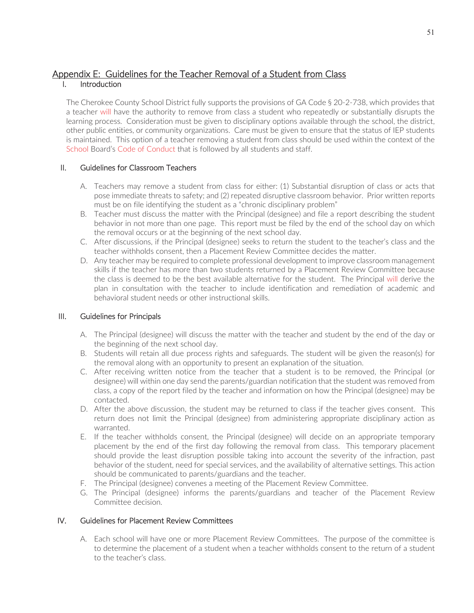#### Appendix E: Guidelines for the Teacher Removal of a Student from Class I. Introduction

The Cherokee County School District fully supports the provisions of GA Code § 20-2-738, which provides that a teacher will have the authority to remove from class a student who repeatedly or substantially disrupts the learning process. Consideration must be given to disciplinary options available through the school, the district, other public entities, or community organizations. Care must be given to ensure that the status of IEP students is maintained. This option of a teacher removing a student from class should be used within the context of the School Board's Code of Conduct that is followed by all students and staff.

## II. Guidelines for Classroom Teachers

- A. Teachers may remove a student from class for either: (1) Substantial disruption of class or acts that pose immediate threats to safety; and (2) repeated disruptive classroom behavior. Prior written reports must be on file identifying the student as a "chronic disciplinary problem"
- B. Teacher must discuss the matter with the Principal (designee) and file a report describing the student behavior in not more than one page. This report must be filed by the end of the school day on which the removal occurs or at the beginning of the next school day.
- C. After discussions, if the Principal (designee) seeks to return the student to the teacher's class and the teacher withholds consent, then a Placement Review Committee decides the matter.
- D. Any teacher may be required to complete professional development to improve classroom management skills if the teacher has more than two students returned by a Placement Review Committee because the class is deemed to be the best available alternative for the student. The Principal will derive the plan in consultation with the teacher to include identification and remediation of academic and behavioral student needs or other instructional skills.

## III. Guidelines for Principals

- A. The Principal (designee) will discuss the matter with the teacher and student by the end of the day or the beginning of the next school day.
- B. Students will retain all due process rights and safeguards. The student will be given the reason(s) for the removal along with an opportunity to present an explanation of the situation.
- C. After receiving written notice from the teacher that a student is to be removed, the Principal (or designee) will within one day send the parents/guardian notification that the student was removed from class, a copy of the report filed by the teacher and information on how the Principal (designee) may be contacted.
- D. After the above discussion, the student may be returned to class if the teacher gives consent. This return does not limit the Principal (designee) from administering appropriate disciplinary action as warranted.
- E. If the teacher withholds consent, the Principal (designee) will decide on an appropriate temporary placement by the end of the first day following the removal from class. This temporary placement should provide the least disruption possible taking into account the severity of the infraction, past behavior of the student, need for special services, and the availability of alternative settings. This action should be communicated to parents/guardians and the teacher.
- F. The Principal (designee) convenes a meeting of the Placement Review Committee.
- G. The Principal (designee) informs the parents/guardians and teacher of the Placement Review Committee decision.

## IV. Guidelines for Placement Review Committees

A. Each school will have one or more Placement Review Committees. The purpose of the committee is to determine the placement of a student when a teacher withholds consent to the return of a student to the teacher's class.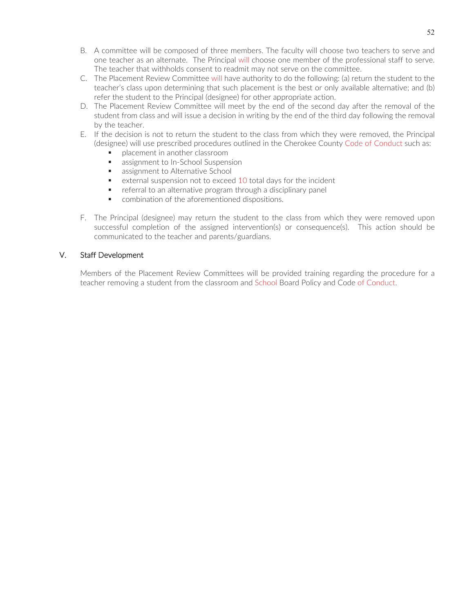- B. A committee will be composed of three members. The faculty will choose two teachers to serve and one teacher as an alternate. The Principal will choose one member of the professional staff to serve. The teacher that withholds consent to readmit may not serve on the committee.
- C. The Placement Review Committee will have authority to do the following: (a) return the student to the teacher's class upon determining that such placement is the best or only available alternative; and (b) refer the student to the Principal (designee) for other appropriate action.
- D. The Placement Review Committee will meet by the end of the second day after the removal of the student from class and will issue a decision in writing by the end of the third day following the removal by the teacher.
- E. If the decision is not to return the student to the class from which they were removed, the Principal (designee) will use prescribed procedures outlined in the Cherokee County Code of Conduct such as:
	- placement in another classroom
	- **assignment to In-School Suspension**
	- **EXEC** assignment to Alternative School
	- external suspension not to exceed 10 total days for the incident
	- **F** referral to an alternative program through a disciplinary panel
	- **•** combination of the aforementioned dispositions.
- F. The Principal (designee) may return the student to the class from which they were removed upon successful completion of the assigned intervention(s) or consequence(s). This action should be communicated to the teacher and parents/guardians.

## V. Staff Development

Members of the Placement Review Committees will be provided training regarding the procedure for a teacher removing a student from the classroom and School Board Policy and Code of Conduct.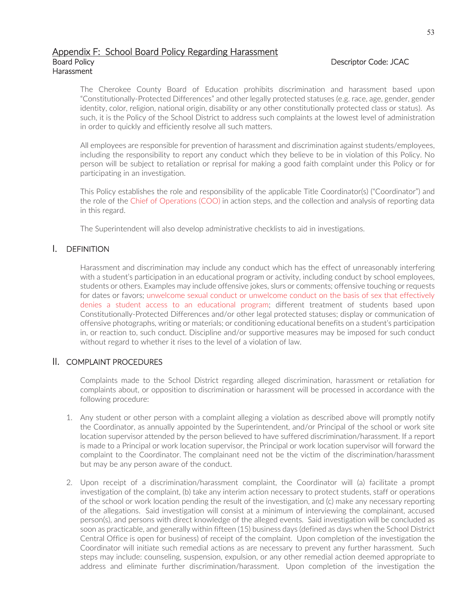#### Appendix F: School Board Policy Regarding Harassment Board Policy **Descriptor Code: JCAC** Harassment

The Cherokee County Board of Education prohibits discrimination and harassment based upon "Constitutionally-Protected Differences" and other legally protected statuses (e.g. race, age, gender, gender identity, color, religion, national origin, disability or any other constitutionally protected class or status). As such, it is the Policy of the School District to address such complaints at the lowest level of administration in order to quickly and efficiently resolve all such matters.

All employees are responsible for prevention of harassment and discrimination against students/employees, including the responsibility to report any conduct which they believe to be in violation of this Policy. No person will be subject to retaliation or reprisal for making a good faith complaint under this Policy or for participating in an investigation.

This Policy establishes the role and responsibility of the applicable Title Coordinator(s) ("Coordinator") and the role of the Chief of Operations (COO) in action steps, and the collection and analysis of reporting data in this regard.

The Superintendent will also develop administrative checklists to aid in investigations.

## I. DEFINITION

Harassment and discrimination may include any conduct which has the effect of unreasonably interfering with a student's participation in an educational program or activity, including conduct by school employees, students or others. Examples may include offensive jokes, slurs or comments; offensive touching or requests for dates or favors; unwelcome sexual conduct or unwelcome conduct on the basis of sex that effectively denies a student access to an educational program; different treatment of students based upon Constitutionally-Protected Differences and/or other legal protected statuses; display or communication of offensive photographs, writing or materials; or conditioning educational benefits on a student's participation in, or reaction to, such conduct. Discipline and/or supportive measures may be imposed for such conduct without regard to whether it rises to the level of a violation of law.

## II. COMPLAINT PROCEDURES

Complaints made to the School District regarding alleged discrimination, harassment or retaliation for complaints about, or opposition to discrimination or harassment will be processed in accordance with the following procedure:

- 1. Any student or other person with a complaint alleging a violation as described above will promptly notify the Coordinator, as annually appointed by the Superintendent, and/or Principal of the school or work site location supervisor attended by the person believed to have suffered discrimination/harassment. If a report is made to a Principal or work location supervisor, the Principal or work location supervisor will forward the complaint to the Coordinator. The complainant need not be the victim of the discrimination/harassment but may be any person aware of the conduct.
- 2. Upon receipt of a discrimination/harassment complaint, the Coordinator will (a) facilitate a prompt investigation of the complaint, (b) take any interim action necessary to protect students, staff or operations of the school or work location pending the result of the investigation, and (c) make any necessary reporting of the allegations. Said investigation will consist at a minimum of interviewing the complainant, accused person(s), and persons with direct knowledge of the alleged events. Said investigation will be concluded as soon as practicable, and generally within fifteen (15) business days (defined as days when the School District Central Office is open for business) of receipt of the complaint. Upon completion of the investigation the Coordinator will initiate such remedial actions as are necessary to prevent any further harassment. Such steps may include: counseling, suspension, expulsion, or any other remedial action deemed appropriate to address and eliminate further discrimination/harassment. Upon completion of the investigation the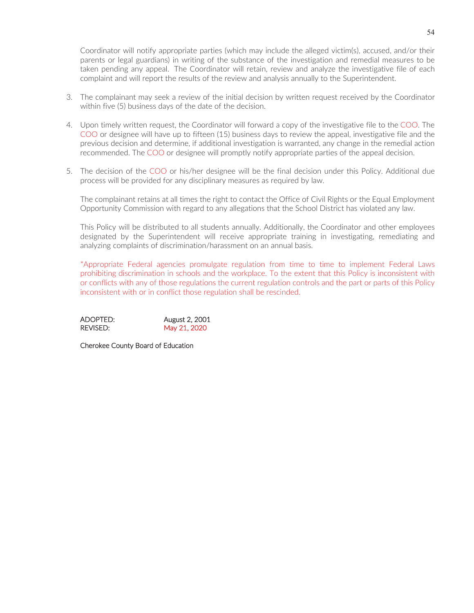Coordinator will notify appropriate parties (which may include the alleged victim(s), accused, and/or their parents or legal guardians) in writing of the substance of the investigation and remedial measures to be taken pending any appeal. The Coordinator will retain, review and analyze the investigative file of each complaint and will report the results of the review and analysis annually to the Superintendent.

- 3. The complainant may seek a review of the initial decision by written request received by the Coordinator within five (5) business days of the date of the decision.
- 4. Upon timely written request, the Coordinator will forward a copy of the investigative file to the COO. The COO or designee will have up to fifteen (15) business days to review the appeal, investigative file and the previous decision and determine, if additional investigation is warranted, any change in the remedial action recommended. The COO or designee will promptly notify appropriate parties of the appeal decision.
- 5. The decision of the COO or his/her designee will be the final decision under this Policy. Additional due process will be provided for any disciplinary measures as required by law.

The complainant retains at all times the right to contact the Office of Civil Rights or the Equal Employment Opportunity Commission with regard to any allegations that the School District has violated any law.

This Policy will be distributed to all students annually. Additionally, the Coordinator and other employees designated by the Superintendent will receive appropriate training in investigating, remediating and analyzing complaints of discrimination/harassment on an annual basis.

\*Appropriate Federal agencies promulgate regulation from time to time to implement Federal Laws prohibiting discrimination in schools and the workplace. To the extent that this Policy is inconsistent with or conflicts with any of those regulations the current regulation controls and the part or parts of this Policy inconsistent with or in conflict those regulation shall be rescinded.

| ADOPTED: | August 2, 2001 |
|----------|----------------|
| REVISED: | May 21, 2020   |

Cherokee County Board of Education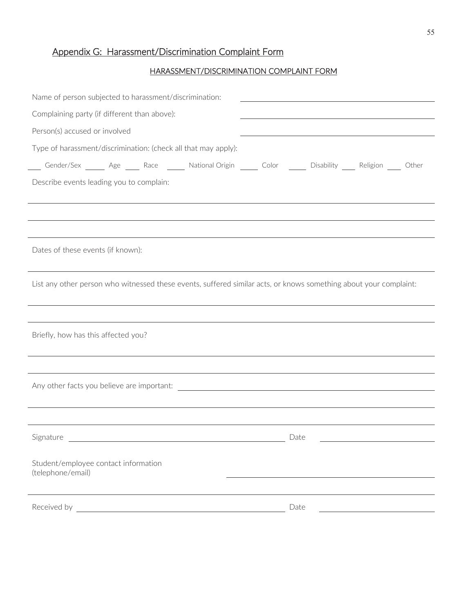## Appendix G: Harassment/Discrimination Complaint Form

## HARASSMENT/DISCRIMINATION COMPLAINT FORM

| Name of person subjected to harassment/discrimination:                                                                |  |                                               | <u> 1980 - Johann Barbara, martin amerikan basal dan berasal dalam basal dalam basal dan berasal dalam basal dala</u> |  |
|-----------------------------------------------------------------------------------------------------------------------|--|-----------------------------------------------|-----------------------------------------------------------------------------------------------------------------------|--|
| Complaining party (if different than above):                                                                          |  |                                               |                                                                                                                       |  |
| Person(s) accused or involved                                                                                         |  |                                               |                                                                                                                       |  |
| Type of harassment/discrimination: (check all that may apply):                                                        |  |                                               |                                                                                                                       |  |
| Gender/Sex _______ Age ______ Race _______ National Origin ______ Color _______ Disability _____ Religion _____ Other |  |                                               |                                                                                                                       |  |
| Describe events leading you to complain:                                                                              |  |                                               |                                                                                                                       |  |
|                                                                                                                       |  |                                               |                                                                                                                       |  |
|                                                                                                                       |  |                                               |                                                                                                                       |  |
|                                                                                                                       |  |                                               |                                                                                                                       |  |
| Dates of these events (if known):                                                                                     |  |                                               |                                                                                                                       |  |
|                                                                                                                       |  |                                               |                                                                                                                       |  |
| List any other person who witnessed these events, suffered similar acts, or knows something about your complaint:     |  |                                               |                                                                                                                       |  |
|                                                                                                                       |  |                                               |                                                                                                                       |  |
|                                                                                                                       |  |                                               |                                                                                                                       |  |
| Briefly, how has this affected you?                                                                                   |  |                                               |                                                                                                                       |  |
|                                                                                                                       |  |                                               |                                                                                                                       |  |
|                                                                                                                       |  |                                               |                                                                                                                       |  |
|                                                                                                                       |  |                                               |                                                                                                                       |  |
|                                                                                                                       |  |                                               |                                                                                                                       |  |
|                                                                                                                       |  |                                               |                                                                                                                       |  |
| Signature                                                                                                             |  | <u> 1989 - Andrea Andrew Maria (h. 1989).</u> | Date                                                                                                                  |  |
|                                                                                                                       |  |                                               |                                                                                                                       |  |
| Student/employee contact information<br>(telephone/email)                                                             |  |                                               |                                                                                                                       |  |
|                                                                                                                       |  |                                               |                                                                                                                       |  |
| Received by                                                                                                           |  |                                               | Date                                                                                                                  |  |
|                                                                                                                       |  |                                               |                                                                                                                       |  |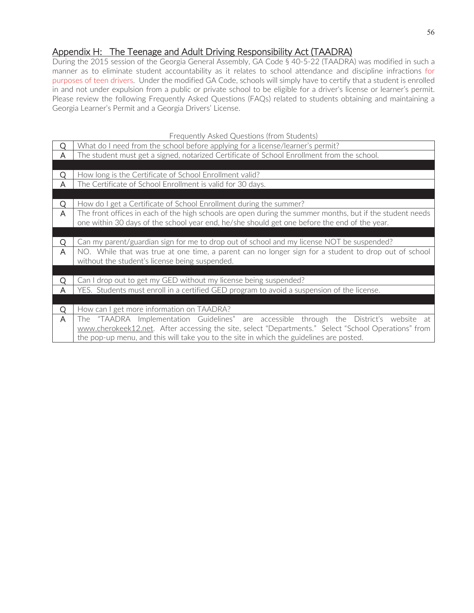## Appendix H: The Teenage and Adult Driving Responsibility Act (TAADRA)

During the 2015 session of the Georgia General Assembly, GA Code § 40-5-22 (TAADRA) was modified in such a manner as to eliminate student accountability as it relates to school attendance and discipline infractions for purposes of teen drivers. Under the modified GA Code, schools will simply have to certify that a student is enrolled in and not under expulsion from a public or private school to be eligible for a driver's license or learner's permit. Please review the following Frequently Asked Questions (FAQs) related to students obtaining and maintaining a Georgia Learner's Permit and a Georgia Drivers' License.

|   | Frequently Asked Questions (from Students)                                                                |
|---|-----------------------------------------------------------------------------------------------------------|
| Q | What do I need from the school before applying for a license/learner's permit?                            |
| A | The student must get a signed, notarized Certificate of School Enrollment from the school.                |
|   |                                                                                                           |
| Ο | How long is the Certificate of School Enrollment valid?                                                   |
| A | The Certificate of School Enrollment is valid for 30 days.                                                |
|   |                                                                                                           |
| Q | How do I get a Certificate of School Enrollment during the summer?                                        |
| A | The front offices in each of the high schools are open during the summer months, but if the student needs |
|   | one within 30 days of the school year end, he/she should get one before the end of the year.              |
|   |                                                                                                           |
| O | Can my parent/guardian sign for me to drop out of school and my license NOT be suspended?                 |
| A | NO. While that was true at one time, a parent can no longer sign for a student to drop out of school      |
|   | without the student's license being suspended.                                                            |
|   |                                                                                                           |
| Q | Can I drop out to get my GED without my license being suspended?                                          |
| Α | YES. Students must enroll in a certified GED program to avoid a suspension of the license.                |
|   |                                                                                                           |
| Q | How can I get more information on TAADRA?                                                                 |
| A | "TAADRA Implementation Guidelines" are accessible through the District's website at<br>The I              |
|   | www.cherokeek12.net. After accessing the site, select "Departments." Select "School Operations" from      |
|   | the pop-up menu, and this will take you to the site in which the guidelines are posted.                   |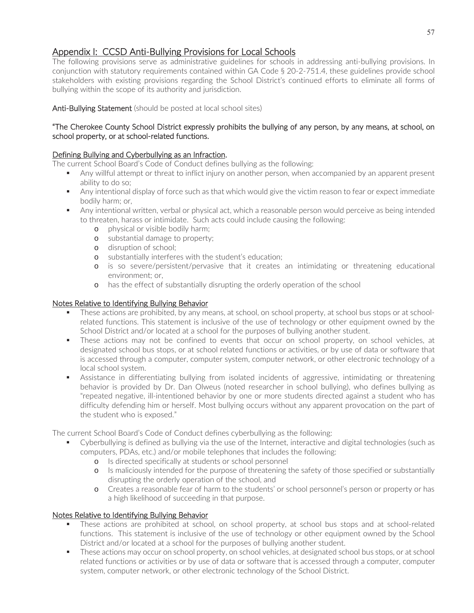## Appendix I: CCSD Anti-Bullying Provisions for Local Schools

The following provisions serve as administrative guidelines for schools in addressing anti-bullying provisions. In conjunction with statutory requirements contained within GA Code § 20-2-751.4, these guidelines provide school stakeholders with existing provisions regarding the School District's continued efforts to eliminate all forms of bullying within the scope of its authority and jurisdiction.

## Anti-Bullying Statement (should be posted at local school sites)

## "The Cherokee County School District expressly prohibits the bullying of any person, by any means, at school, on school property, or at school-related functions.

## Defining Bullying and Cyberbullying as an Infraction.

The current School Board's Code of Conduct defines bullying as the following:

- Any willful attempt or threat to inflict injury on another person, when accompanied by an apparent present ability to do so;
- Any intentional display of force such as that which would give the victim reason to fear or expect immediate bodily harm; or,
- Any intentional written, verbal or physical act, which a reasonable person would perceive as being intended to threaten, harass or intimidate. Such acts could include causing the following:
	- o physical or visible bodily harm;
	- o substantial damage to property;
	- o disruption of school;
	- o substantially interferes with the student's education;
	- o is so severe/persistent/pervasive that it creates an intimidating or threatening educational environment; or,
	- o has the effect of substantially disrupting the orderly operation of the school

## Notes Relative to Identifying Bullying Behavior

- These actions are prohibited, by any means, at school, on school property, at school bus stops or at schoolrelated functions. This statement is inclusive of the use of technology or other equipment owned by the School District and/or located at a school for the purposes of bullying another student.
- These actions may not be confined to events that occur on school property, on school vehicles, at designated school bus stops, or at school related functions or activities, or by use of data or software that is accessed through a computer, computer system, computer network, or other electronic technology of a local school system.
- Assistance in differentiating bullying from isolated incidents of aggressive, intimidating or threatening behavior is provided by Dr. Dan Olweus (noted researcher in school bullying), who defines bullying as "repeated negative, ill-intentioned behavior by one or more students directed against a student who has difficulty defending him or herself. Most bullying occurs without any apparent provocation on the part of the student who is exposed."

The current School Board's Code of Conduct defines cyberbullying as the following:

- Cyberbullying is defined as bullying via the use of the Internet, interactive and digital technologies (such as computers, PDAs, etc.) and/or mobile telephones that includes the following:
	- o Is directed specifically at students or school personnel
	- o Is maliciously intended for the purpose of threatening the safety of those specified or substantially disrupting the orderly operation of the school, and
	- o Creates a reasonable fear of harm to the students' or school personnel's person or property or has a high likelihood of succeeding in that purpose.

## Notes Relative to Identifying Bullying Behavior

- These actions are prohibited at school, on school property, at school bus stops and at school-related functions. This statement is inclusive of the use of technology or other equipment owned by the School District and/or located at a school for the purposes of bullying another student.
- These actions may occur on school property, on school vehicles, at designated school bus stops, or at school related functions or activities or by use of data or software that is accessed through a computer, computer system, computer network, or other electronic technology of the School District.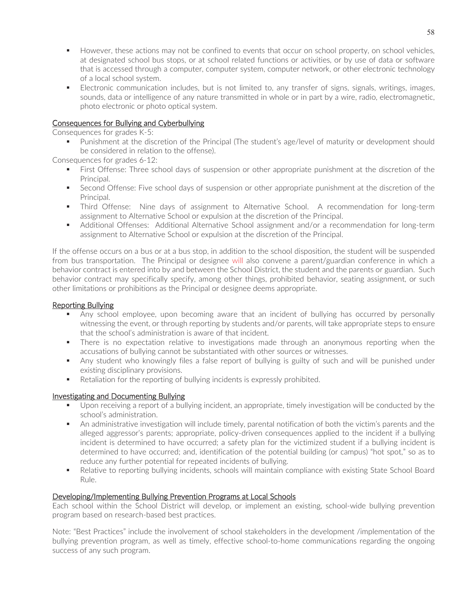- However, these actions may not be confined to events that occur on school property, on school vehicles, at designated school bus stops, or at school related functions or activities, or by use of data or software that is accessed through a computer, computer system, computer network, or other electronic technology of a local school system.
- Electronic communication includes, but is not limited to, any transfer of signs, signals, writings, images, sounds, data or intelligence of any nature transmitted in whole or in part by a wire, radio, electromagnetic, photo electronic or photo optical system.

## Consequences for Bullying and Cyberbullying

Consequences for grades K-5:

 Punishment at the discretion of the Principal (The student's age/level of maturity or development should be considered in relation to the offense).

Consequences for grades 6-12:

- First Offense: Three school days of suspension or other appropriate punishment at the discretion of the Principal.
- **Second Offense: Five school days of suspension or other appropriate punishment at the discretion of the** Principal.
- Third Offense: Nine days of assignment to Alternative School. A recommendation for long-term assignment to Alternative School or expulsion at the discretion of the Principal.
- Additional Offenses: Additional Alternative School assignment and/or a recommendation for long-term assignment to Alternative School or expulsion at the discretion of the Principal.

If the offense occurs on a bus or at a bus stop, in addition to the school disposition, the student will be suspended from bus transportation. The Principal or designee will also convene a parent/guardian conference in which a behavior contract is entered into by and between the School District, the student and the parents or guardian. Such behavior contract may specifically specify, among other things, prohibited behavior, seating assignment, or such other limitations or prohibitions as the Principal or designee deems appropriate.

## Reporting Bullying

- Any school employee, upon becoming aware that an incident of bullying has occurred by personally witnessing the event, or through reporting by students and/or parents, will take appropriate steps to ensure that the school's administration is aware of that incident.
- There is no expectation relative to investigations made through an anonymous reporting when the accusations of bullying cannot be substantiated with other sources or witnesses.
- Any student who knowingly files a false report of bullying is guilty of such and will be punished under existing disciplinary provisions.
- Retaliation for the reporting of bullying incidents is expressly prohibited.

## Investigating and Documenting Bullying

- Upon receiving a report of a bullying incident, an appropriate, timely investigation will be conducted by the school's administration.
- An administrative investigation will include timely, parental notification of both the victim's parents and the alleged aggressor's parents; appropriate, policy-driven consequences applied to the incident if a bullying incident is determined to have occurred; a safety plan for the victimized student if a bullying incident is determined to have occurred; and, identification of the potential building (or campus) "hot spot," so as to reduce any further potential for repeated incidents of bullying.
- Relative to reporting bullying incidents, schools will maintain compliance with existing State School Board Rule.

## Developing/Implementing Bullying Prevention Programs at Local Schools

Each school within the School District will develop, or implement an existing, school-wide bullying prevention program based on research-based best practices.

Note: "Best Practices" include the involvement of school stakeholders in the development /implementation of the bullying prevention program, as well as timely, effective school-to-home communications regarding the ongoing success of any such program.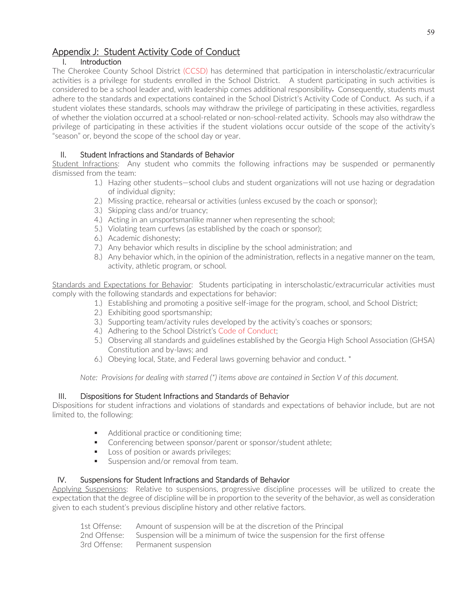## Appendix J: Student Activity Code of Conduct

## I. Introduction

The Cherokee County School District (CCSD) has determined that participation in interscholastic/extracurricular activities is a privilege for students enrolled in the School District. A student participating in such activities is considered to be a school leader and, with leadership comes additional responsibility. Consequently, students must adhere to the standards and expectations contained in the School District's Activity Code of Conduct. As such, if a student violates these standards, schools may withdraw the privilege of participating in these activities, regardless of whether the violation occurred at a school-related or non-school-related activity. Schools may also withdraw the privilege of participating in these activities if the student violations occur outside of the scope of the activity's "season" or, beyond the scope of the school day or year.

## II. Student Infractions and Standards of Behavior

Student Infractions: Any student who commits the following infractions may be suspended or permanently dismissed from the team:

- 1.) Hazing other students—school clubs and student organizations will not use hazing or degradation of individual dignity;
- 2.) Missing practice, rehearsal or activities (unless excused by the coach or sponsor);
- 3.) Skipping class and/or truancy;
- 4.) Acting in an unsportsmanlike manner when representing the school;
- 5.) Violating team curfews (as established by the coach or sponsor);
- 6.) Academic dishonesty;
- 7.) Any behavior which results in discipline by the school administration; and
- 8.) Any behavior which, in the opinion of the administration, reflects in a negative manner on the team, activity, athletic program, or school.

Standards and Expectations for Behavior: Students participating in interscholastic/extracurricular activities must comply with the following standards and expectations for behavior:

- 1.) Establishing and promoting a positive self-image for the program, school, and School District;
	- 2.) Exhibiting good sportsmanship;
	- 3.) Supporting team/activity rules developed by the activity's coaches or sponsors;
	- 4.) Adhering to the School District's Code of Conduct;
	- 5.) Observing all standards and guidelines established by the Georgia High School Association (GHSA) Constitution and by-laws; and
	- 6.) Obeying local, State, and Federal laws governing behavior and conduct. \*

*Note: Provisions for dealing with starred (\*) items above are contained in Section V of this document.* 

## III. Dispositions for Student Infractions and Standards of Behavior

Dispositions for student infractions and violations of standards and expectations of behavior include, but are not limited to, the following:

- Additional practice or conditioning time;
- **Conferencing between sponsor/parent or sponsor/student athlete;**
- Loss of position or awards privileges;
- Suspension and/or removal from team.

## IV. Suspensions for Student Infractions and Standards of Behavior

Applying Suspensions: Relative to suspensions, progressive discipline processes will be utilized to create the expectation that the degree of discipline will be in proportion to the severity of the behavior, as well as consideration given to each student's previous discipline history and other relative factors.

| 1st Offense: Amount of suspension will be at the discretion of the Principal            |
|-----------------------------------------------------------------------------------------|
| 2nd Offense: Suspension will be a minimum of twice the suspension for the first offense |
| 3rd Offense: Permanent suspension                                                       |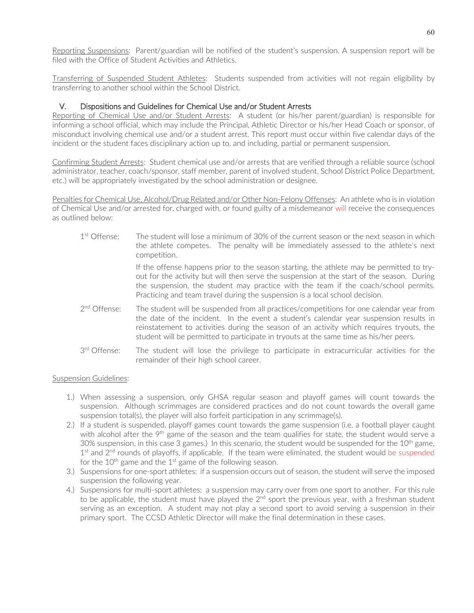Reporting Suspensions: Parent/guardian will be notified of the student's suspension. A suspension report will be filed with the Office of Student Activities and Athletics.

Transferring of Suspended Student Athletes: Students suspended from activities will not regain eligibility by transferring to another school within the School District.

## V. Dispositions and Guidelines for Chemical Use and/or Student Arrests

Reporting of Chemical Use and/or Student Arrests: A student (or his/her parent/guardian) is responsible for informing a school official, which may include the Principal, Athletic Director or his/her Head Coach or sponsor, of misconduct involving chemical use and/or a student arrest. This report must occur within five calendar days of the incident or the student faces disciplinary action up to, and including, partial or permanent suspension.

Confirming Student Arrests: Student chemical use and/or arrests that are verified through a reliable source (school administrator, teacher, coach/sponsor, staff member, parent of involved student, School District Police Department, etc.) will be appropriately investigated by the school administration or designee.

Penalties for Chemical Use, Alcohol/Drug Related and/or Other Non-Felony Offenses: An athlete who is in violation of Chemical Use and/or arrested for, charged with, or found guilty of a misdemeanor will receive the consequences as outlined below:

- $1<sup>st</sup>$  Offense: The student will lose a minimum of 30% of the current season or the next season in which the athlete competes. The penalty will be immediately assessed to the athlete's next competition. If the offense happens prior to the season starting, the athlete may be permitted to tryout for the activity but will then serve the suspension at the start of the season. During the suspension, the student may practice with the team if the coach/school permits. Practicing and team travel during the suspension is a local school decision.  $2<sup>nd</sup>$  Offense: The student will be suspended from all practices/competitions for one calendar year from the date of the incident. In the event a student's calendar year suspension results in reinstatement to activities during the season of an activity which requires tryouts, the student will be permitted to participate in tryouts at the same time as his/her peers.
- $3<sup>rd</sup>$  Offense: The student will lose the privilege to participate in extracurricular activities for the remainder of their high school career.

## Suspension Guidelines:

- 1.) When assessing a suspension, only GHSA regular season and playoff games will count towards the suspension. Although scrimmages are considered practices and do not count towards the overall game suspension total(s), the player will also forfeit participation in any scrimmage(s).
- 2.) If a student is suspended, playoff games count towards the game suspension (i.e. a football player caught with alcohol after the 9<sup>th</sup> game of the season and the team qualifies for state, the student would serve a 30% suspension, in this case 3 games.) In this scenario, the student would be suspended for the  $10^{th}$  game,  $1<sup>st</sup>$  and  $2<sup>nd</sup>$  rounds of playoffs, if applicable. If the team were eliminated, the student would be suspended for the  $10^{th}$  game and the  $1^{st}$  game of the following season.
- 3.) Suspensions for one-sport athletes: if a suspension occurs out of season, the student will serve the imposed suspension the following year.
- 4.) Suspensions for multi-sport athletes: a suspension may carry over from one sport to another. For this rule to be applicable, the student must have played the  $2<sup>nd</sup>$  sport the previous year, with a freshman student serving as an exception. A student may not play a second sport to avoid serving a suspension in their primary sport. The CCSD Athletic Director will make the final determination in these cases.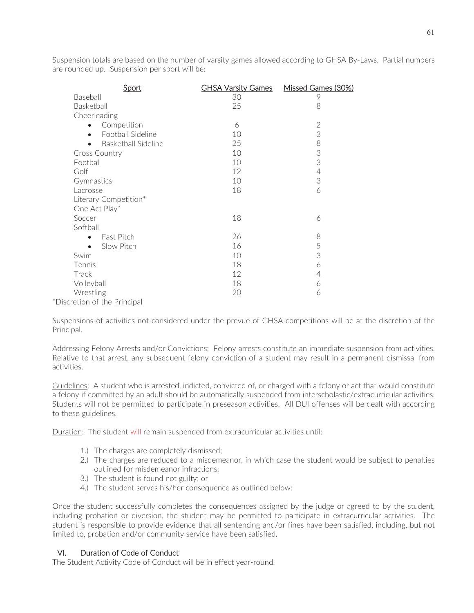Suspension totals are based on the number of varsity games allowed according to GHSA By-Laws. Partial numbers are rounded up. Suspension per sport will be:

| Sport                            | <b>GHSA Varsity Games</b> | Missed Games (30%) |
|----------------------------------|---------------------------|--------------------|
| Baseball                         | 30                        | 9                  |
| Basketball                       | 25                        | 8                  |
| Cheerleading                     |                           |                    |
| Competition<br>$\bullet$         | 6                         | $\overline{2}$     |
| Football Sideline<br>$\bullet$   | 10                        | 3                  |
| Basketball Sideline<br>$\bullet$ | 25                        | 8                  |
| Cross Country                    | 10                        | 3                  |
| Football                         | 10                        | 3                  |
| Golf                             | 12                        | $\overline{4}$     |
| Gymnastics                       | 10                        | 3                  |
| Lacrosse                         | 18                        | 6                  |
| Literary Competition*            |                           |                    |
| One Act Play*                    |                           |                    |
| Soccer                           | 18                        | 6                  |
| Softball                         |                           |                    |
| Fast Pitch<br>$\bullet$          | 26                        | 8                  |
| Slow Pitch<br>$\bullet$          | 16                        | 5                  |
| Swim                             | 10                        | 3                  |
| Tennis                           | 18                        | 6                  |
| Track                            | 12                        | 4                  |
| Volleyball                       | 18                        | 6                  |
| Wrestling                        | 20                        | 6                  |
| *Discretion of the Principal     |                           |                    |

Suspensions of activities not considered under the prevue of GHSA competitions will be at the discretion of the Principal.

Addressing Felony Arrests and/or Convictions: Felony arrests constitute an immediate suspension from activities. Relative to that arrest, any subsequent felony conviction of a student may result in a permanent dismissal from activities.

Guidelines: A student who is arrested, indicted, convicted of, or charged with a felony or act that would constitute a felony if committed by an adult should be automatically suspended from interscholastic/extracurricular activities. Students will not be permitted to participate in preseason activities. All DUI offenses will be dealt with according to these guidelines.

Duration: The student will remain suspended from extracurricular activities until:

- 1.) The charges are completely dismissed;
- 2.) The charges are reduced to a misdemeanor, in which case the student would be subject to penalties outlined for misdemeanor infractions;
- 3.) The student is found not guilty; or
- 4.) The student serves his/her consequence as outlined below:

Once the student successfully completes the consequences assigned by the judge or agreed to by the student, including probation or diversion, the student may be permitted to participate in extracurricular activities. The student is responsible to provide evidence that all sentencing and/or fines have been satisfied, including, but not limited to, probation and/or community service have been satisfied.

## VI. Duration of Code of Conduct

The Student Activity Code of Conduct will be in effect year-round.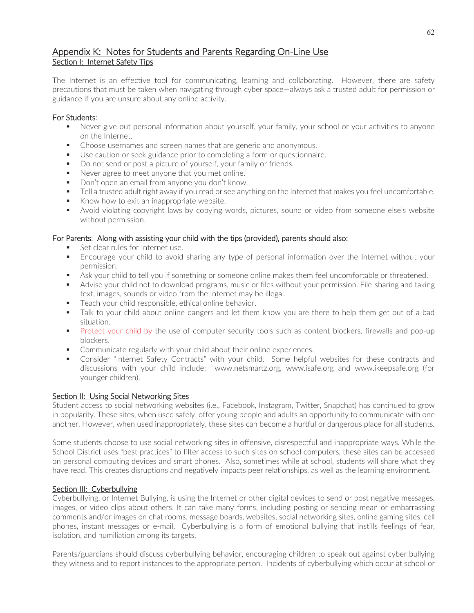## Appendix K: Notes for Students and Parents Regarding On-Line Use Section I: Internet Safety Tips

The Internet is an effective tool for communicating, learning and collaborating. However, there are safety precautions that must be taken when navigating through cyber space—always ask a trusted adult for permission or guidance if you are unsure about any online activity.

## For Students:

- Never give out personal information about yourself, your family, your school or your activities to anyone on the Internet.
- Choose usernames and screen names that are generic and anonymous.
- Use caution or seek guidance prior to completing a form or questionnaire.
- Do not send or post a picture of yourself, your family or friends.
- Never agree to meet anyone that you met online.
- Don't open an email from anyone you don't know.
- Tell a trusted adult right away if you read or see anything on the Internet that makes you feel uncomfortable.
- Know how to exit an inappropriate website.
- Avoid violating copyright laws by copying words, pictures, sound or video from someone else's website without permission.

## For Parents: Along with assisting your child with the tips (provided), parents should also:

- Set clear rules for Internet use.
- Encourage your child to avoid sharing any type of personal information over the Internet without your permission.
- Ask your child to tell you if something or someone online makes them feel uncomfortable or threatened.
- Advise your child not to download programs, music or files without your permission. File-sharing and taking text, images, sounds or video from the Internet may be illegal.
- Teach your child responsible, ethical online behavior.
- Talk to your child about online dangers and let them know you are there to help them get out of a bad situation.
- Protect your child by the use of computer security tools such as content blockers, firewalls and pop-up blockers.
- **Communicate regularly with your child about their online experiences.**
- Consider "Internet Safety Contracts" with your child. Some helpful websites for these contracts and discussions with your child include: www.netsmartz.org, www.isafe.org and www.ikeepsafe.org (for younger children).

## Section II: Using Social Networking Sites

Student access to social networking websites (i.e., Facebook, Instagram, Twitter, Snapchat) has continued to grow in popularity. These sites, when used safely, offer young people and adults an opportunity to communicate with one another. However, when used inappropriately, these sites can become a hurtful or dangerous place for all students.

Some students choose to use social networking sites in offensive, disrespectful and inappropriate ways. While the School District uses "best practices" to filter access to such sites on school computers, these sites can be accessed on personal computing devices and smart phones. Also, sometimes while at school, students will share what they have read. This creates disruptions and negatively impacts peer relationships, as well as the learning environment.

## Section III: Cyberbullying

Cyberbullying, or Internet Bullying, is using the Internet or other digital devices to send or post negative messages, images, or video clips about others. It can take many forms, including posting or sending mean or embarrassing comments and/or images on chat rooms, message boards, websites, social networking sites, online gaming sites, cell phones, instant messages or e-mail. Cyberbullying is a form of emotional bullying that instills feelings of fear, isolation, and humiliation among its targets.

Parents/guardians should discuss cyberbullying behavior, encouraging children to speak out against cyber bullying they witness and to report instances to the appropriate person. Incidents of cyberbullying which occur at school or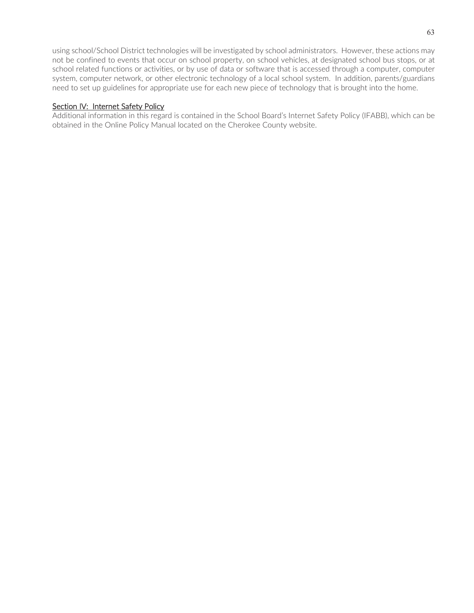using school/School District technologies will be investigated by school administrators. However, these actions may not be confined to events that occur on school property, on school vehicles, at designated school bus stops, or at school related functions or activities, or by use of data or software that is accessed through a computer, computer system, computer network, or other electronic technology of a local school system. In addition, parents/guardians need to set up guidelines for appropriate use for each new piece of technology that is brought into the home.

#### Section IV: Internet Safety Policy

Additional information in this regard is contained in the School Board's Internet Safety Policy (IFABB), which can be obtained in the Online Policy Manual located on the Cherokee County website.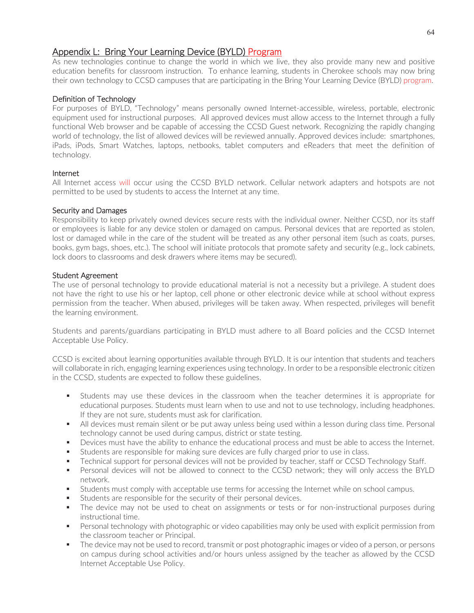## Appendix L: Bring Your Learning Device (BYLD) Program

As new technologies continue to change the world in which we live, they also provide many new and positive education benefits for classroom instruction. To enhance learning, students in Cherokee schools may now bring their own technology to CCSD campuses that are participating in the Bring Your Learning Device (BYLD) program.

## Definition of Technology

For purposes of BYLD, "Technology" means personally owned Internet-accessible, wireless, portable, electronic equipment used for instructional purposes. All approved devices must allow access to the Internet through a fully functional Web browser and be capable of accessing the CCSD Guest network. Recognizing the rapidly changing world of technology, the list of allowed devices will be reviewed annually. Approved devices include: smartphones, iPads, iPods, Smart Watches, laptops, netbooks, tablet computers and eReaders that meet the definition of technology.

#### Internet

All Internet access will occur using the CCSD BYLD network. Cellular network adapters and hotspots are not permitted to be used by students to access the Internet at any time.

#### Security and Damages

Responsibility to keep privately owned devices secure rests with the individual owner. Neither CCSD, nor its staff or employees is liable for any device stolen or damaged on campus. Personal devices that are reported as stolen, lost or damaged while in the care of the student will be treated as any other personal item (such as coats, purses, books, gym bags, shoes, etc.). The school will initiate protocols that promote safety and security (e.g., lock cabinets, lock doors to classrooms and desk drawers where items may be secured).

#### Student Agreement

The use of personal technology to provide educational material is not a necessity but a privilege. A student does not have the right to use his or her laptop, cell phone or other electronic device while at school without express permission from the teacher. When abused, privileges will be taken away. When respected, privileges will benefit the learning environment.

Students and parents/guardians participating in BYLD must adhere to all Board policies and the CCSD Internet Acceptable Use Policy.

CCSD is excited about learning opportunities available through BYLD. It is our intention that students and teachers will collaborate in rich, engaging learning experiences using technology. In order to be a responsible electronic citizen in the CCSD, students are expected to follow these guidelines.

- Students may use these devices in the classroom when the teacher determines it is appropriate for educational purposes. Students must learn when to use and not to use technology, including headphones. If they are not sure, students must ask for clarification.
- All devices must remain silent or be put away unless being used within a lesson during class time. Personal technology cannot be used during campus, district or state testing.
- **Devices must have the ability to enhance the educational process and must be able to access the Internet.**
- Students are responsible for making sure devices are fully charged prior to use in class.
- Technical support for personal devices will not be provided by teacher, staff or CCSD Technology Staff.
- Personal devices will not be allowed to connect to the CCSD network; they will only access the BYLD network.
- Students must comply with acceptable use terms for accessing the Internet while on school campus.
- Students are responsible for the security of their personal devices.
- The device may not be used to cheat on assignments or tests or for non-instructional purposes during instructional time.
- **Personal technology with photographic or video capabilities may only be used with explicit permission from** the classroom teacher or Principal.
- The device may not be used to record, transmit or post photographic images or video of a person, or persons on campus during school activities and/or hours unless assigned by the teacher as allowed by the CCSD Internet Acceptable Use Policy.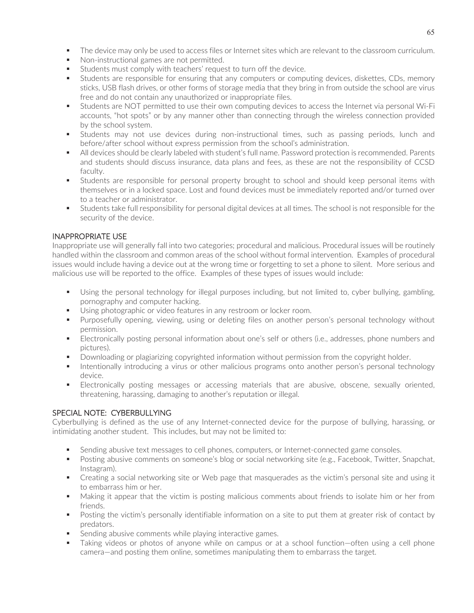- The device may only be used to access files or Internet sites which are relevant to the classroom curriculum.
- Non-instructional games are not permitted.
- Students must comply with teachers' request to turn off the device.
- Students are responsible for ensuring that any computers or computing devices, diskettes, CDs, memory sticks, USB flash drives, or other forms of storage media that they bring in from outside the school are virus free and do not contain any unauthorized or inappropriate files.
- Students are NOT permitted to use their own computing devices to access the Internet via personal Wi-Fi accounts, "hot spots" or by any manner other than connecting through the wireless connection provided by the school system.
- Students may not use devices during non-instructional times, such as passing periods, lunch and before/after school without express permission from the school's administration.
- All devices should be clearly labeled with student's full name. Password protection is recommended. Parents and students should discuss insurance, data plans and fees, as these are not the responsibility of CCSD faculty.
- Students are responsible for personal property brought to school and should keep personal items with themselves or in a locked space. Lost and found devices must be immediately reported and/or turned over to a teacher or administrator.
- Students take full responsibility for personal digital devices at all times. The school is not responsible for the security of the device.

## INAPPROPRIATE USE

Inappropriate use will generally fall into two categories; procedural and malicious. Procedural issues will be routinely handled within the classroom and common areas of the school without formal intervention. Examples of procedural issues would include having a device out at the wrong time or forgetting to set a phone to silent. More serious and malicious use will be reported to the office. Examples of these types of issues would include:

- Using the personal technology for illegal purposes including, but not limited to, cyber bullying, gambling, pornography and computer hacking.
- Using photographic or video features in any restroom or locker room.
- Purposefully opening, viewing, using or deleting files on another person's personal technology without permission.
- **Electronically posting personal information about one's self or others (i.e., addresses, phone numbers and** pictures).
- **Downloading or plagiarizing copyrighted information without permission from the copyright holder.**
- Intentionally introducing a virus or other malicious programs onto another person's personal technology device.
- Electronically posting messages or accessing materials that are abusive, obscene, sexually oriented, threatening, harassing, damaging to another's reputation or illegal.

## SPECIAL NOTE: CYBERBULLYING

Cyberbullying is defined as the use of any Internet-connected device for the purpose of bullying, harassing, or intimidating another student. This includes, but may not be limited to:

- **Sending abusive text messages to cell phones, computers, or Internet-connected game consoles.**
- **Posting abusive comments on someone's blog or social networking site (e.g., Facebook, Twitter, Snapchat,** Instagram).
- Creating a social networking site or Web page that masquerades as the victim's personal site and using it to embarrass him or her.
- Making it appear that the victim is posting malicious comments about friends to isolate him or her from friends.
- Posting the victim's personally identifiable information on a site to put them at greater risk of contact by predators.
- Sending abusive comments while playing interactive games.
- Taking videos or photos of anyone while on campus or at a school function—often using a cell phone camera—and posting them online, sometimes manipulating them to embarrass the target.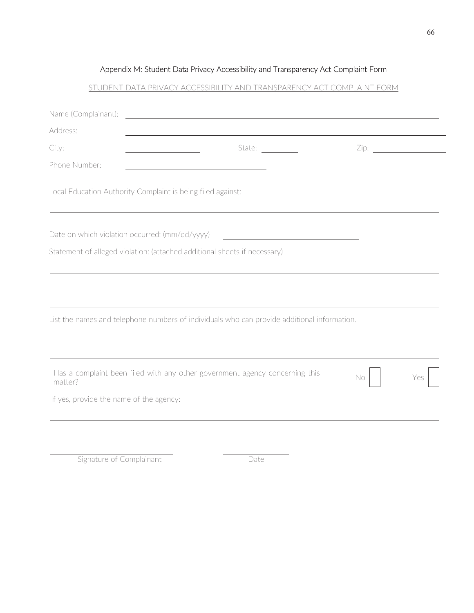## Appendix M: Student Data Privacy Accessibility and Transparency Act Complaint Form

## STUDENT DATA PRIVACY ACCESSIBILITY AND TRANSPARENCY ACT COMPLAINT FORM

| Name (Complainant):                     | <u> 1989 - Johann Stoff, deutscher Stoffen und der Stoffen und der Stoffen und der Stoffen und der Stoffen und de</u> |     |     |
|-----------------------------------------|-----------------------------------------------------------------------------------------------------------------------|-----|-----|
| Address:                                |                                                                                                                       |     |     |
| City:                                   | State: $\frac{1}{\sqrt{1-\frac{1}{2}}\cdot\frac{1}{\sqrt{1-\frac{1}{2}}}}$<br><u> 1980 - Johann Barbara, martin a</u> |     |     |
| Phone Number:                           |                                                                                                                       |     |     |
|                                         | Local Education Authority Complaint is being filed against:                                                           |     |     |
|                                         | Date on which violation occurred: (mm/dd/yyyy)<br><u> 1990 - Johann Barbara, martin a</u>                             |     |     |
|                                         | Statement of alleged violation: (attached additional sheets if necessary)                                             |     |     |
|                                         |                                                                                                                       |     |     |
|                                         |                                                                                                                       |     |     |
|                                         |                                                                                                                       |     |     |
|                                         | List the names and telephone numbers of individuals who can provide additional information.                           |     |     |
|                                         |                                                                                                                       |     |     |
|                                         | Has a complaint been filed with any other government agency concerning this                                           |     |     |
| matter?                                 |                                                                                                                       | No. | Yes |
| If yes, provide the name of the agency: |                                                                                                                       |     |     |
|                                         |                                                                                                                       |     |     |

Signature of Complainant Date